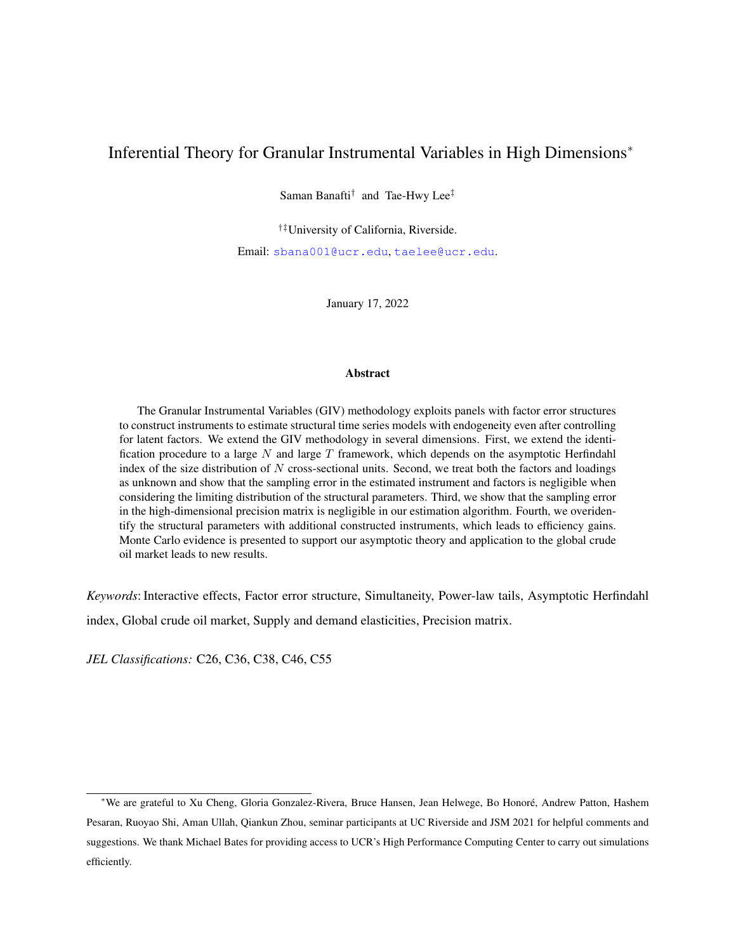# <span id="page-0-0"></span>Inferential Theory for Granular Instrumental Variables in High Dimensions<sup>∗</sup>

Saman Banafti<sup>†</sup> and Tae-Hwy Lee<sup>‡</sup>

†‡University of California, Riverside.

Email: [sbana001@ucr.edu](mailto:sbana001@ucr.edu), [taelee@ucr.edu](mailto:taelee@ucr.edu).

January 17, 2022

#### Abstract

The Granular Instrumental Variables (GIV) methodology exploits panels with factor error structures to construct instruments to estimate structural time series models with endogeneity even after controlling for latent factors. We extend the GIV methodology in several dimensions. First, we extend the identification procedure to a large N and large  $T$  framework, which depends on the asymptotic Herfindahl index of the size distribution of  $N$  cross-sectional units. Second, we treat both the factors and loadings as unknown and show that the sampling error in the estimated instrument and factors is negligible when considering the limiting distribution of the structural parameters. Third, we show that the sampling error in the high-dimensional precision matrix is negligible in our estimation algorithm. Fourth, we overidentify the structural parameters with additional constructed instruments, which leads to efficiency gains. Monte Carlo evidence is presented to support our asymptotic theory and application to the global crude oil market leads to new results.

*Keywords*: Interactive effects, Factor error structure, Simultaneity, Power-law tails, Asymptotic Herfindahl index, Global crude oil market, Supply and demand elasticities, Precision matrix.

*JEL Classifications:* C26, C36, C38, C46, C55

<sup>∗</sup>We are grateful to Xu Cheng, Gloria Gonzalez-Rivera, Bruce Hansen, Jean Helwege, Bo Honoré, Andrew Patton, Hashem Pesaran, Ruoyao Shi, Aman Ullah, Qiankun Zhou, seminar participants at UC Riverside and JSM 2021 for helpful comments and suggestions. We thank Michael Bates for providing access to UCR's High Performance Computing Center to carry out simulations efficiently.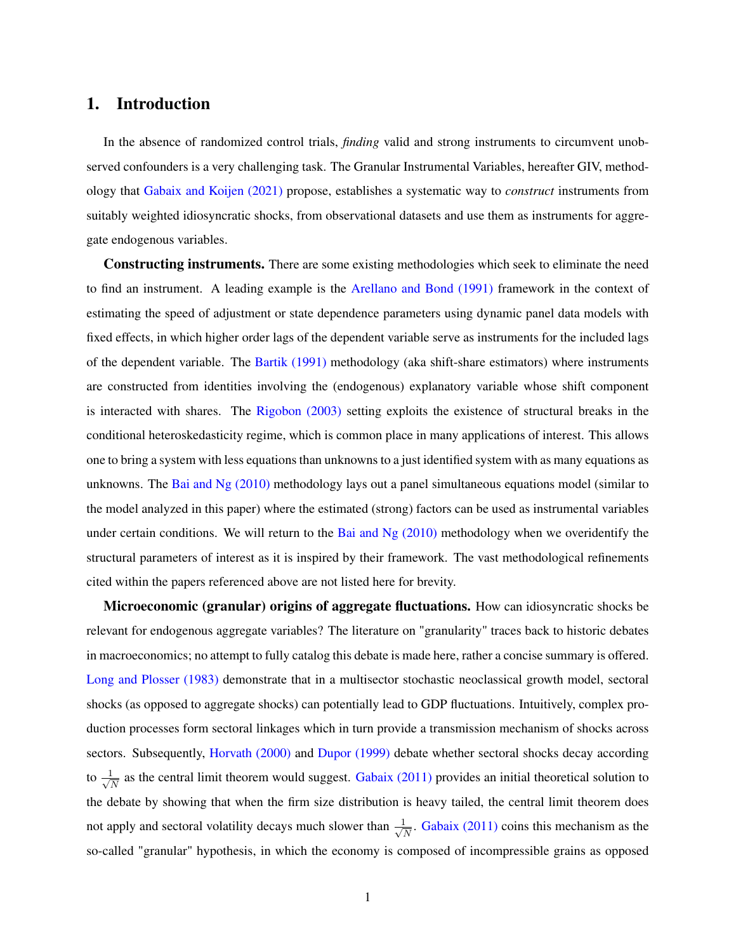### <span id="page-1-0"></span>1. Introduction

In the absence of randomized control trials, *finding* valid and strong instruments to circumvent unobserved confounders is a very challenging task. The Granular Instrumental Variables, hereafter GIV, methodology that [Gabaix and Koijen \(2021\)](#page-42-0) propose, establishes a systematic way to *construct* instruments from suitably weighted idiosyncratic shocks, from observational datasets and use them as instruments for aggregate endogenous variables.

Constructing instruments. There are some existing methodologies which seek to eliminate the need to find an instrument. A leading example is the [Arellano and Bond \(1991\)](#page-41-0) framework in the context of estimating the speed of adjustment or state dependence parameters using dynamic panel data models with fixed effects, in which higher order lags of the dependent variable serve as instruments for the included lags of the dependent variable. The [Bartik \(1991\)](#page-42-1) methodology (aka shift-share estimators) where instruments are constructed from identities involving the (endogenous) explanatory variable whose shift component is interacted with shares. The [Rigobon \(2003\)](#page-43-0) setting exploits the existence of structural breaks in the conditional heteroskedasticity regime, which is common place in many applications of interest. This allows one to bring a system with less equations than unknowns to a just identified system with as many equations as unknowns. The Bai and Ng  $(2010)$  methodology lays out a panel simultaneous equations model (similar to the model analyzed in this paper) where the estimated (strong) factors can be used as instrumental variables under certain conditions. We will return to the [Bai and Ng \(2010\)](#page-41-1) methodology when we overidentify the structural parameters of interest as it is inspired by their framework. The vast methodological refinements cited within the papers referenced above are not listed here for brevity.

Microeconomic (granular) origins of aggregate fluctuations. How can idiosyncratic shocks be relevant for endogenous aggregate variables? The literature on "granularity" traces back to historic debates in macroeconomics; no attempt to fully catalog this debate is made here, rather a concise summary is offered. [Long and Plosser \(1983\)](#page-43-1) demonstrate that in a multisector stochastic neoclassical growth model, sectoral shocks (as opposed to aggregate shocks) can potentially lead to GDP fluctuations. Intuitively, complex production processes form sectoral linkages which in turn provide a transmission mechanism of shocks across sectors. Subsequently, [Horvath \(2000\)](#page-42-2) and [Dupor \(1999\)](#page-42-3) debate whether sectoral shocks decay according to  $\frac{1}{\sqrt{2}}$  $\frac{1}{N}$  as the central limit theorem would suggest. [Gabaix \(2011\)](#page-42-4) provides an initial theoretical solution to the debate by showing that when the firm size distribution is heavy tailed, the central limit theorem does not apply and sectoral volatility decays much slower than  $\frac{1}{\sqrt{2}}$  $\frac{1}{N}$ . [Gabaix \(2011\)](#page-42-4) coins this mechanism as the so-called "granular" hypothesis, in which the economy is composed of incompressible grains as opposed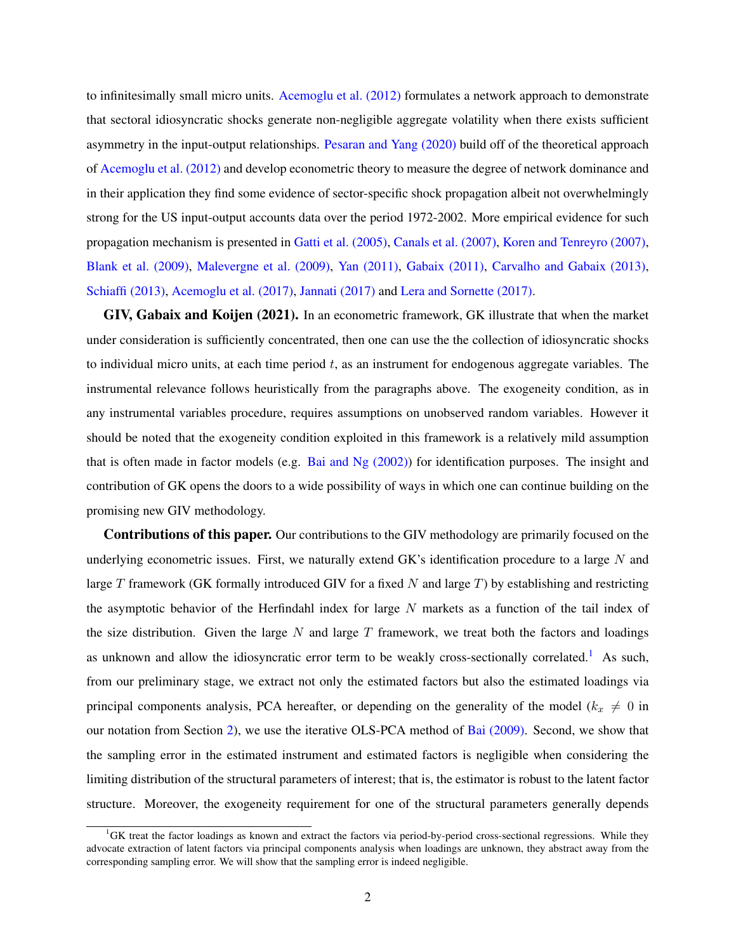to infinitesimally small micro units. [Acemoglu et al. \(2012\)](#page-41-2) formulates a network approach to demonstrate that sectoral idiosyncratic shocks generate non-negligible aggregate volatility when there exists sufficient asymmetry in the input-output relationships. [Pesaran and Yang \(2020\)](#page-43-2) build off of the theoretical approach of [Acemoglu et al. \(2012\)](#page-41-2) and develop econometric theory to measure the degree of network dominance and in their application they find some evidence of sector-specific shock propagation albeit not overwhelmingly strong for the US input-output accounts data over the period 1972-2002. More empirical evidence for such propagation mechanism is presented in [Gatti et al. \(2005\),](#page-42-5) [Canals et al. \(2007\),](#page-42-6) [Koren and Tenreyro \(2007\),](#page-43-3) [Blank et al. \(2009\),](#page-42-7) [Malevergne et al. \(2009\),](#page-43-4) [Yan \(2011\),](#page-44-0) [Gabaix \(2011\),](#page-42-4) [Carvalho and Gabaix \(2013\),](#page-42-8) [Schiaffi \(2013\),](#page-43-5) [Acemoglu et al. \(2017\),](#page-41-3) [Jannati \(2017\)](#page-42-9) and [Lera and Sornette \(2017\).](#page-43-6)

GIV, Gabaix and Koijen (2021). In an econometric framework, GK illustrate that when the market under consideration is sufficiently concentrated, then one can use the the collection of idiosyncratic shocks to individual micro units, at each time period  $t$ , as an instrument for endogenous aggregate variables. The instrumental relevance follows heuristically from the paragraphs above. The exogeneity condition, as in any instrumental variables procedure, requires assumptions on unobserved random variables. However it should be noted that the exogeneity condition exploited in this framework is a relatively mild assumption that is often made in factor models (e.g. Bai and Ng  $(2002)$ ) for identification purposes. The insight and contribution of GK opens the doors to a wide possibility of ways in which one can continue building on the promising new GIV methodology.

Contributions of this paper. Our contributions to the GIV methodology are primarily focused on the underlying econometric issues. First, we naturally extend GK's identification procedure to a large  $N$  and large  $T$  framework (GK formally introduced GIV for a fixed  $N$  and large  $T$ ) by establishing and restricting the asymptotic behavior of the Herfindahl index for large  $N$  markets as a function of the tail index of the size distribution. Given the large  $N$  and large  $T$  framework, we treat both the factors and loadings as unknown and allow the idiosyncratic error term to be weakly cross-sectionally correlated.<sup>[1](#page-0-0)</sup> As such, from our preliminary stage, we extract not only the estimated factors but also the estimated loadings via principal components analysis, PCA hereafter, or depending on the generality of the model ( $k_x \neq 0$  in our notation from Section [2\)](#page-3-0), we use the iterative OLS-PCA method of [Bai \(2009\).](#page-41-5) Second, we show that the sampling error in the estimated instrument and estimated factors is negligible when considering the limiting distribution of the structural parameters of interest; that is, the estimator is robust to the latent factor structure. Moreover, the exogeneity requirement for one of the structural parameters generally depends

<sup>&</sup>lt;sup>1</sup>GK treat the factor loadings as known and extract the factors via period-by-period cross-sectional regressions. While they advocate extraction of latent factors via principal components analysis when loadings are unknown, they abstract away from the corresponding sampling error. We will show that the sampling error is indeed negligible.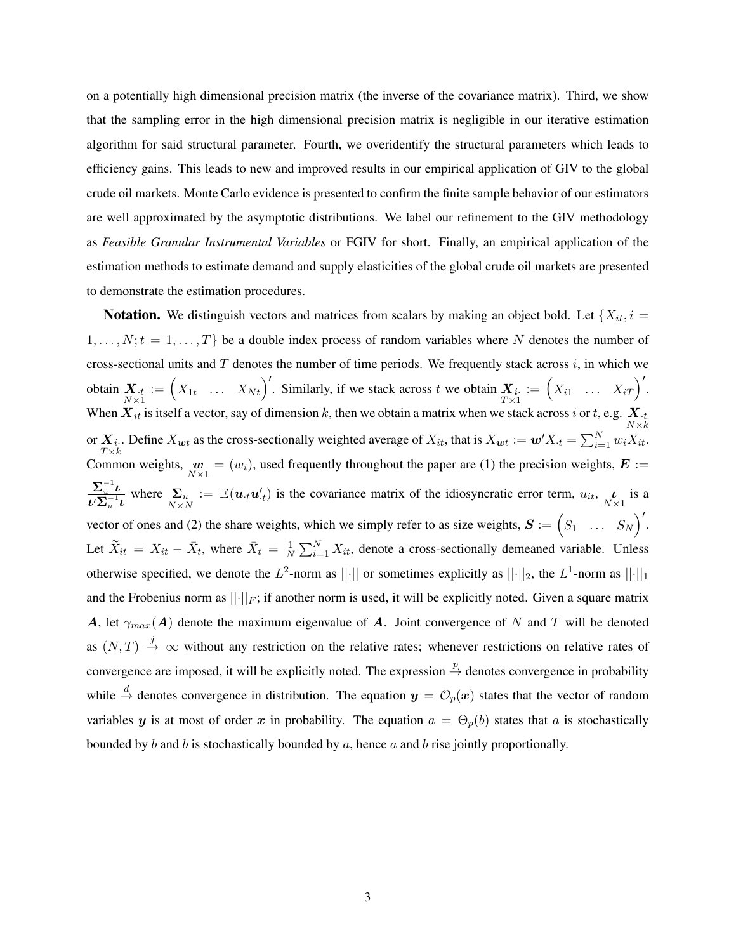on a potentially high dimensional precision matrix (the inverse of the covariance matrix). Third, we show that the sampling error in the high dimensional precision matrix is negligible in our iterative estimation algorithm for said structural parameter. Fourth, we overidentify the structural parameters which leads to efficiency gains. This leads to new and improved results in our empirical application of GIV to the global crude oil markets. Monte Carlo evidence is presented to confirm the finite sample behavior of our estimators are well approximated by the asymptotic distributions. We label our refinement to the GIV methodology as *Feasible Granular Instrumental Variables* or FGIV for short. Finally, an empirical application of the estimation methods to estimate demand and supply elasticities of the global crude oil markets are presented to demonstrate the estimation procedures.

<span id="page-3-0"></span>**Notation.** We distinguish vectors and matrices from scalars by making an object bold. Let  $\{X_{it}, i =$  $1, \ldots, N; t = 1, \ldots, T$  be a double index process of random variables where N denotes the number of cross-sectional units and  $T$  denotes the number of time periods. We frequently stack across  $i$ , in which we obtain  $X_{t}$ <sub>N × 1</sub>  $\mathbf{x} := \begin{pmatrix} X_{1t} & \dots & X_{Nt} \end{pmatrix}$ . Similarly, if we stack across t we obtain  $\mathbf{X}_i$ .  $\kappa$  across  $i$ , in which we<br>  $:= \left(X_{i1} \dots X_{iT}\right)'$ . When  $X_{it}$  is itself a vector, say of dimension k, then we obtain a matrix when we stack across i or t, e.g.  $X_{:t}$ <br> $\underset{N \times k}{N}$ or  $X_i$ . Define  $X_{wt}$  as the cross-sectionally weighted average of  $X_{it}$ , that is  $X_{wt} := w'X_t = \sum_{i=1}^N w_i X_{it}$ .  $T \times k$ Common weights,  $\mathbf{w}_{N\times 1} = (w_i)$ , used frequently throughout the paper are (1) the precision weights,  $\mathbf{E} :=$  $\mathbf{\Sigma}_u^{-1}\bm{\iota}$  $\frac{\Sigma_u \nu}{\nu \Sigma_u^{-1} \nu}$  where  $\Sigma_u := \mathbb{E}(u_t u'_{\cdot t})$  is the covariance matrix of the idiosyncratic error term,  $u_{it}$ ,  $\frac{\nu}{N \times 1}$  is a vector of ones and (2) the share weights, which we simply refer to as size weights,  $S := \begin{pmatrix} S_1 & \dots & S_N \end{pmatrix}$  $\sqrt{ }$ . Let  $\widetilde{X}_{it} = X_{it} - \overline{X}_{t}$ , where  $\overline{X}_{t} = \frac{1}{N}$  $\frac{1}{N} \sum_{i=1}^{N} X_{it}$ , denote a cross-sectionally demeaned variable. Unless otherwise specified, we denote the  $L^2$ -norm as  $||\cdot||$  or sometimes explicitly as  $||\cdot||_2$ , the  $L^1$ -norm as  $||\cdot||_1$ and the Frobenius norm as  $||\cdot||_F$ ; if another norm is used, it will be explicitly noted. Given a square matrix A, let  $\gamma_{max}(A)$  denote the maximum eigenvalue of A. Joint convergence of N and T will be denoted as  $(N, T) \stackrel{j}{\rightarrow} \infty$  without any restriction on the relative rates; whenever restrictions on relative rates of convergence are imposed, it will be explicitly noted. The expression  $\stackrel{p}{\rightarrow}$  denotes convergence in probability while  $\stackrel{d}{\to}$  denotes convergence in distribution. The equation  $y = \mathcal{O}_p(x)$  states that the vector of random variables y is at most of order x in probability. The equation  $a = \Theta_p(b)$  states that a is stochastically bounded by b and b is stochastically bounded by a, hence a and b rise jointly proportionally.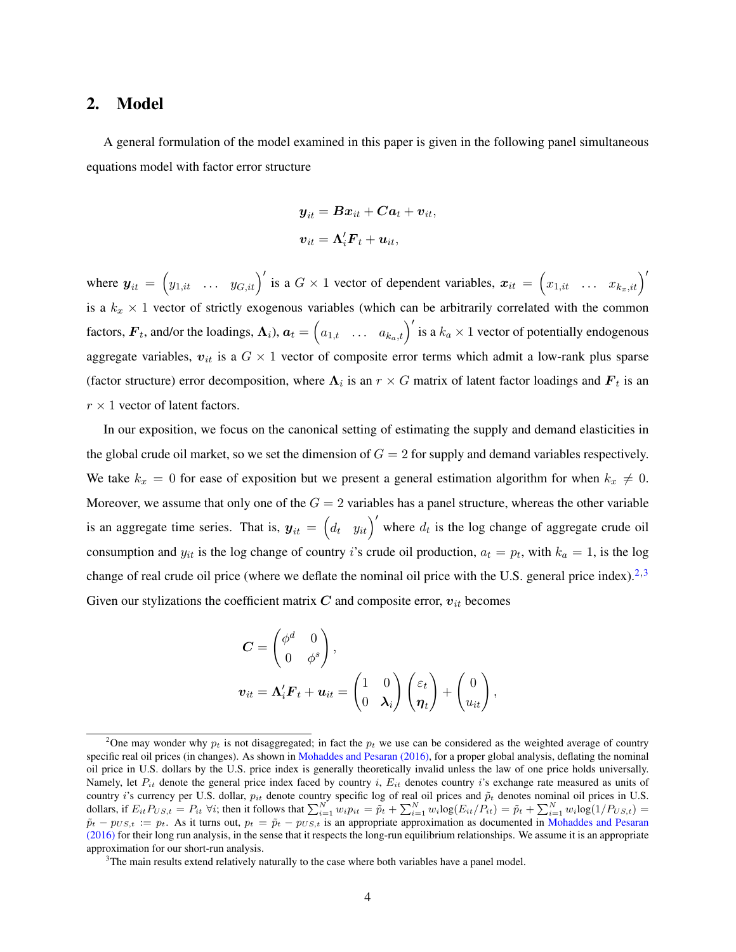#### 2. Model

A general formulation of the model examined in this paper is given in the following panel simultaneous equations model with factor error structure

$$
\begin{aligned} \boldsymbol{y}_{it} &= \boldsymbol{B}\boldsymbol{x}_{it} + \boldsymbol{C}\boldsymbol{a}_t + \boldsymbol{v}_{it}, \\ \boldsymbol{v}_{it} &= \boldsymbol{\Lambda}_i' \boldsymbol{F}_t + \boldsymbol{u}_{it}, \end{aligned}
$$

where  $y_{it} =$  $(y_{1,it} \dots y_{G,it})'$  is a  $G \times 1$  vector of dependent variables,  $x_{it} =$  $\begin{pmatrix} x_{1,it} & \dots & x_{k_x,it} \end{pmatrix}'$ is a  $k_x \times 1$  vector of strictly exogenous variables (which can be arbitrarily correlated with the common factors,  $\mathbf{F}_t$ , and/or the loadings,  $\Lambda_i$ ),  $a_t = (a_{1,t} \dots a_{k_a,t})'$  is a  $k_a \times 1$  vector of potentially endogenous aggregate variables,  $v_{it}$  is a  $G \times 1$  vector of composite error terms which admit a low-rank plus sparse (factor structure) error decomposition, where  $\Lambda_i$  is an  $r \times G$  matrix of latent factor loadings and  $\bm{F}_t$  is an  $r \times 1$  vector of latent factors.

In our exposition, we focus on the canonical setting of estimating the supply and demand elasticities in the global crude oil market, so we set the dimension of  $G = 2$  for supply and demand variables respectively. We take  $k_x = 0$  for ease of exposition but we present a general estimation algorithm for when  $k_x \neq 0$ . Moreover, we assume that only one of the  $G = 2$  variables has a panel structure, whereas the other variable is an aggregate time series. That is,  $y_{it} = (d_t, y_{it})'$  where  $d_t$  is the log change of aggregate crude oil consumption and  $y_{it}$  is the log change of country *i*'s crude oil production,  $a_t = p_t$ , with  $k_a = 1$ , is the log change of real crude oil price (where we deflate the nominal oil price with the U.S. general price index).<sup>[2](#page-0-0),[3](#page-0-0)</sup> Given our stylizations the coefficient matrix  $C$  and composite error,  $v_{it}$  becomes

$$
C = \begin{pmatrix} \phi^d & 0 \\ 0 & \phi^s \end{pmatrix},
$$
  

$$
v_{it} = \Lambda'_i F_t + u_{it} = \begin{pmatrix} 1 & 0 \\ 0 & \lambda_i \end{pmatrix} \begin{pmatrix} \varepsilon_t \\ \eta_t \end{pmatrix} + \begin{pmatrix} 0 \\ u_{it} \end{pmatrix},
$$

<sup>&</sup>lt;sup>2</sup>One may wonder why  $p_t$  is not disaggregated; in fact the  $p_t$  we use can be considered as the weighted average of country specific real oil prices (in changes). As shown in [Mohaddes and Pesaran \(2016\),](#page-43-7) for a proper global analysis, deflating the nominal oil price in U.S. dollars by the U.S. price index is generally theoretically invalid unless the law of one price holds universally. Namely, let  $P_{it}$  denote the general price index faced by country i,  $E_{it}$  denotes country i's exchange rate measured as units of country i's currency per U.S. dollar,  $p_{it}$  denote country specific log of real oil prices and  $\tilde{p}_t$  denotes nominal oil prices in U.S. dollars, if  $E_{it}P_{US,t} = P_{it} \ \forall i$ ; then it follows that  $\sum_{i=1}^{N} w_i p_{it} = \tilde{p}_t + \sum_{i=1}^{N} w_i \log(E_{it}/P_{it}) = \tilde{p}_t + \sum_{i=1}^{N} w_i \log(1/P_{US,t})$  $\tilde{p}_t - p_{US,t} := p_t$ . As it turns out,  $p_t = \tilde{p}_t - p_{US,t}$  is an appropriate approximation as documented in [Mohaddes and Pesaran](#page-43-7) [\(2016\)](#page-43-7) for their long run analysis, in the sense that it respects the long-run equilibrium relationships. We assume it is an appropriate approximation for our short-run analysis.

<sup>&</sup>lt;sup>3</sup>The main results extend relatively naturally to the case where both variables have a panel model.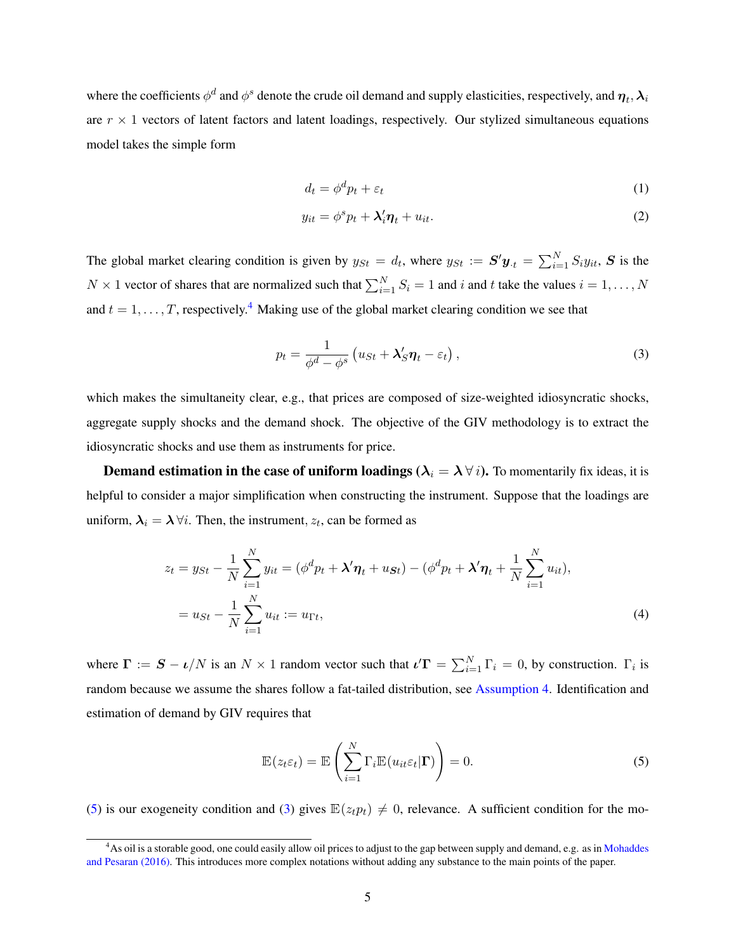where the coefficients  $\phi^d$  and  $\phi^s$  denote the crude oil demand and supply elasticities, respectively, and  $\bm{\eta}_t, \bm{\lambda}_i$ are  $r \times 1$  vectors of latent factors and latent loadings, respectively. Our stylized simultaneous equations model takes the simple form

<span id="page-5-3"></span>
$$
d_t = \phi^d p_t + \varepsilon_t \tag{1}
$$

<span id="page-5-1"></span>
$$
y_{it} = \phi^s p_t + \lambda'_i \eta_t + u_{it}.
$$
 (2)

The global market clearing condition is given by  $y_{St} = d_t$ , where  $y_{St} := S' y_t = \sum_{i=1}^{N} S_i y_{it}$ , S is the  $N \times 1$  vector of shares that are normalized such that  $\sum_{i=1}^{N} S_i = 1$  and i and t take the values  $i = 1, ..., N$ and  $t = 1, \ldots, T$ , respectively.<sup>[4](#page-0-0)</sup> Making use of the global market clearing condition we see that

$$
p_t = \frac{1}{\phi^d - \phi^s} \left( u_{St} + \lambda'_S \eta_t - \varepsilon_t \right),\tag{3}
$$

which makes the simultaneity clear, e.g., that prices are composed of size-weighted idiosyncratic shocks, aggregate supply shocks and the demand shock. The objective of the GIV methodology is to extract the idiosyncratic shocks and use them as instruments for price.

**Demand estimation in the case of uniform loadings (** $\lambda_i = \lambda \forall i$ ). To momentarily fix ideas, it is helpful to consider a major simplification when constructing the instrument. Suppose that the loadings are uniform,  $\lambda_i = \lambda \forall i$ . Then, the instrument,  $z_t$ , can be formed as

$$
z_t = y_{St} - \frac{1}{N} \sum_{i=1}^{N} y_{it} = (\phi^d p_t + \lambda' \eta_t + u_{St}) - (\phi^d p_t + \lambda' \eta_t + \frac{1}{N} \sum_{i=1}^{N} u_{it}),
$$
  
=  $u_{St} - \frac{1}{N} \sum_{i=1}^{N} u_{it} := u_{\Gamma t},$  (4)

where  $\mathbf{\Gamma} := \mathbf{S} - \nu/N$  is an  $N \times 1$  random vector such that  $\mathbf{\iota}'\mathbf{\Gamma} = \sum_{i=1}^{N} \Gamma_i = 0$ , by construction.  $\Gamma_i$  is random because we assume the shares follow a fat-tailed distribution, see [Assumption 4.](#page-15-0) Identification and estimation of demand by GIV requires that

<span id="page-5-2"></span><span id="page-5-0"></span>
$$
\mathbb{E}(z_t \varepsilon_t) = \mathbb{E}\left(\sum_{i=1}^N \Gamma_i \mathbb{E}(u_{it} \varepsilon_t | \mathbf{\Gamma})\right) = 0.
$$
 (5)

[\(5\)](#page-5-0) is our exogeneity condition and [\(3\)](#page-5-1) gives  $\mathbb{E}(z_t p_t) \neq 0$ , relevance. A sufficient condition for the mo-

<sup>&</sup>lt;sup>4</sup>As oil is a storable good, one could easily allow oil prices to adjust to the gap between supply and demand, e.g. as in [Mohaddes](#page-43-7) [and Pesaran \(2016\).](#page-43-7) This introduces more complex notations without adding any substance to the main points of the paper.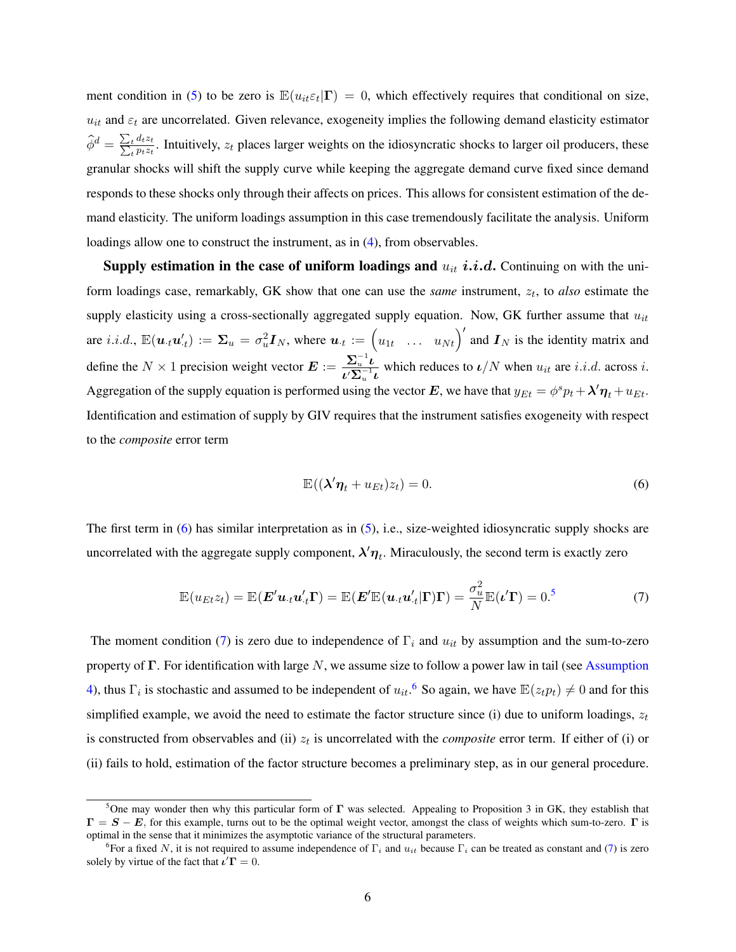ment condition in [\(5\)](#page-5-0) to be zero is  $\mathbb{E}(u_{it} \varepsilon_t | \mathbf{\Gamma}) = 0$ , which effectively requires that conditional on size,  $u_{it}$  and  $\varepsilon_t$  are uncorrelated. Given relevance, exogeneity implies the following demand elasticity estimator  $\widehat{\phi}^d = \frac{\sum_t d_t z_t}{\sum_t p_t z_t}$  $t^{\frac{t}{t} \cdot u_t z_t}_{t^{\frac{t}{t}}}.$  Intuitively,  $z_t$  places larger weights on the idiosyncratic shocks to larger oil producers, these granular shocks will shift the supply curve while keeping the aggregate demand curve fixed since demand responds to these shocks only through their affects on prices. This allows for consistent estimation of the demand elasticity. The uniform loadings assumption in this case tremendously facilitate the analysis. Uniform loadings allow one to construct the instrument, as in [\(4\)](#page-5-2), from observables.

Supply estimation in the case of uniform loadings and  $u_{it}$  *i.i.d.* Continuing on with the uniform loadings case, remarkably, GK show that one can use the *same* instrument,  $z_t$ , to *also* estimate the supply elasticity using a cross-sectionally aggregated supply equation. Now, GK further assume that  $u_{it}$ supply classicity using a cross-sectionary aggregated supply equation. Now, OK future assume that  $u_{it}$  are i.i.d.,  $\mathbb{E}(\boldsymbol{u}_{\cdot t} \boldsymbol{u}_{\cdot t}') := \boldsymbol{\Sigma}_u = \sigma_u^2 \boldsymbol{I}_N$ , where  $\boldsymbol{u}_{\cdot t} := (u_{1t} \dots u_{Nt})'$  and  $\boldsymbol{I}_N$  is th define the  $N \times 1$  precision weight vector  $\mathbf{E} := \frac{\sum_{u=1}^{n} u}{N}$  $\frac{Z_u}{U\Sigma_u^{-1} \iota}$  which reduces to  $\iota/N$  when  $u_{it}$  are *i.i.d.* across *i.* Aggregation of the supply equation is performed using the vector E, we have that  $y_{Et} = \phi^s p_t + \lambda' \eta_t + u_{Et}$ . Identification and estimation of supply by GIV requires that the instrument satisfies exogeneity with respect to the *composite* error term

<span id="page-6-1"></span><span id="page-6-0"></span>
$$
\mathbb{E}((\lambda'\eta_t + u_{Et})z_t) = 0.
$$
\n(6)

The first term in [\(6\)](#page-6-0) has similar interpretation as in [\(5\)](#page-5-0), i.e., size-weighted idiosyncratic supply shocks are uncorrelated with the aggregate supply component,  $\lambda' \eta_t$ . Miraculously, the second term is exactly zero

$$
\mathbb{E}(u_{Et}z_t) = \mathbb{E}(\boldsymbol{E}'\boldsymbol{u}_{\cdot t}\boldsymbol{u}'_{\cdot t}\boldsymbol{\Gamma}) = \mathbb{E}(\boldsymbol{E}'\mathbb{E}(\boldsymbol{u}_{\cdot t}\boldsymbol{u}'_{\cdot t}|\boldsymbol{\Gamma})\boldsymbol{\Gamma}) = \frac{\sigma_u^2}{N}\mathbb{E}(\boldsymbol{\iota}'\boldsymbol{\Gamma}) = 0.
$$
<sup>5</sup> (7)

The moment condition [\(7\)](#page-6-1) is zero due to independence of  $\Gamma_i$  and  $u_{it}$  by assumption and the sum-to-zero property of  $\Gamma$ . For identification with large N, we assume size to follow a power law in tail (see [Assumption](#page-15-0) [4\)](#page-15-0), thus  $\Gamma_i$  is stochastic and assumed to be independent of  $u_{it}$ .<sup>[6](#page-0-0)</sup> So again, we have  $\mathbb{E}(z_t p_t) \neq 0$  and for this simplified example, we avoid the need to estimate the factor structure since (i) due to uniform loadings,  $z_t$ is constructed from observables and (ii)  $z_t$  is uncorrelated with the *composite* error term. If either of (i) or (ii) fails to hold, estimation of the factor structure becomes a preliminary step, as in our general procedure.

<sup>&</sup>lt;sup>5</sup>One may wonder then why this particular form of  $\Gamma$  was selected. Appealing to Proposition 3 in GK, they establish that  $\Gamma = S - E$ , for this example, turns out to be the optimal weight vector, amongst the class of weights which sum-to-zero.  $\Gamma$  is optimal in the sense that it minimizes the asymptotic variance of the structural parameters.

<sup>&</sup>lt;sup>6</sup>For a fixed N, it is not required to assume independence of  $\Gamma_i$  and  $u_{it}$  because  $\Gamma_i$  can be treated as constant and [\(7\)](#page-6-1) is zero solely by virtue of the fact that  $\iota' \Gamma = 0$ .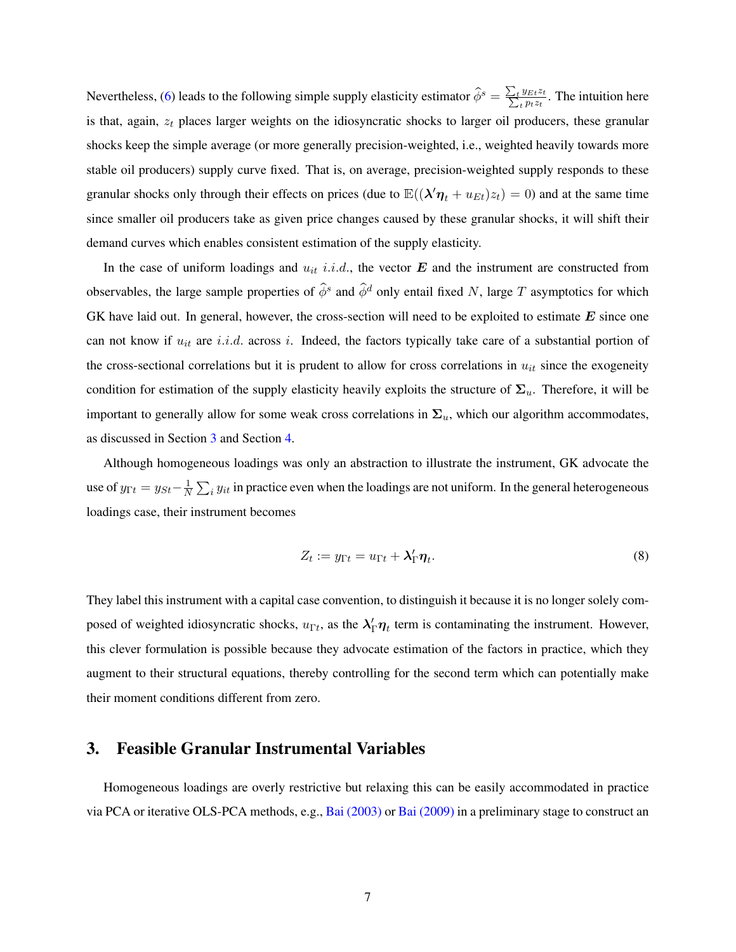Nevertheless, [\(6\)](#page-6-0) leads to the following simple supply elasticity estimator  $\hat{\phi}^s = \frac{\sum_t y_{Et} z_t}{\sum_t p_t z_t}$  $\frac{y_{Et}z_t}{p_t z_t}$ . The intuition here is that, again,  $z_t$  places larger weights on the idiosyncratic shocks to larger oil producers, these granular shocks keep the simple average (or more generally precision-weighted, i.e., weighted heavily towards more stable oil producers) supply curve fixed. That is, on average, precision-weighted supply responds to these granular shocks only through their effects on prices (due to  $\mathbb{E}((\lambda'\eta_t + u_{Et})z_t) = 0$ ) and at the same time since smaller oil producers take as given price changes caused by these granular shocks, it will shift their demand curves which enables consistent estimation of the supply elasticity.

In the case of uniform loadings and  $u_{it}$  i.i.d., the vector  $E$  and the instrument are constructed from observables, the large sample properties of  $\hat{\phi}^s$  and  $\hat{\phi}^d$  only entail fixed N, large T asymptotics for which GK have laid out. In general, however, the cross-section will need to be exploited to estimate  $E$  since one can not know if  $u_{it}$  are i.i.d. across i. Indeed, the factors typically take care of a substantial portion of the cross-sectional correlations but it is prudent to allow for cross correlations in  $u_{it}$  since the exogeneity condition for estimation of the supply elasticity heavily exploits the structure of  $\Sigma_u$ . Therefore, it will be important to generally allow for some weak cross correlations in  $\Sigma_u$ , which our algorithm accommodates, as discussed in Section [3](#page-7-0) and Section [4.](#page-12-0)

Although homogeneous loadings was only an abstraction to illustrate the instrument, GK advocate the use of  $y_{\Gamma t} = y_{St} - \frac{1}{N}$  $\frac{1}{N}\sum_i y_{it}$  in practice even when the loadings are not uniform. In the general heterogeneous loadings case, their instrument becomes

<span id="page-7-1"></span>
$$
Z_t := y_{\Gamma t} = u_{\Gamma t} + \lambda'_\Gamma \eta_t.
$$
\n<sup>(8)</sup>

They label this instrument with a capital case convention, to distinguish it because it is no longer solely composed of weighted idiosyncratic shocks,  $u_{\Gamma t}$ , as the  $\lambda'_\Gamma \eta_t$  term is contaminating the instrument. However, this clever formulation is possible because they advocate estimation of the factors in practice, which they augment to their structural equations, thereby controlling for the second term which can potentially make their moment conditions different from zero.

## <span id="page-7-0"></span>3. Feasible Granular Instrumental Variables

Homogeneous loadings are overly restrictive but relaxing this can be easily accommodated in practice via PCA or iterative OLS-PCA methods, e.g., [Bai \(2003\)](#page-41-6) or [Bai \(2009\)](#page-41-5) in a preliminary stage to construct an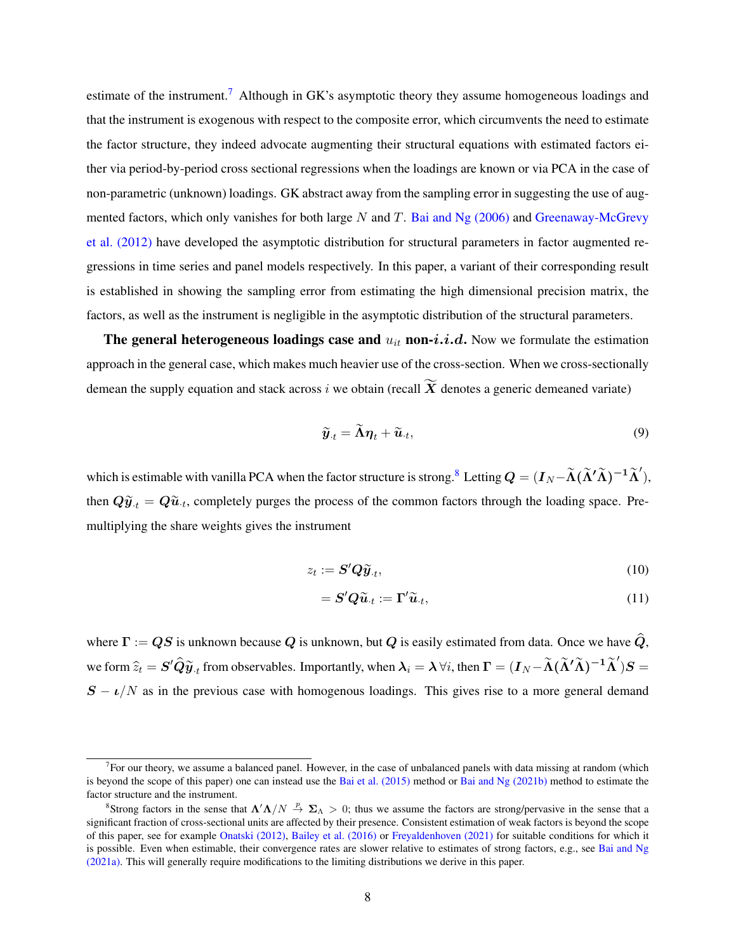estimate of the instrument.<sup>[7](#page-0-0)</sup> Although in GK's asymptotic theory they assume homogeneous loadings and that the instrument is exogenous with respect to the composite error, which circumvents the need to estimate the factor structure, they indeed advocate augmenting their structural equations with estimated factors either via period-by-period cross sectional regressions when the loadings are known or via PCA in the case of non-parametric (unknown) loadings. GK abstract away from the sampling error in suggesting the use of augmented factors, which only vanishes for both large  $N$  and  $T$ . [Bai and Ng \(2006\)](#page-41-7) and [Greenaway-McGrevy](#page-42-10) [et al. \(2012\)](#page-42-10) have developed the asymptotic distribution for structural parameters in factor augmented regressions in time series and panel models respectively. In this paper, a variant of their corresponding result is established in showing the sampling error from estimating the high dimensional precision matrix, the factors, as well as the instrument is negligible in the asymptotic distribution of the structural parameters.

The general heterogeneous loadings case and  $u_{it}$  non- $i.i.d$ . Now we formulate the estimation approach in the general case, which makes much heavier use of the cross-section. When we cross-sectionally demean the supply equation and stack across i we obtain (recall  $\widetilde{X}$  denotes a generic demeaned variate)

<span id="page-8-0"></span>
$$
\widetilde{\boldsymbol{y}}_{\cdot t} = \widetilde{\boldsymbol{\Lambda}} \boldsymbol{\eta}_t + \widetilde{\boldsymbol{u}}_{\cdot t},\tag{9}
$$

which is estimable with vanilla PCA when the factor structure is strong.<sup>[8](#page-0-0)</sup> Letting  $\bm{Q}=(\bm{I}_N\!-\!\bm{\widetilde{\Lambda}}(\bm{\widetilde{\Lambda}}'\bm{\widetilde{\Lambda}})^{-1}\bm{\widetilde{\Lambda}}'),$ then  $Q\widetilde{y}_{\cdot t} = Q\widetilde{u}_{\cdot t}$ , completely purges the process of the common factors through the loading space. Premultiplying the share weights gives the instrument

$$
z_t := \mathbf{S}' \mathbf{Q} \widetilde{\mathbf{y}}_{\cdot t},\tag{10}
$$

<span id="page-8-1"></span>
$$
= \mathbf{S}'\mathbf{Q}\widetilde{\mathbf{u}}_{t} := \mathbf{\Gamma}'\widetilde{\mathbf{u}}_{t},\tag{11}
$$

where  $\Gamma := QS$  is unknown because Q is unknown, but Q is easily estimated from data. Once we have  $\hat{Q}$ , we form  $\widehat{z}_t = \bm{S}'\bm{\widehat{Q}}\widetilde{\bm{y}}_t$  from observables. Importantly, when  $\bm{\lambda}_i = \bm{\lambda}$   $\forall i,$  then  $\bm{\Gamma} = (\bm{I}_N\!-\!\bm{\widetilde{\Lambda}}(\widetilde{\bm{\Lambda}}'\bm{\widetilde{\Lambda}})^{-1}\bm{\widetilde{\Lambda}}')\bm{S} =$  $S - \nu/N$  as in the previous case with homogenous loadings. This gives rise to a more general demand

 $<sup>7</sup>$  For our theory, we assume a balanced panel. However, in the case of unbalanced panels with data missing at random (which</sup> is beyond the scope of this paper) one can instead use the [Bai et al. \(2015\)](#page-42-11) method or [Bai and Ng \(2021b\)](#page-41-8) method to estimate the factor structure and the instrument.

<sup>&</sup>lt;sup>8</sup>Strong factors in the sense that  $\Lambda' \Lambda/N \stackrel{p}{\to} \Sigma_{\Lambda} > 0$ ; thus we assume the factors are strong/pervasive in the sense that a significant fraction of cross-sectional units are affected by their presence. Consistent estimation of weak factors is beyond the scope of this paper, see for example [Onatski \(2012\),](#page-43-8) [Bailey et al. \(2016\)](#page-42-12) or [Freyaldenhoven \(2021\)](#page-42-13) for suitable conditions for which it is possible. Even when estimable, their convergence rates are slower relative to estimates of strong factors, e.g., see [Bai and Ng](#page-41-9) [\(2021a\).](#page-41-9) This will generally require modifications to the limiting distributions we derive in this paper.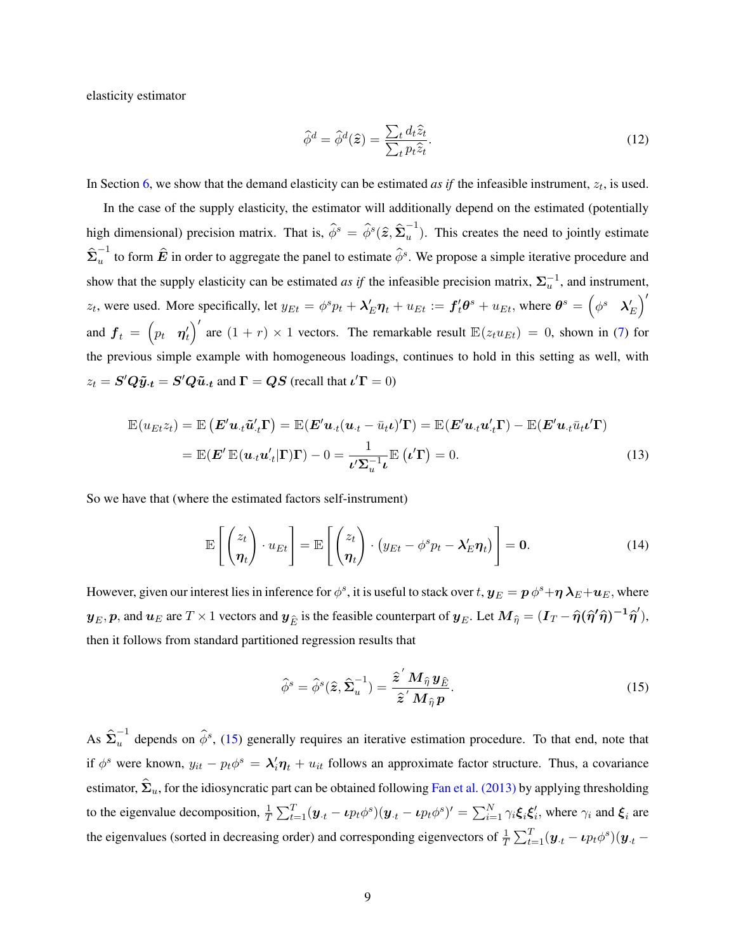elasticity estimator

<span id="page-9-1"></span>
$$
\hat{\phi}^d = \hat{\phi}^d(\hat{\boldsymbol{z}}) = \frac{\sum_t d_t \hat{z}_t}{\sum_t p_t \hat{z}_t}.
$$
\n(12)

In Section [6,](#page-17-0) we show that the demand elasticity can be estimated *as if* the infeasible instrument,  $z_t$ , is used.

In the case of the supply elasticity, the estimator will additionally depend on the estimated (potentially high dimensional) precision matrix. That is,  $\hat{\phi}^s = \hat{\phi}^s(\hat{z}, \hat{\Sigma}_u^{-1})$  $u^{\dagger}$ ). This creates the need to jointly estimate  $\hat{\boldsymbol{\Sigma}}_u^{-1}$  $u^{-1}$  to form  $\hat{E}$  in order to aggregate the panel to estimate  $\hat{\phi}^s$ . We propose a simple iterative procedure and show that the supply elasticity can be estimated *as if* the infeasible precision matrix,  $\Sigma_u^{-1}$ , and instrument,  $z_t$ , were used. More specifically, let  $y_{Et} = \phi^s p_t + \lambda'_E \eta_t + u_{Et} := f'_t \theta^s + u_{Et}$ , where  $\theta^s = \begin{pmatrix} \phi^s & \lambda'_E \end{pmatrix}$ ,u.<br>∕∖ and  $\boldsymbol{f}_t = (p_t \boldsymbol{\eta}_t')$  are  $(1 + r) \times 1$  vectors. The remarkable result  $\mathbb{E}(z_t u_{Et}) = 0$ , shown in [\(7\)](#page-6-1) for  $\begin{pmatrix} 0 & 1 \\ 0 & 1 \end{pmatrix}$ the previous simple example with homogeneous loadings, continues to hold in this setting as well, with  $z_t = \mathbf{S}'\mathbf{Q}\tilde{\mathbf{y}}_{\cdot t} = \mathbf{S}'\mathbf{Q}\tilde{\mathbf{u}}_{\cdot t}$  and  $\mathbf{\Gamma} = \mathbf{Q}\mathbf{S}$  (recall that  $\iota'\mathbf{\Gamma} = 0$ )

$$
\mathbb{E}(u_{Et}z_t) = \mathbb{E}(\boldsymbol{E}'\boldsymbol{u}_{\cdot t}\tilde{\boldsymbol{u}}'_{\cdot t}\boldsymbol{\Gamma}) = \mathbb{E}(\boldsymbol{E}'\boldsymbol{u}_{\cdot t}(\boldsymbol{u}_{\cdot t} - \bar{u}_{t}\boldsymbol{\iota})'\boldsymbol{\Gamma}) = \mathbb{E}(\boldsymbol{E}'\boldsymbol{u}_{\cdot t}\boldsymbol{u}'_{\cdot t}\boldsymbol{\Gamma}) - \mathbb{E}(\boldsymbol{E}'\boldsymbol{u}_{\cdot t}\bar{u}_{t}\boldsymbol{\iota}'\boldsymbol{\Gamma})
$$
\n
$$
= \mathbb{E}(\boldsymbol{E}'\,\mathbb{E}(\boldsymbol{u}_{\cdot t}\boldsymbol{u}'_{\cdot t}|\boldsymbol{\Gamma})\boldsymbol{\Gamma}) - 0 = \frac{1}{\boldsymbol{\iota}'\boldsymbol{\Sigma}_{u}^{-1}\boldsymbol{\iota}}\mathbb{E}(\boldsymbol{\iota}'\boldsymbol{\Gamma}) = 0.
$$
\n(13)

So we have that (where the estimated factors self-instrument)

$$
\mathbb{E}\left[\begin{pmatrix} z_t \\ \boldsymbol{\eta}_t \end{pmatrix} \cdot u_{Et} \right] = \mathbb{E}\left[\begin{pmatrix} z_t \\ \boldsymbol{\eta}_t \end{pmatrix} \cdot (y_{Et} - \phi^s p_t - \boldsymbol{\lambda}_E' \boldsymbol{\eta}_t) \right] = \mathbf{0}.
$$
 (14)

However, given our interest lies in inference for  $\phi^s$ , it is useful to stack over  $t$ ,  $\bm{y}_E=\bm{p}\,\phi^s+\bm{\eta}\,\bm{\lambda}_E+\bm{u}_E,$  where  $\bm{y}_E, \bm{p}$ , and  $\bm{u}_E$  are  $T \times 1$  vectors and  $\bm{y}_{\hat{E}}$  is the feasible counterpart of  $\bm{y}_E$ . Let  $\bm{M}_{\widehat{\eta}} = (\bm{I}_T - \widehat{\eta}(\widehat{\eta}'\widehat{\eta})^{-1}\widehat{\eta}'),$ then it follows from standard partitioned regression results that

<span id="page-9-2"></span><span id="page-9-0"></span>
$$
\widehat{\phi}^s = \widehat{\phi}^s(\widehat{z}, \widehat{\Sigma}_u^{-1}) = \frac{\widehat{z}^{\,\prime} \, M_{\widehat{\eta}} \, y_{\widehat{E}}}{\widehat{z}^{\,\prime} \, M_{\widehat{\eta}} \, p}.
$$
\n(15)

As  $\hat{\Sigma}_u^{-1}$  depends on  $\hat{\phi}^s$ , [\(15\)](#page-9-0) generally requires an iterative estimation procedure. To that end, note that if  $\phi^s$  were known,  $y_{it} - p_t \phi^s = \lambda'_i \eta_t + u_{it}$  follows an approximate factor structure. Thus, a covariance estimator,  $\hat{\Sigma}_u$ , for the idiosyncratic part can be obtained following [Fan et al. \(2013\)](#page-42-14) by applying thresholding to the eigenvalue decomposition,  $\frac{1}{T} \sum_{t=1}^{T} (\boldsymbol{y}_{\cdot t} - \boldsymbol{\iota} p_t \phi^s)(\boldsymbol{y}_{\cdot t} - \boldsymbol{\iota} p_t \phi^s)' = \sum_{i=1}^{N} \gamma_i \boldsymbol{\xi}_i \boldsymbol{\xi}'_i$ , where  $\gamma_i$  and  $\boldsymbol{\xi}_i$  are the eigenvalues (sorted in decreasing order) and corresponding eigenvectors of  $\frac{1}{T} \sum_{t=1}^{T} (\bm{y}_{\cdot t} - \bm{\iota} p_t \phi^s)(\bm{y}_{\cdot t} -$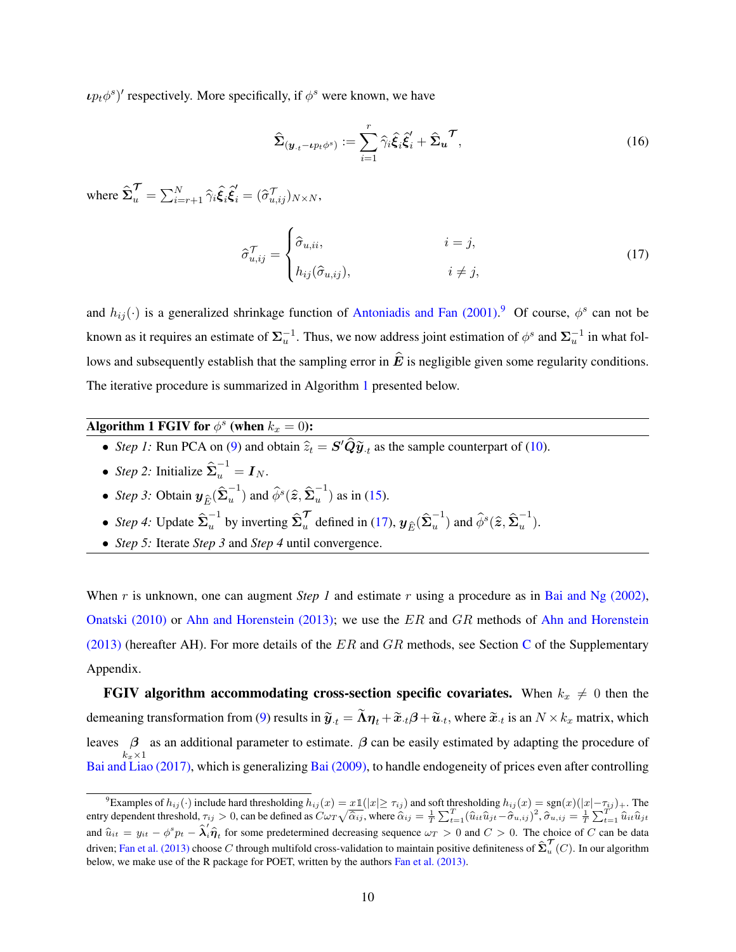$\iota p_t \phi^s$ <sup>*'*</sup> respectively. More specifically, if  $\phi^s$  were known, we have

<span id="page-10-1"></span>
$$
\hat{\Sigma}_{(\mathbf{y}_{\cdot t} - \iota p_t \phi^s)} := \sum_{i=1}^r \hat{\gamma}_i \hat{\xi}_i \hat{\xi}'_i + \hat{\Sigma}_{\mathbf{u}}^{\mathcal{T}},\tag{16}
$$

where  $\hat{\boldsymbol{\Sigma}}^{\boldsymbol{\mathcal{T}}}_{u} = \sum_{i=r+1}^{N} \hat{\gamma}_i \hat{\boldsymbol{\xi}}_i \hat{\boldsymbol{\xi}}_i^{\prime} = (\hat{\sigma}_{u,ij}^{\boldsymbol{\mathcal{T}}})_{N \times N},$ 

$$
\hat{\sigma}_{u,ij}^{\mathcal{T}} = \begin{cases}\n\hat{\sigma}_{u,ii}, & i = j, \\
h_{ij}(\hat{\sigma}_{u,ij}), & i \neq j,\n\end{cases}
$$
\n(17)

and  $h_{ij}(\cdot)$  is a generalized shrinkage function of [Antoniadis and Fan \(2001\).](#page-41-10)<sup>[9](#page-0-0)</sup> Of course,  $\phi^s$  can not be known as it requires an estimate of  $\Sigma_u^{-1}$ . Thus, we now address joint estimation of  $\phi^s$  and  $\Sigma_u^{-1}$  in what follows and subsequently establish that the sampling error in  $\hat{E}$  is negligible given some regularity conditions. The iterative procedure is summarized in Algorithm [1](#page-10-0) presented below.

<span id="page-10-0"></span>Algorithm 1 FGIV for  $\phi^s$  (when  $k_x = 0$ ):

- *Step 1*: Run PCA on [\(9\)](#page-8-0) and obtain  $\hat{z}_t = S' \hat{Q} \tilde{y}_t$  as the sample counterpart of [\(10\)](#page-8-1).
- *Step 2:* Initialize  $\hat{\Sigma}_u^{-1} = I_N$ .
- *Step 3:* Obtain  $y_{\hat{E}}(\hat{\Sigma}_u^{-1})$  $(u^{-1})$  and  $\widehat{\phi}^s(\widehat{\boldsymbol{z}},\widehat{\boldsymbol{\Sigma}}_u^{-1})$  $\binom{1}{u}$  as in [\(15\)](#page-9-0).
- *Step 4:* Update  $\hat{\Sigma}_u^{-1}$  by inverting  $\hat{\Sigma}_u^{\mathcal{T}}$  defined in [\(17\)](#page-10-1),  $y_{\hat{E}}(\hat{\Sigma}_u^{-1})$  $(u^{-1})$  and  $\widehat{\phi}^s(\widehat{\boldsymbol{z}},\widehat{\boldsymbol{\Sigma}}_u^{-1})$  $\begin{pmatrix} 1 \\ 1 \end{pmatrix}$ .
- *Step 5:* Iterate *Step 3* and *Step 4* until convergence.

When r is unknown, one can augment *Step 1* and estimate r using a procedure as in [Bai and Ng \(2002\),](#page-41-4) [Onatski \(2010\)](#page-43-9) or [Ahn and Horenstein \(2013\);](#page-41-11) we use the  $ER$  and  $GR$  methods of [Ahn and Horenstein](#page-41-11) [\(2013\)](#page-41-11) (hereafter AH). For more details of the  $ER$  and  $GR$  methods, see Section [C](#page-51-0) of the Supplementary Appendix.

FGIV algorithm accommodating cross-section specific covariates. When  $k_x \neq 0$  then the demeaning transformation from [\(9\)](#page-8-0) results in  $\widetilde{\bm{y}}_{\cdot t}=\widetilde{\bm{\Lambda}}\bm{\eta}_t+\widetilde{\bm{x}}_{\cdot t}\bm{\beta}+\widetilde{\bm{u}}_{\cdot t},$  where  $\widetilde{\bm{x}}_{\cdot t}$  is an  $N\times k_x$  matrix, which leaves  $\beta$  $k_x\times1$ as an additional parameter to estimate.  $\beta$  can be easily estimated by adapting the procedure of [Bai and Liao \(2017\),](#page-41-12) which is generalizing [Bai \(2009\),](#page-41-5) to handle endogeneity of prices even after controlling

<sup>&</sup>lt;sup>9</sup>Examples of  $h_{ij}(\cdot)$  include hard thresholding  $h_{ij}(x) = x \mathbb{1}(|x| \geq \tau_{ij})$  and soft thresholding  $h_{ij}(x) = \text{sgn}(x)(|x| - \tau_{ij})_+$ . The entry dependent threshold,  $\tau_{ij} > 0$ , can be defined as  $C \omega_T$  $\begin{array}{l} \n\alpha = x \mathbb{1}(|x| \geq \tau_{ij}) \text{ and soft thresholding } h_{ij}(x) = \text{sgn}(x)(|x| - \tau_{ij}) + \text{.} \text{ The } \n\sqrt{\hat{\alpha}_{ij}}, \text{ where } \hat{\alpha}_{ij} = \frac{1}{T} \sum_{t=1}^{T} (\hat{u}_{it} \hat{u}_{jt} - \hat{\sigma}_{u,ij})^2, \hat{\sigma}_{u,ij} = \frac{1}{T} \sum_{t=1}^{T} \hat{u}_{it} \hat{u}_{jt} \end{array}$ and  $\hat{u}_{it} = y_{it} - \phi^s p_t - \hat{\lambda}'_i \hat{\eta}_t$  for some predetermined decreasing sequence  $\omega_T > 0$  and  $C > 0$ . The choice of C can be data driven; [Fan et al. \(2013\)](#page-42-14) choose  $C$  through multifold cross-validation to maintain positive definiteness of  $\hat{\Sigma}^\mathcal{T}_u(C)$ . In our algorithm below, we make use of the R package for POET, written by the authors [Fan et al. \(2013\).](#page-42-14)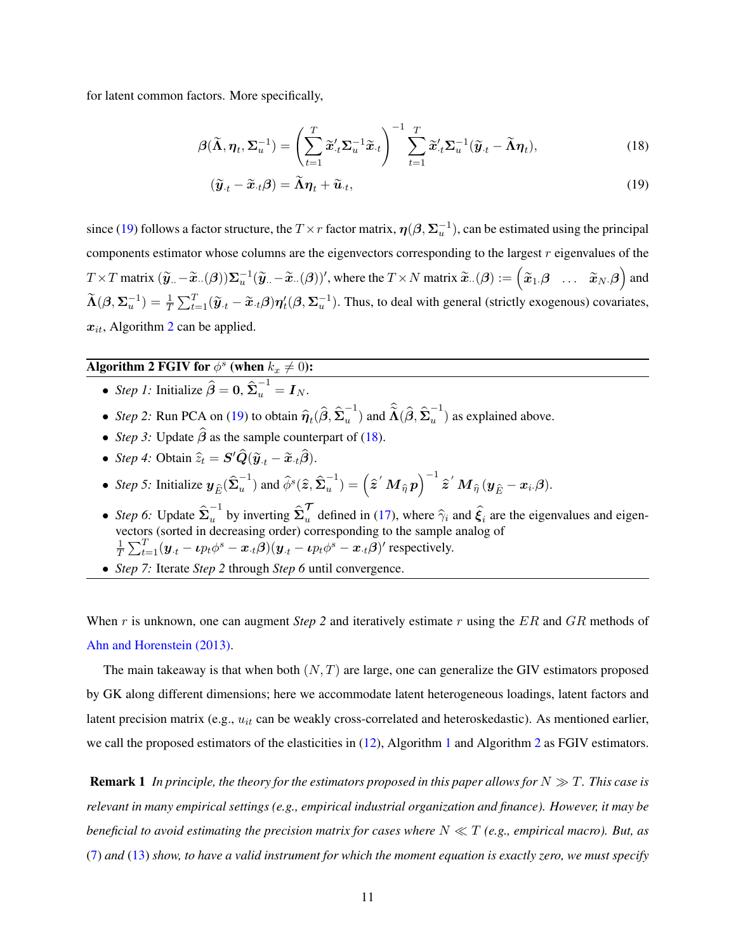for latent common factors. More specifically,

$$
\boldsymbol{\beta}(\widetilde{\boldsymbol{\Lambda}}, \boldsymbol{\eta}_t, \boldsymbol{\Sigma}_u^{-1}) = \left(\sum_{t=1}^T \widetilde{\boldsymbol{x}}_t' \boldsymbol{\Sigma}_u^{-1} \widetilde{\boldsymbol{x}}_t\right)^{-1} \sum_{t=1}^T \widetilde{\boldsymbol{x}}_t' \boldsymbol{\Sigma}_u^{-1} (\widetilde{\boldsymbol{y}}_t - \widetilde{\boldsymbol{\Lambda}} \boldsymbol{\eta}_t),
$$
\n(18)

<span id="page-11-2"></span><span id="page-11-0"></span>
$$
(\widetilde{\mathbf{y}}_t - \widetilde{\mathbf{x}}_t \boldsymbol{\beta}) = \widetilde{\Lambda} \boldsymbol{\eta}_t + \widetilde{\boldsymbol{u}}_t,\tag{19}
$$

since [\(19\)](#page-11-0) follows a factor structure, the  $T \times r$  factor matrix,  $\eta(\beta, \Sigma_u^{-1})$ , can be estimated using the principal components estimator whose columns are the eigenvectors corresponding to the largest  $r$  eigenvalues of the  $T \times T$  matrix  $(\tilde{\mathbf{y}}_{..} - \tilde{\mathbf{x}}_{..}(\boldsymbol{\beta}))\Sigma_{u}^{-1}(\tilde{\mathbf{y}}_{..} - \tilde{\mathbf{x}}_{..}(\boldsymbol{\beta}))'$ , where the  $T \times N$  matrix  $\tilde{\mathbf{x}}_{..}(\boldsymbol{\beta}) := (\tilde{\mathbf{x}}_{1\cdot}\boldsymbol{\beta} \dots \tilde{\mathbf{x}}_{N\cdot}\boldsymbol{\beta})$  and  $\widetilde{\Lambda}(\beta, \Sigma_u^{-1}) = \frac{1}{T} \sum_{t=1}^T (\widetilde{y}_{\cdot t} - \widetilde{x}_{\cdot t} \beta) \eta_t'(\beta, \Sigma_u^{-1})$ . Thus, to deal with general (strictly exogenous) covariates,  $x_{it}$ , Algorithm [2](#page-11-1) can be applied.

# <span id="page-11-1"></span>Algorithm 2 FGIV for  $\phi^s$  (when  $k_x \neq 0$ ):

- *Step 1*: Initialize  $\hat{\beta} = 0$ ,  $\hat{\Sigma}_u^{-1} = I_N$ .
- *Step 2*: Run PCA on [\(19\)](#page-11-0) to obtain  $\hat{\eta}_t(\hat{\beta}, \hat{\Sigma}_u^{-1})$  $(u^{-1})$  and  $\widehat{\widetilde{\Lambda}}(\widehat{\boldsymbol{\beta}},\widehat{\boldsymbol{\Sigma}}_u^{-1})$  $\binom{u}{u}$  as explained above.
- *Step 3:* Update  $\hat{\beta}$  as the sample counterpart of [\(18\)](#page-11-2).
- *Step 4:* Obtain  $\hat{z}_t = \mathbf{S}' \hat{\mathbf{Q}} (\tilde{\mathbf{y}}_t \tilde{\mathbf{x}}_t \hat{\boldsymbol{\beta}}).$
- *Step 5:* Initialize  $y_{\hat{E}}(\hat{\Sigma}_u^{-1})$  $(u^{-1})$  and  $\widehat{\phi}^s(\widehat{\boldsymbol{z}},\widehat{\boldsymbol{\Sigma}}_u^{-1})$  $\binom{-1}{u} = \left( \widehat{\boldsymbol{z}}^{\ \prime} \ \boldsymbol{M}_{\widehat{\eta}} \ \boldsymbol{p} \right)$  $\sqrt{-1}$  $\widehat{\boldsymbol{z}}^{\,\prime}\,\boldsymbol{M}_{\widehat{\eta}}\,(\boldsymbol{y}_{\widehat{E}}-\boldsymbol{x}_{i\cdot}\boldsymbol{\beta}).$
- *Step 6*: Update  $\hat{\Sigma}_u^{-1}$  by inverting  $\hat{\Sigma}_u^{\mathcal{T}}$  defined in [\(17\)](#page-10-1), where  $\hat{\gamma}_i$  and  $\hat{\xi}_i$  are the eigenvalues and eigenvectors (sorted in decreasing order) corresponding to the sample analog of 1  $\frac{1}{T} \sum_{t=1}^{T} (\boldsymbol{y}_{\cdot t} - \boldsymbol{\iota} p_t \phi^s - \boldsymbol{x}_{\cdot t} \boldsymbol{\beta}) (\boldsymbol{y}_{\cdot t} - \boldsymbol{\iota} p_t \phi^s - \boldsymbol{x}_{\cdot t} \boldsymbol{\beta})'$  respectively.
- *Step 7:* Iterate *Step 2* through *Step 6* until convergence.

When r is unknown, one can augment *Step 2* and iteratively estimate r using the ER and GR methods of [Ahn and Horenstein \(2013\).](#page-41-11)

The main takeaway is that when both  $(N, T)$  are large, one can generalize the GIV estimators proposed by GK along different dimensions; here we accommodate latent heterogeneous loadings, latent factors and latent precision matrix (e.g.,  $u_{it}$  can be weakly cross-correlated and heteroskedastic). As mentioned earlier, we call the proposed estimators of the elasticities in [\(12\)](#page-9-1), Algorithm [1](#page-10-0) and Algorithm [2](#page-11-1) as FGIV estimators.

**Remark 1** *In principle, the theory for the estimators proposed in this paper allows for*  $N \gg T$ *. This case is relevant in many empirical settings (e.g., empirical industrial organization and finance). However, it may be beneficial to avoid estimating the precision matrix for cases where*  $N \ll T$  *(e.g., empirical macro). But, as* [\(7\)](#page-6-1) *and* [\(13\)](#page-9-2) *show, to have a valid instrument for which the moment equation is exactly zero, we must specify*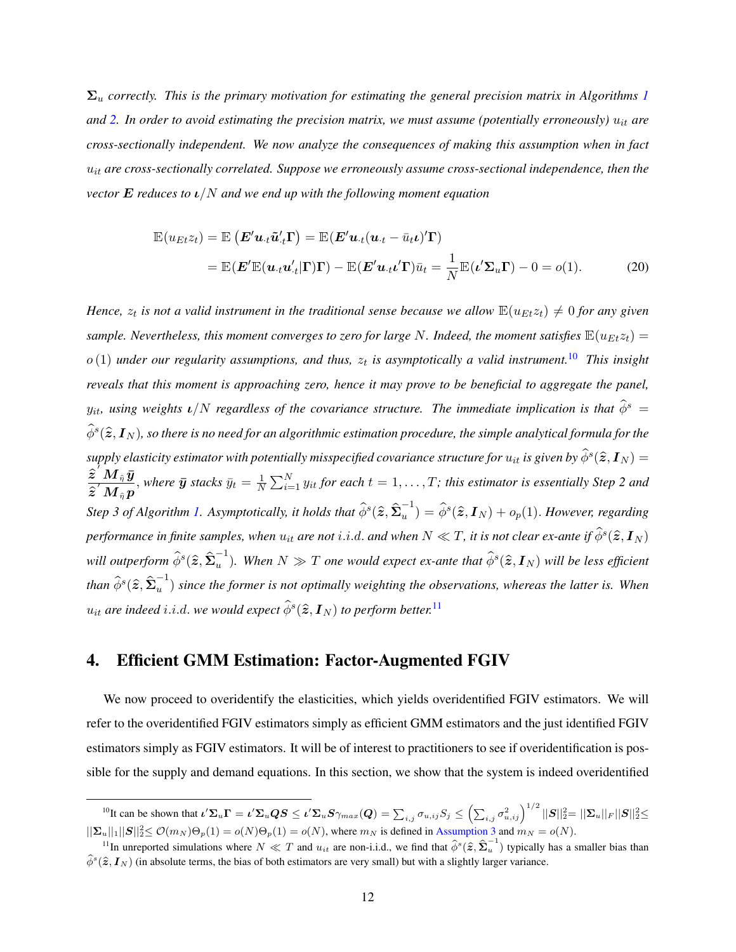$\Sigma_u$  *correctly. This is the primary motivation for estimating the general precision matrix in Algorithms [1](#page-10-0)* and [2.](#page-11-1) In order to avoid estimating the precision matrix, we must assume (potentially erroneously)  $u_{it}$  are *cross-sectionally independent. We now analyze the consequences of making this assumption when in fact* uit *are cross-sectionally correlated. Suppose we erroneously assume cross-sectional independence, then the vector* E *reduces to* ι/N *and we end up with the following moment equation*

$$
\mathbb{E}(u_{Et}z_t) = \mathbb{E}(\boldsymbol{E}'\boldsymbol{u}_t\tilde{\boldsymbol{u}}_t'\boldsymbol{\Gamma}) = \mathbb{E}(\boldsymbol{E}'\boldsymbol{u}_t(\boldsymbol{u}_t - \bar{u}_t\boldsymbol{\iota})'\boldsymbol{\Gamma})
$$
  
= 
$$
\mathbb{E}(\boldsymbol{E}'\mathbb{E}(\boldsymbol{u}_t\boldsymbol{u}_t'\vert\boldsymbol{\Gamma})\boldsymbol{\Gamma}) - \mathbb{E}(\boldsymbol{E}'\boldsymbol{u}_t\boldsymbol{\iota}\boldsymbol{\iota})\bar{u}_t = \frac{1}{N}\mathbb{E}(\boldsymbol{\iota}'\boldsymbol{\Sigma}_u\boldsymbol{\Gamma}) - 0 = o(1).
$$
 (20)

*Hence,*  $z_t$  is not a valid instrument in the traditional sense because we allow  $\mathbb{E}(u_{Et}z_t) \neq 0$  for any given *sample. Nevertheless, this moment converges to zero for large N. Indeed, the moment satisfies*  $\mathbb{E}(u_{Et}z_t)$  =  $o(1)$  under our regularity assumptions, and thus,  $z_t$  is asymptotically a valid instrument.<sup>[10](#page-0-0)</sup> This insight *reveals that this moment is approaching zero, hence it may prove to be beneficial to aggregate the panel,*  $y_{it}$ , using weights  $\iota/N$  regardless of the covariance structure. The immediate implication is that  $\hat{\phi}^s$  =  $\widehat{\phi}^s(\widehat{\bm{z}}, \bm{I}_N)$ , so there is no need for an algorithmic estimation procedure, the simple analytical formula for the  $s$ upply elasticity estimator with potentially misspecified covariance structure for  $u_{it}$  is given by  $\widehat{\phi}^s(\widehat{\bm{z}}, \bm{I}_N) =$  ${\hat{\pmb{z}}^\prime} \, \overset{\textstyle \bm{v}}{M}_{\hat{\eta}} \, \bar{\pmb{y}}$  $\frac{\boldsymbol{\mathcal{Z}}^\top\boldsymbol{M}\,\hat{\mathbf{\mathcal{\eta}}}\,\boldsymbol{y}}{\boldsymbol{\mathcal{Z}}^\prime\,\boldsymbol{M}\,\hat{\mathbf{\mathcal{\eta}}}\,\boldsymbol{p}},$  where  $\bar{\boldsymbol{y}}$  stacks  $\bar{y}_t = \frac{1}{N}$  $\frac{1}{N}\sum_{i=1}^{N} y_{it}$  for each  $t = 1, \ldots, T$ ; this estimator is essentially Step 2 and *Step 3 of Algorithm [1.](#page-10-0) Asymptotically, it holds that*  $\widehat{\phi}^s(\widehat{\boldsymbol{z}},\widehat{\boldsymbol{\Sigma}}_u^{-1})$  $\hat{u}_u^{-1}) = \hat{\phi}^s(\widehat{z}, I_N) + o_p(1)$ . *However, regarding* performance in finite samples, when  $u_{it}$  are not  $i.i.d.$  and when  $N\ll T$ , it is not clear ex-ante if  $\widehat{\phi}^s(\widehat{\bm{z}}, \bm{I}_N)$ will outperform  $\widehat{\phi}^s(\widehat{\boldsymbol{z}},\widehat{\boldsymbol{\Sigma}}_u^{-1})$  $\hat{u}^{-1}$ ). When  $N \gg T$  one would expect ex-ante that  $\hat{\phi}^s(\widehat{\boldsymbol{z}}, \boldsymbol{I}_N)$  will be less efficient than  $\widehat{\phi}^s(\widehat{\boldsymbol{z}},\widehat{\boldsymbol{\Sigma}}_u^{-1})$ u ) *since the former is not optimally weighting the observations, whereas the latter is. When*  $u_{it}$  are indeed  $i.i.d.$  we would expect  $\widehat{\phi}^s(\widehat{\boldsymbol{z}}, \boldsymbol{I}_N)$  to perform better. $^{11}$  $^{11}$  $^{11}$ 

### <span id="page-12-0"></span>4. Efficient GMM Estimation: Factor-Augmented FGIV

We now proceed to overidentify the elasticities, which yields overidentified FGIV estimators. We will refer to the overidentified FGIV estimators simply as efficient GMM estimators and the just identified FGIV estimators simply as FGIV estimators. It will be of interest to practitioners to see if overidentification is possible for the supply and demand equations. In this section, we show that the system is indeed overidentified

<sup>&</sup>lt;sup>10</sup>It can be shown that  $\iota' \Sigma_u \Gamma = \iota' \Sigma_u Q S \leq \iota' \Sigma_u S \gamma_{max}(Q) = \sum_{i,j} \sigma_{u,ij} S_j \leq$  $\sum_{i,j} \sigma_{u,ij}^2\Big)^{1/2} ||\bm{S}||_2^2\!\!=\||\bm{\Sigma}_u||_F ||\bm{S}||_2^2\!\!\leq\!$  $||\mathbf{\Sigma}_u||_1||\mathbf{S}||_2^2 \le \mathcal{O}(m_N)\Theta_p(1) = o(N)\Theta_p(1) = o(N)$ , where  $m_N$  is defined in [Assumption 3](#page-15-1) and  $m_N = o(N)$ .

<sup>&</sup>lt;sup>11</sup>In unreported simulations where  $N \ll T$  and  $u_{it}$  are non-i.i.d., we find that  $\hat{\phi}^s(\hat{z}, \hat{\Sigma}_u^{-1})$  typically has a smaller bias than  $\hat{\phi}^s(\hat{z}, I_N)$  (in absolute terms, the bias of both estimators are very small) but with a slightly larger variance.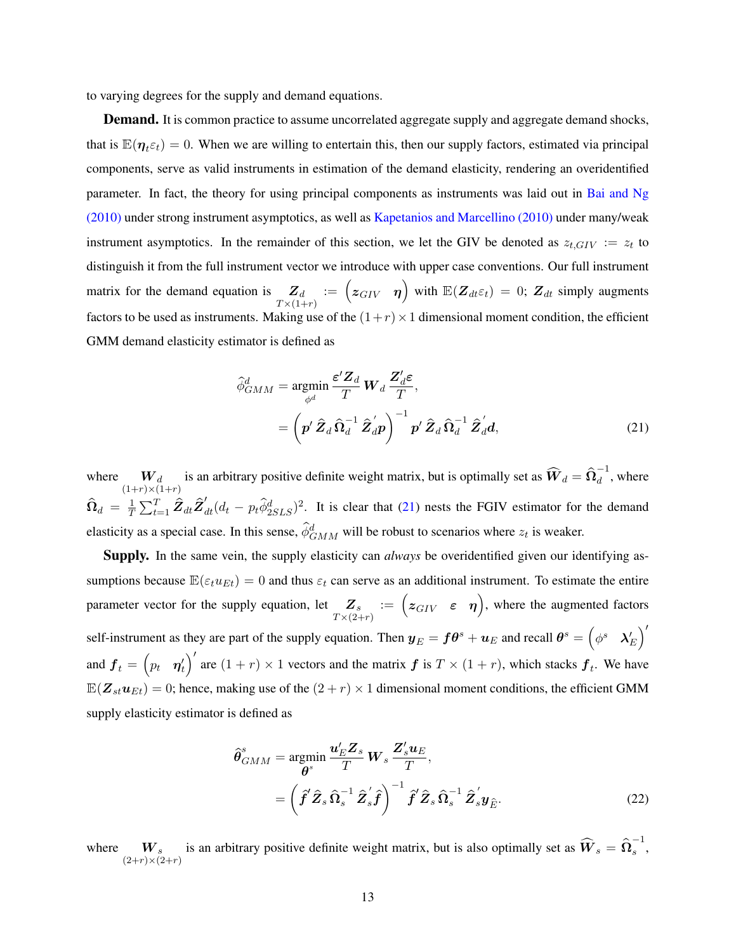to varying degrees for the supply and demand equations.

**Demand.** It is common practice to assume uncorrelated aggregate supply and aggregate demand shocks, that is  $\mathbb{E}(\eta_{t} \varepsilon_t) = 0$ . When we are willing to entertain this, then our supply factors, estimated via principal components, serve as valid instruments in estimation of the demand elasticity, rendering an overidentified parameter. In fact, the theory for using principal components as instruments was laid out in [Bai and Ng](#page-41-1) [\(2010\)](#page-41-1) under strong instrument asymptotics, as well as [Kapetanios and Marcellino \(2010\)](#page-43-10) under many/weak instrument asymptotics. In the remainder of this section, we let the GIV be denoted as  $z_{t,GIV} := z_t$  to distinguish it from the full instrument vector we introduce with upper case conventions. Our full instrument ¯ matrix for the demand equation is  $Z_d$ <br> $T \times (1+r)$  $\mathbb{E} = \begin{pmatrix} z_{GIV} & \eta \end{pmatrix}$  with  $\mathbb{E}(\mathbf{Z}_{dt}\varepsilon_t) = 0$ ;  $\mathbf{Z}_{dt}$  simply augments factors to be used as instruments. Making use of the  $(1+r) \times 1$  dimensional moment condition, the efficient GMM demand elasticity estimator is defined as

<span id="page-13-0"></span>
$$
\hat{\phi}_{GMM}^{d} = \underset{\phi^{d}}{\operatorname{argmin}} \frac{\varepsilon' \mathbf{Z}_{d}}{T} \mathbf{W}_{d} \frac{\mathbf{Z}_{d}' \varepsilon}{T},
$$
\n
$$
= \left( \mathbf{p}' \, \hat{\mathbf{Z}}_{d} \, \hat{\mathbf{\Omega}}_{d}^{-1} \, \hat{\mathbf{Z}}_{d}' \mathbf{p} \right)^{-1} \mathbf{p}' \, \hat{\mathbf{Z}}_{d} \, \hat{\mathbf{\Omega}}_{d}^{-1} \, \hat{\mathbf{Z}}_{d}' \mathbf{d}, \tag{21}
$$

where  $W_d$  is an arbitrary positive definite weight matrix, but is optimally set as  $\widehat{W}_d = \widehat{\Omega}_d^{-1}$  $\overline{d}$ , where  $\hat{\Omega}_d$  =  $\frac{1}{7}$  $\frac{1}{T}\sum_{t=1}^T \hat{Z}_{dt} \hat{Z}_{dt}' (d_t - p_t \hat{\phi}_{2SLS}^d)^2$ . It is clear that [\(21\)](#page-13-0) nests the FGIV estimator for the demand elasticity as a special case. In this sense,  $\hat{\phi}^d_{GMM}$  will be robust to scenarios where  $z_t$  is weaker.

Supply. In the same vein, the supply elasticity can *always* be overidentified given our identifying assumptions because  $\mathbb{E}(\varepsilon_t u_{Et}) = 0$  and thus  $\varepsilon_t$  can serve as an additional instrument. To estimate the entire parameter vector for the supply equation, let  $\mathbb{Z}_s$ <br> $T \times (2+r)$  $\vec{z} = (z_{GIV} \epsilon \eta)$ , where the augmented factors self-instrument as they are part of the supply equation. Then  $y_E = f\theta^s + u_E$  and recall  $\theta^s = \begin{pmatrix} \phi^s & \lambda'_E \end{pmatrix}$  $\sim$ and  $\boldsymbol{f}_{t}$  =  $\begin{pmatrix} p_{t} & \boldsymbol{\eta}'_{t} \end{pmatrix}$  $\frac{1}{\sqrt{2}}$ are  $(1 + r) \times 1$  vectors and the matrix  $f$  is  $T \times (1 + r)$ , which stacks  $f_t$ . We have  $\mathbb{E}(\mathbf{Z}_{st} \boldsymbol{u}_{Et}) = 0$ ; hence, making use of the  $(2 + r) \times 1$  dimensional moment conditions, the efficient GMM supply elasticity estimator is defined as

<span id="page-13-1"></span>
$$
\hat{\theta}_{GMM}^{s} = \underset{\theta^{s}}{\operatorname{argmin}} \frac{\boldsymbol{u}_{E}' \boldsymbol{Z}_{s}}{T} \boldsymbol{W}_{s} \frac{\boldsymbol{Z}_{s}' \boldsymbol{u}_{E}}{T},
$$
\n
$$
= \left( \hat{\boldsymbol{f}}' \hat{\boldsymbol{Z}}_{s} \hat{\boldsymbol{\Omega}}_{s}^{-1} \hat{\boldsymbol{Z}}_{s}' \hat{\boldsymbol{f}} \right)^{-1} \hat{\boldsymbol{f}}' \hat{\boldsymbol{Z}}_{s} \hat{\boldsymbol{\Omega}}_{s}^{-1} \hat{\boldsymbol{Z}}_{s}' \boldsymbol{y}_{\hat{E}}.
$$
\n(22)

where  $W_s$  is an arbitrary positive definite weight matrix, but is also optimally set as  $\widehat{W}_s = \widehat{\Omega}_s^{-1}$  $\frac{1}{s}$ ,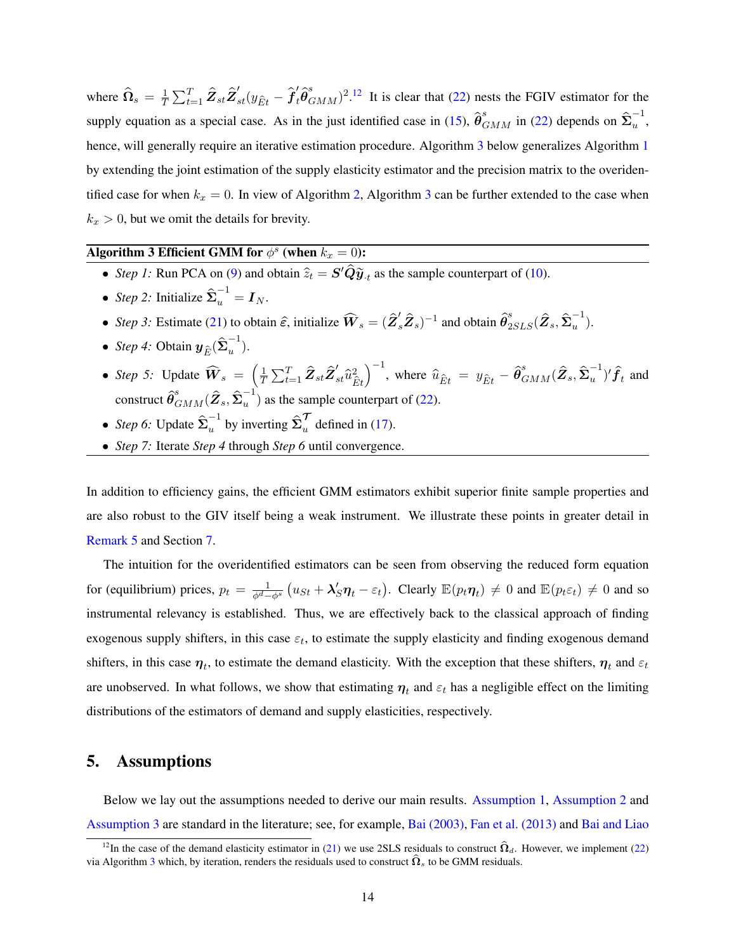where  $\hat{\Omega}_s = \frac{1}{T}$  $\frac{1}{T}\sum_{t=1}^T \hat{Z}_{st} \hat{Z}_{st}'(y_{\hat{E}t} - \hat{f}'_t \hat{\theta}_{GMM}^s)^{2.12}$  $\frac{1}{T}\sum_{t=1}^T \hat{Z}_{st} \hat{Z}_{st}'(y_{\hat{E}t} - \hat{f}'_t \hat{\theta}_{GMM}^s)^{2.12}$  $\frac{1}{T}\sum_{t=1}^T \hat{Z}_{st} \hat{Z}_{st}'(y_{\hat{E}t} - \hat{f}'_t \hat{\theta}_{GMM}^s)^{2.12}$  It is clear that [\(22\)](#page-13-1) nests the FGIV estimator for the supply equation as a special case. As in the just identified case in [\(15\)](#page-9-0),  $\hat{\theta}_{GMM}^s$  in [\(22\)](#page-13-1) depends on  $\hat{\Sigma}_u^{-1}$ u , hence, will generally require an iterative estimation procedure. Algorithm [3](#page-14-0) below generalizes Algorithm [1](#page-10-0) by extending the joint estimation of the supply elasticity estimator and the precision matrix to the overidentified case for when  $k_x = 0$ . In view of Algorithm [2,](#page-11-1) Algorithm [3](#page-14-0) can be further extended to the case when  $k_x > 0$ , but we omit the details for brevity.

# <span id="page-14-0"></span>Algorithm 3 Efficient GMM for  $\phi^s$  (when  $k_x = 0$ ):

- *Step 1*: Run PCA on [\(9\)](#page-8-0) and obtain  $\hat{z}_t = S' \hat{Q} \tilde{y}_t$  as the sample counterpart of [\(10\)](#page-8-1).
- *Step 2:* Initialize  $\hat{\Sigma}_u^{-1} = I_N$ .
- *Step 3*: Estimate [\(21\)](#page-13-0) to obtain  $\hat{\epsilon}$ , initialize  $\widehat{W}_s = (\hat{Z}_s' \hat{Z}_s)^{-1}$  and obtain  $\hat{\theta}_{2SLS}^s(\hat{Z}_s, \hat{\Sigma}_u^{-1})$  $\begin{matrix} \cdot \\ \cdot \end{matrix}$
- *Step 4:* Obtain  $y_{\hat{E}}(\hat{\Sigma}_u^{-1})$  $\begin{pmatrix} 1 \\ u \end{pmatrix}$ .
- *Step 5:* Update  $\widehat{W}_s =$ 1  $\frac{1}{T}\sum_{t=1}^T \hat{\pmb{Z}}_{st}\hat{\pmb{Z}}_{st}^\prime \hat{u}_{\hat{E}t}^2$  $\sqrt{-1}$ , where  $\widehat{u}_{\widehat{E}t} = y_{\widehat{E}t} - \widehat{\pmb{\theta}}_{GMM}^s (\widehat{\pmb{Z}}_s, \widehat{\pmb{\Sigma}}_u^{-1}$  $(u^{-1})' \hat{f}_t$  and construct  $\widehat{\boldsymbol \theta}_{GMM}^s(\widehat{\boldsymbol Z}_s,\widehat{\boldsymbol \Sigma}_u^{-1}$  $\binom{1}{u}$  as the sample counterpart of [\(22\)](#page-13-1).
- *Step 6*: Update  $\hat{\Sigma}_u^{-1}$  by inverting  $\hat{\Sigma}_u^{\mathcal{T}}$  defined in [\(17\)](#page-10-1).
- *Step 7:* Iterate *Step 4* through *Step 6* until convergence.

In addition to efficiency gains, the efficient GMM estimators exhibit superior finite sample properties and are also robust to the GIV itself being a weak instrument. We illustrate these points in greater detail in [Remark 5](#page-23-0) and Section [7.](#page-23-1)

The intuition for the overidentified estimators can be seen from observing the reduced form equation for (equilibrium) prices,  $p_t = \frac{1}{\phi^d - \phi^s}$  $u_{St} + \lambda_S' \eta_t - \varepsilon_t$ . Clearly  $\mathbb{E}(p_t \eta_t) \neq 0$  and  $\mathbb{E}(p_t \varepsilon_t) \neq 0$  and so instrumental relevancy is established. Thus, we are effectively back to the classical approach of finding exogenous supply shifters, in this case  $\varepsilon_t$ , to estimate the supply elasticity and finding exogenous demand shifters, in this case  $\eta_t$ , to estimate the demand elasticity. With the exception that these shifters,  $\eta_t$  and  $\varepsilon_t$ are unobserved. In what follows, we show that estimating  $\eta_t$  and  $\varepsilon_t$  has a negligible effect on the limiting distributions of the estimators of demand and supply elasticities, respectively.

### 5. Assumptions

Below we lay out the assumptions needed to derive our main results. [Assumption 1,](#page-15-2) [Assumption 2](#page-15-3) and [Assumption 3](#page-15-1) are standard in the literature; see, for example, [Bai \(2003\),](#page-41-6) [Fan et al. \(2013\)](#page-42-14) and [Bai and Liao](#page-41-12)

<sup>&</sup>lt;sup>12</sup>[In the case of the demand elasticity estimator in \(21\) we use 2SLS residuals to construct](#page-41-12)  $\hat{\Omega}_d$ . However, we implement [\(22\)](#page-13-1) via Algorithm [3](#page-14-0) [which, by iteration, renders the residuals used to construct](#page-41-12)  $\hat{\Omega}_s$  to be GMM residuals.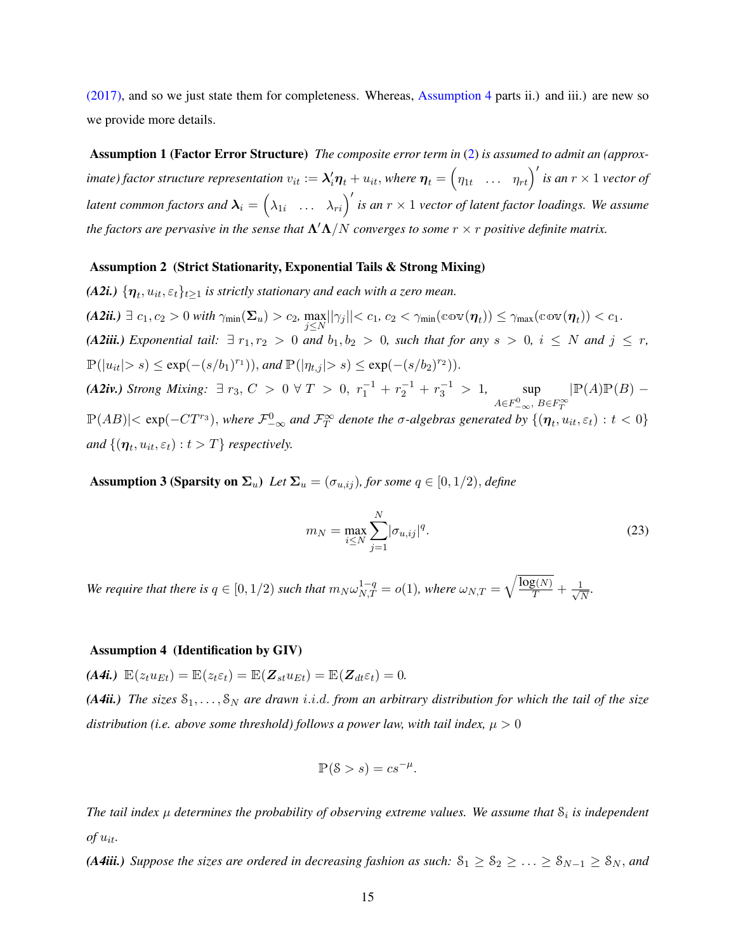<span id="page-15-2"></span>[\(2017\),](#page-41-12) and so we just state them for completeness. Whereas, [Assumption 4](#page-15-0) parts ii.) and iii.) are new so we provide more details.

Assumption 1 (Factor Error Structure) *The composite error term in* [\(2\)](#page-5-3) *is assumed to admit an (approx-*´ *imate)* factor structure representation  $v_{it} := \lambda_i' \eta_t + u_{it}$ , where  $\eta_t = \left(\eta_{1t} \dots \eta_{rt}\right)'$  is an  $r \times 1$  vector of *latent common factors and*  $\lambda_i = (\lambda_{1i} \ldots \lambda_{ri})'$  *is an*  $r \times 1$  *vector of latent factor loadings. We assume the factors are pervasive in the sense that*  $\Lambda' \Lambda/N$  *converges to some*  $r \times r$  *positive definite matrix.* 

#### <span id="page-15-3"></span>Assumption 2 (Strict Stationarity, Exponential Tails & Strong Mixing)

*(A2i.)*  $\{\boldsymbol{\eta}_t, u_{it}, \varepsilon_t\}_{t\geq 1}$  is strictly stationary and each with a zero mean.  $(A2ii.) \ \exists \ c_1, c_2 > 0 \ with \ \gamma_{\min}(\boldsymbol{\Sigma}_u) > c_2, \ \max_{j \leq N} \lvert \lvert \gamma_j \rvert \lvert < c_1, \ c_2 < \gamma_{\min}(\mathbb{cov}(\boldsymbol{\eta}_t)) \leq \gamma_{\max}(\mathbb{cov}(\boldsymbol{\eta}_t)) < c_1.$ *(A2iii.) Exponential tail:*  $\exists r_1, r_2 > 0$  *and*  $b_1, b_2 > 0$ *, such that for any*  $s > 0$ *,*  $i \leq N$  *and*  $j \leq r$ *,*  $\mathbb{P}(|u_{it}| > s) \le \exp(-(s/b_1)^{r_1}),$  and  $\mathbb{P}(|\eta_{t,j}| > s) \le \exp(-(s/b_2)^{r_2}).$ *(A2iv.) Strong Mixing*: ∃  $r_3$ ,  $C > 0$  ∀  $T > 0$ ,  $r_1^{-1} + r_2^{-1} + r_3^{-1} > 1$ , sup<br>*A∈F*<sub> $\infty$ </sub>, *B∈F*<sub> $T$ </sub><sup>∞</sup>  $\mathbb{P}(A)\mathbb{P}(B)$  –  $\mathbb{P}(AB)|<\exp(-CT^{r_3})$ , where  $\mathcal{F}_{-\infty}^0$  and  $\mathcal{F}_T^{\infty}$  denote the  $\sigma$ -algebras generated by  $\{(\boldsymbol{\eta}_t, u_{it}, \varepsilon_t): t<0\}$  $and$   $\{(\boldsymbol{\eta}_t, u_{it}, \varepsilon_t): t > T\}$  *respectively.* 

<span id="page-15-1"></span>**Assumption 3 (Sparsity on**  $\Sigma_u$ **)** *Let*  $\Sigma_u = (\sigma_{u,ij})$ *, for some*  $q \in [0,1/2)$ *, define* 

$$
m_N = \max_{i \le N} \sum_{j=1}^{N} |\sigma_{u,ij}|^q.
$$
 (23)

We require that there is  $q \in [0,1/2)$  such that  $m_N \omega_{N,T}^{1-q} = o(1)$ , where  $\omega_{N,T} = \sqrt{\frac{\log(N)}{T} + \frac{1}{\sqrt{N}}}$  $\frac{\mathsf{L}}{N}$ .

#### <span id="page-15-0"></span>Assumption 4 (Identification by GIV)

 $(A4i.) \mathbb{E}(z_t u_{Et}) = \mathbb{E}(z_t \varepsilon_t) = \mathbb{E}(\mathbf{Z}_{st} u_{Et}) = \mathbb{E}(\mathbf{Z}_{dt} \varepsilon_t) = 0.$ 

*(A4ii.) The sizes*  $S_1, \ldots, S_N$  *are drawn i.i.d. from an arbitrary distribution for which the tail of the size distribution (i.e. above some threshold) follows a power law, with tail index,*  $\mu > 0$ 

$$
\mathbb{P}(\mathcal{S} > s) = cs^{-\mu}.
$$

The tail index  $\mu$  determines the probability of observing extreme values. We assume that  $\mathcal{S}_i$  is independent  $of$   $u_{it}$ .

*(A4iii.) Suppose the sizes are ordered in decreasing fashion as such:*  $S_1 \geq S_2 \geq \ldots \geq S_{N-1} \geq S_N$ *, and*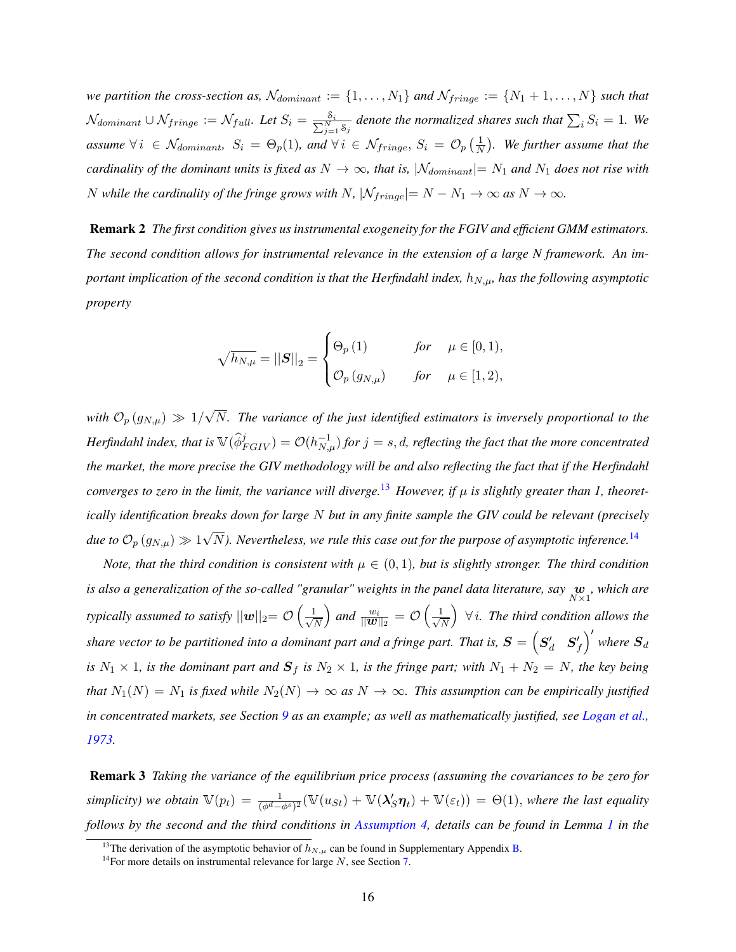*we partition the cross-section as,*  $\mathcal{N}_{dominant} := \{1, \ldots, N_1\}$  *and*  $\mathcal{N}_{fringe} := \{N_1 + 1, \ldots, N\}$  *such that*  $\mathcal{N}_{dominant} \cup \mathcal{N}_{fringe} := \mathcal{N}_{full}$ . Let  $S_i = \frac{S_i}{\sum_{j=1}^N S_j}$  denote the normalized shares such that  $\sum_i S_i = 1$ . We *assume*  $\forall i \in \mathcal{N}_{dominant}$ ,  $S_i = \Theta_p(1)$ , and  $\forall i \in \mathcal{N}_{fringe}$ ,  $S_i = \mathcal{O}_p\left(\frac{1}{N}\right)$  $\frac{1}{N}$ ). We further assume that the *cardinality of the dominant units is fixed as*  $N \to \infty$ *, that is,*  $|\mathcal{N}_{dominant}| = N_1$  *and*  $N_1$  *does not rise with* N while the cardinality of the fringe grows with N,  $|\mathcal{N}_{fringe}| = N - N_1 \rightarrow \infty$  as  $N \rightarrow \infty$ .

<span id="page-16-0"></span>Remark 2 *The first condition gives us instrumental exogeneity for the FGIV and efficient GMM estimators. The second condition allows for instrumental relevance in the extension of a large N framework. An important implication of the second condition is that the Herfindahl index,*  $h_{N,\mu}$ *, has the following asymptotic property*

$$
\sqrt{h_{N,\mu}} = ||\mathbf{S}||_2 = \begin{cases} \Theta_p(1) & \text{for } \mu \in [0,1), \\ \mathcal{O}_p(g_{N,\mu}) & \text{for } \mu \in [1,2), \end{cases}
$$

*with*  $\mathcal{O}_p(g_{N,\mu}) \gg 1/2$ ? N*. The variance of the just identified estimators is inversely proportional to the*  $Herfindahl$  index, that is  $\mathbb{V}(\hat{\phi}^j_{FGIV})=\mathcal{O}(h_{N,\mu}^{-1})$  for  $j=s,d$ , reflecting the fact that the more concentrated *the market, the more precise the GIV methodology will be and also reflecting the fact that if the Herfindahl converges to zero in the limit, the variance will diverge.*<sup>[13](#page-0-0)</sup> *However, if*  $\mu$  *is slightly greater than 1, theoretically identification breaks down for large* N *but in any finite sample the GIV could be relevant (precisely due to*  $\mathcal{O}_p(g_{N,\mu}) \gg 1$  $\sqrt{N}$ ). Nevertheless, we rule this case out for the purpose of asymptotic inference.<sup>[14](#page-0-0)</sup>

*Note, that the third condition is consistent with*  $\mu \in (0,1)$ *, but is slightly stronger. The third condition* is also a generalization of the so-called "granular" weights in the panel data literature, say  $\frac{\bm{w}}{N\times 1}$ , which are *typically assumed to satisfy*  $||w||_2 = \mathcal{O}\left(\frac{1}{\sqrt{2}}\right)$  $\overline{\mathcal{S}}$ .  $\frac{1}{|N|}\bigg)$  and  $\frac{w_i}{||\bm{w}||_2} = \mathcal{O}\left(\frac{1}{\sqrt{N}}\right)$  $\frac{1}{N}$   $\Big)$   $\forall i$ . The third condition allows the share vector to be partitioned into a dominant part and a fringe part. That is,  $\bm{S}=\begin{pmatrix}\bm{S}'_d & \bm{S}'_f\end{pmatrix}$  where  $\bm{S}_d$ *is*  $N_1 \times 1$ *, is the dominant part and*  $S_f$  *is*  $N_2 \times 1$ *, is the fringe part; with*  $N_1 + N_2 = N$ *, the key being that*  $N_1(N) = N_1$  *is fixed while*  $N_2(N) \to \infty$  *as*  $N \to \infty$ *. This assumption can be empirically justified in concentrated markets, see Section [9](#page-28-0) as an example; as well as mathematically justified, see [Logan et al.,](#page-43-11) [1973.](#page-43-11)*

Remark 3 *Taking the variance of the equilibrium price process (assuming the covariances to be zero for* simplicity) we obtain  $\mathbb{V}(p_t) = \frac{1}{(\phi^d - \phi^s)^2} (\mathbb{V}(u_{St}) + \mathbb{V}(\lambda_S' \boldsymbol{\eta}_t) + \mathbb{V}(\varepsilon_t)) = \Theta(1)$ , where the last equality *follows by the second and the third conditions in [Assumption 4,](#page-15-0) details can be found in Lemma [1](#page-34-0) in the*

<sup>&</sup>lt;sup>13</sup>The derivation of the asymptotic behavior of  $h_{N,\mu}$  can be found in Supplementary Appendix [B.](#page-49-0)

<sup>&</sup>lt;sup>14</sup>For more details on instrumental relevance for large  $N$ , see Section [7.](#page-23-1)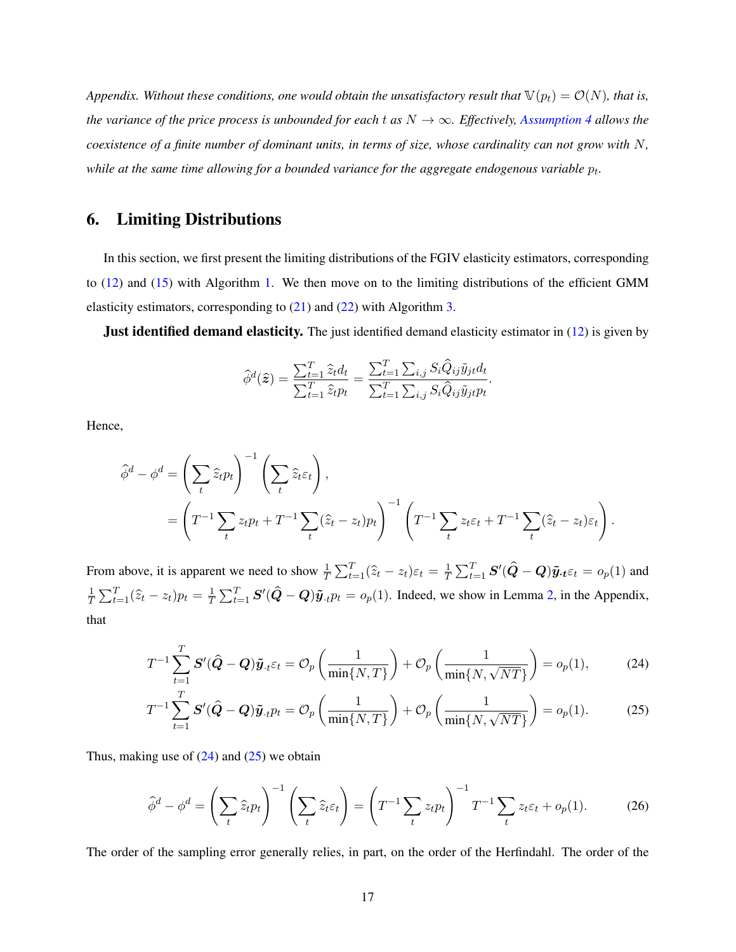*Appendix. Without these conditions, one would obtain the unsatisfactory result that*  $\mathbb{V}(p_t) = \mathcal{O}(N)$ *, that is, the variance of the price process is unbounded for each t as*  $N \to \infty$ *. Effectively, [Assumption 4](#page-15-0) allows the coexistence of a finite number of dominant units, in terms of size, whose cardinality can not grow with* N, while at the same time allowing for a bounded variance for the aggregate endogenous variable  $p_t$ .

# <span id="page-17-0"></span>6. Limiting Distributions

In this section, we first present the limiting distributions of the FGIV elasticity estimators, corresponding to [\(12\)](#page-9-1) and [\(15\)](#page-9-0) with Algorithm [1.](#page-10-0) We then move on to the limiting distributions of the efficient GMM elasticity estimators, corresponding to  $(21)$  and  $(22)$  with Algorithm [3.](#page-14-0)

**Just identified demand elasticity.** The just identified demand elasticity estimator in [\(12\)](#page-9-1) is given by

<span id="page-17-1"></span>
$$
\widehat{\phi}^d(\widehat{\boldsymbol{z}}) = \frac{\sum_{t=1}^T \widehat{z}_t d_t}{\sum_{t=1}^T \widehat{z}_t p_t} = \frac{\sum_{t=1}^T \sum_{i,j} S_i \widehat{Q}_{ij} \widetilde{y}_{jt} d_t}{\sum_{t=1}^T \sum_{i,j} S_i \widehat{Q}_{ij} \widetilde{y}_{jt} p_t}.
$$

Hence,

$$
\hat{\phi}^d - \phi^d = \left(\sum_t \hat{z}_t p_t\right)^{-1} \left(\sum_t \hat{z}_t \varepsilon_t\right),
$$
  
= 
$$
\left(T^{-1} \sum_t z_t p_t + T^{-1} \sum_t (\hat{z}_t - z_t) p_t\right)^{-1} \left(T^{-1} \sum_t z_t \varepsilon_t + T^{-1} \sum_t (\hat{z}_t - z_t) \varepsilon_t\right).
$$

From above, it is apparent we need to show  $\frac{1}{T} \sum_{t=1}^{T} (\hat{z}_t - z_t) \varepsilon_t = \frac{1}{T}$  $\frac{1}{T}\sum_{t=1}^T \bm{S}'(\widehat{\bm{Q}} - \bm{Q})\tilde{\bm{y}}.\bm{t}\varepsilon_t = o_p(1)$  and 1  $\frac{1}{T} \sum_{t=1}^{T} (\hat{z}_t - z_t) p_t = \frac{1}{T}$  $\frac{1}{T} \sum_{t=1}^{T} S'(\hat{Q} - Q)\tilde{y}_{.t} p_t = o_p(1)$ . Indeed, we show in Lemma [2,](#page-35-0) in the Appendix, that

$$
T^{-1} \sum_{t=1}^{T} \mathbf{S}'(\hat{\mathbf{Q}} - \mathbf{Q}) \tilde{\mathbf{y}}_{\cdot t} \varepsilon_t = \mathcal{O}_p\left(\frac{1}{\min\{N, T\}}\right) + \mathcal{O}_p\left(\frac{1}{\min\{N, \sqrt{NT\}}}\right) = o_p(1),\tag{24}
$$

<span id="page-17-2"></span>
$$
T^{-1} \sum_{t=1}^{T} \mathbf{S}'(\hat{\mathbf{Q}} - \mathbf{Q}) \tilde{\mathbf{y}}_{\cdot t} p_t = \mathcal{O}_p\left(\frac{1}{\min\{N, T\}}\right) + \mathcal{O}_p\left(\frac{1}{\min\{N, \sqrt{NT\}}}\right) = o_p(1). \tag{25}
$$

Thus, making use of  $(24)$  and  $(25)$  we obtain

<span id="page-17-3"></span>
$$
\hat{\phi}^d - \phi^d = \left(\sum_t \hat{z}_t p_t\right)^{-1} \left(\sum_t \hat{z}_t \varepsilon_t\right) = \left(T^{-1} \sum_t z_t p_t\right)^{-1} T^{-1} \sum_t z_t \varepsilon_t + o_p(1). \tag{26}
$$

The order of the sampling error generally relies, in part, on the order of the Herfindahl. The order of the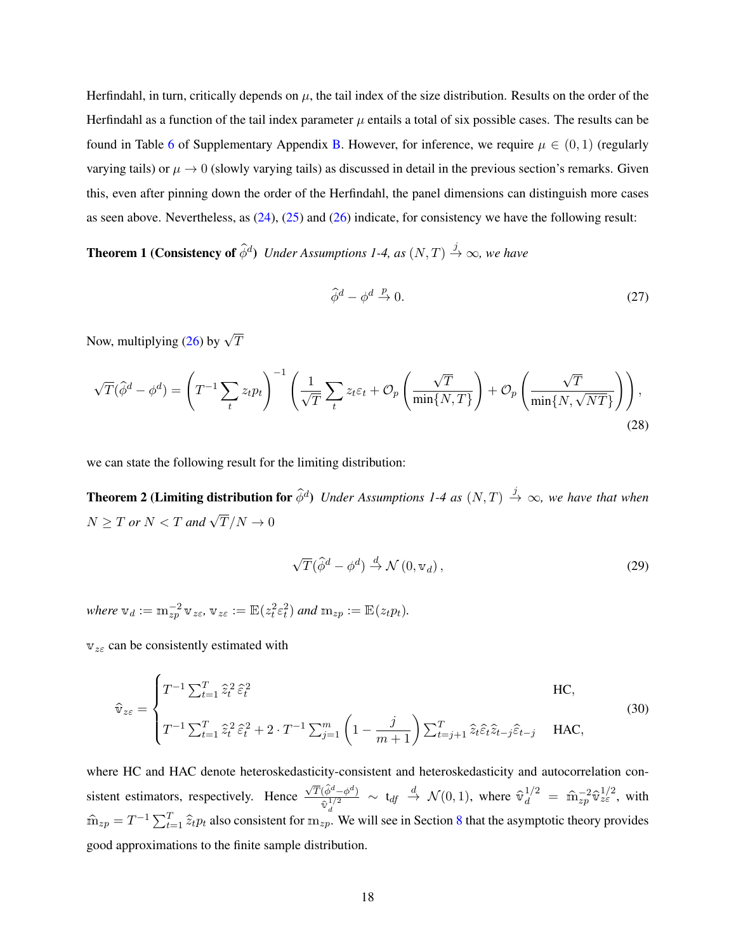Herfindahl, in turn, critically depends on  $\mu$ , the tail index of the size distribution. Results on the order of the Herfindahl as a function of the tail index parameter  $\mu$  entails a total of six possible cases. The results can be found in Table [6](#page-49-1) of Supplementary Appendix [B.](#page-49-0) However, for inference, we require  $\mu \in (0,1)$  (regularly varying tails) or  $\mu \to 0$  (slowly varying tails) as discussed in detail in the previous section's remarks. Given this, even after pinning down the order of the Herfindahl, the panel dimensions can distinguish more cases as seen above. Nevertheless, as [\(24\)](#page-17-1), [\(25\)](#page-17-2) and [\(26\)](#page-17-3) indicate, for consistency we have the following result:

**Theorem 1 (Consistency of**  $\hat{\phi}^d$ ) *Under Assumptions 1-4, as*  $(N, T) \stackrel{j}{\rightarrow} \infty$ *, we have* 

<span id="page-18-0"></span>
$$
\hat{\phi}^d - \phi^d \stackrel{p}{\to} 0. \tag{27}
$$

Now, multiplying [\(26\)](#page-17-3) by  $\sqrt{T}$ 

$$
\sqrt{T}(\hat{\phi}^d - \phi^d) = \left(T^{-1} \sum_t z_t p_t\right)^{-1} \left(\frac{1}{\sqrt{T}} \sum_t z_t \varepsilon_t + \mathcal{O}_p\left(\frac{\sqrt{T}}{\min\{N, T\}}\right) + \mathcal{O}_p\left(\frac{\sqrt{T}}{\min\{N, \sqrt{NT\}}}\right)\right),\tag{28}
$$

we can state the following result for the limiting distribution:

**Theorem 2 (Limiting distribution for**  $\widehat{\phi}^d$ ) *Under Assumptions 1-4 as*  $(N,T) \stackrel{j}{\to} \infty$ *, we have that when*  $N \geq T$  or  $N < T$  and  $\sqrt{T}/N \to 0$ 

<span id="page-18-2"></span><span id="page-18-1"></span>
$$
\sqrt{T}(\hat{\phi}^d - \phi^d) \stackrel{d}{\rightarrow} \mathcal{N}(0, \mathbf{v}_d), \qquad (29)
$$

where  $\mathbb{v}_d := \mathbb{m}_{zp}^{-2} \mathbb{v}_{z\epsilon}$ ,  $\mathbb{v}_{z\epsilon} := \mathbb{E}(z_t^2 \epsilon_t^2)$  and  $\mathbb{m}_{zp} := \mathbb{E}(z_t p_t)$ .

 $v_{z\epsilon}$  can be consistently estimated with

$$
\hat{\mathbf{v}}_{z\varepsilon} = \begin{cases}\nT^{-1} \sum_{t=1}^{T} \hat{z}_t^2 \hat{\varepsilon}_t^2 & \text{HC}, \\
T^{-1} \sum_{t=1}^{T} \hat{z}_t^2 \hat{\varepsilon}_t^2 + 2 \cdot T^{-1} \sum_{j=1}^{m} \left(1 - \frac{j}{m+1}\right) \sum_{t=j+1}^{T} \hat{z}_t \hat{\varepsilon}_t^2 \hat{z}_{t-j} \hat{\varepsilon}_{t-j} & \text{HAC},\n\end{cases}
$$
\n(30)

where HC and HAC denote heteroskedasticity-consistent and heteroskedasticity and autocorrelation consistent estimators, respectively. Hence  $\sqrt{T}(\hat{\phi}^d - \phi^d)$  $\frac{(\hat{\phi}^d - \phi^d)}{\hat{\mathbb{v}}_d^{1/2}}$   $\sim$  t<sub>df</sub>  $\overset{d}{\rightarrow}$   $\mathcal{N}(0, 1)$ , where  $\hat{\mathbb{v}}_d^{1/2}$  =  $\hat{\mathbb{m}}_{zp}^{-2} \hat{\mathbb{v}}_{z\epsilon}^{1/2}$ , with  $\hat{m}_{zp} = T^{-1} \sum_{t=1}^{T} \hat{z}_t p_t$  also consistent for  $m_{zp}$ . We will see in Section [8](#page-27-0) that the asymptotic theory provides good approximations to the finite sample distribution.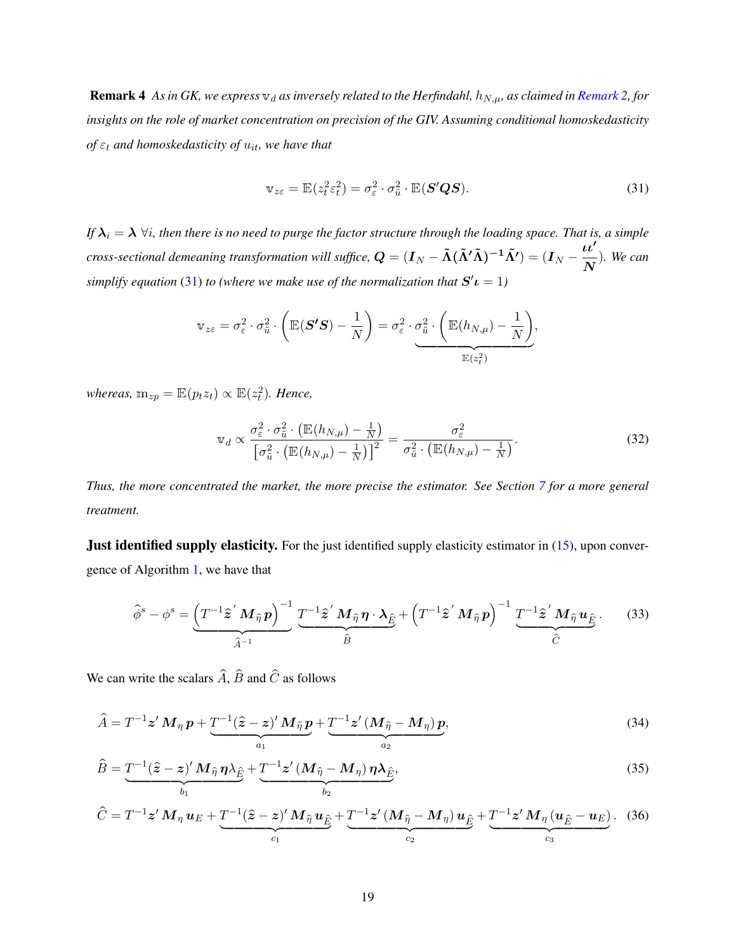**Remark 4** As in GK, we express  $v_d$  as inversely related to the Herfindahl,  $h_{N,\mu}$ , as claimed in *[Remark 2,](#page-16-0)* for *insights on the role of market concentration on precision of the GIV. Assuming conditional homoskedasticity of*  $\varepsilon_t$  *and homoskedasticity of*  $u_{it}$ *, we have that* 

<span id="page-19-0"></span>
$$
\mathbf{v}_{z\varepsilon} = \mathbb{E}(z_t^2 \varepsilon_t^2) = \sigma_{\varepsilon}^2 \cdot \sigma_{\tilde{u}}^2 \cdot \mathbb{E}(\mathbf{S}'\mathbf{Q}\mathbf{S}).
$$
\n(31)

*If*  $\lambda_i = \lambda$   $\forall i$ , then there is no need to purge the factor structure through the loading space. That is, a simple *cross-sectional demeaning transformation will suffice,*  $Q = (I_N - \tilde{\Lambda}(\tilde{\Lambda}'\tilde{\Lambda})^{-1}\tilde{\Lambda}') = (I_N - \frac{\iota\iota'}{\Lambda}$ N )*. We can* simplify equation [\(31\)](#page-19-0) to (where we make use of the normalization that  $S'$  $\iota$  = 1)

$$
\mathbb{v}_{z\varepsilon} = \sigma_{\varepsilon}^2 \cdot \sigma_{\tilde{u}}^2 \cdot \left( \mathbb{E}(\boldsymbol{S'S}) - \frac{1}{N} \right) = \sigma_{\varepsilon}^2 \cdot \sigma_{\tilde{u}}^2 \cdot \underbrace{\left( \mathbb{E}(h_{N,\mu}) - \frac{1}{N} \right)}_{\mathbb{E}(z_{\varepsilon}^2)},
$$

 $whereas, m_{zp} = \mathbb{E}(p_t z_t) \propto \mathbb{E}(z_t^2)$ . Hence,

<span id="page-19-1"></span>
$$
\mathbb{v}_d \propto \frac{\sigma_{\varepsilon}^2 \cdot \sigma_{\tilde{u}}^2 \cdot \left( \mathbb{E}(h_{N,\mu}) - \frac{1}{N} \right)}{\left[ \sigma_{\tilde{u}}^2 \cdot \left( \mathbb{E}(h_{N,\mu}) - \frac{1}{N} \right) \right]^2} = \frac{\sigma_{\varepsilon}^2}{\sigma_{\tilde{u}}^2 \cdot \left( \mathbb{E}(h_{N,\mu}) - \frac{1}{N} \right)}.
$$
\n(32)

*Thus, the more concentrated the market, the more precise the estimator. See Section [7](#page-23-1) for a more general treatment.*

**Just identified supply elasticity.** For the just identified supply elasticity estimator in [\(15\)](#page-9-0), upon convergence of Algorithm [1,](#page-10-0) we have that

<span id="page-19-2"></span>
$$
\hat{\phi}^s - \phi^s = \underbrace{\left(T^{-1}\hat{\mathbf{z}}'\,\mathbf{M}_{\hat{\eta}}\,\mathbf{p}\right)^{-1}}_{\hat{A}^{-1}}\,\underbrace{T^{-1}\hat{\mathbf{z}}'\,\mathbf{M}_{\hat{\eta}}\,\mathbf{\eta}\cdot\mathbf{\lambda}_{\hat{E}}}_{\hat{B}} + \left(T^{-1}\hat{\mathbf{z}}'\,\mathbf{M}_{\hat{\eta}}\,\mathbf{p}\right)^{-1}\,\underbrace{T^{-1}\hat{\mathbf{z}}'\,\mathbf{M}_{\hat{\eta}}\,\mathbf{u}_{\hat{E}}}_{\hat{C}}.\tag{33}
$$

We can write the scalars  $\hat{A}$ ,  $\hat{B}$  and  $\hat{C}$  as follows

$$
\widehat{A} = T^{-1} \mathbf{z}' \, \mathbf{M}_{\eta} \, \mathbf{p} + \underbrace{T^{-1} (\widehat{\mathbf{z}} - \mathbf{z})' \, \mathbf{M}_{\widehat{\eta}} \, \mathbf{p}}_{a_1} + \underbrace{T^{-1} \mathbf{z}' \, (\mathbf{M}_{\widehat{\eta}} - \mathbf{M}_{\eta}) \, \mathbf{p}}_{a_2},\tag{34}
$$

$$
\hat{B} = \underbrace{T^{-1}(\hat{z} - z)'}_{b_1} M_{\hat{\eta}} \eta \lambda_{\hat{E}} + \underbrace{T^{-1}z' (M_{\hat{\eta}} - M_{\eta}) \eta \lambda_{\hat{E}}}_{b_2},
$$
\n(35)

<span id="page-19-3"></span>
$$
\hat{C} = T^{-1} \mathbf{z}' \mathbf{M}_{\eta} \mathbf{u}_E + \underbrace{T^{-1}(\hat{\mathbf{z}} - \mathbf{z})' \mathbf{M}_{\hat{\eta}} \mathbf{u}_{\hat{E}}}_{c_1} + \underbrace{T^{-1} \mathbf{z}' (\mathbf{M}_{\hat{\eta}} - \mathbf{M}_{\eta}) \mathbf{u}_{\hat{E}}}_{c_2} + \underbrace{T^{-1} \mathbf{z}' \mathbf{M}_{\eta} (\mathbf{u}_{\hat{E}} - \mathbf{u}_E)}_{c_3}.
$$
 (36)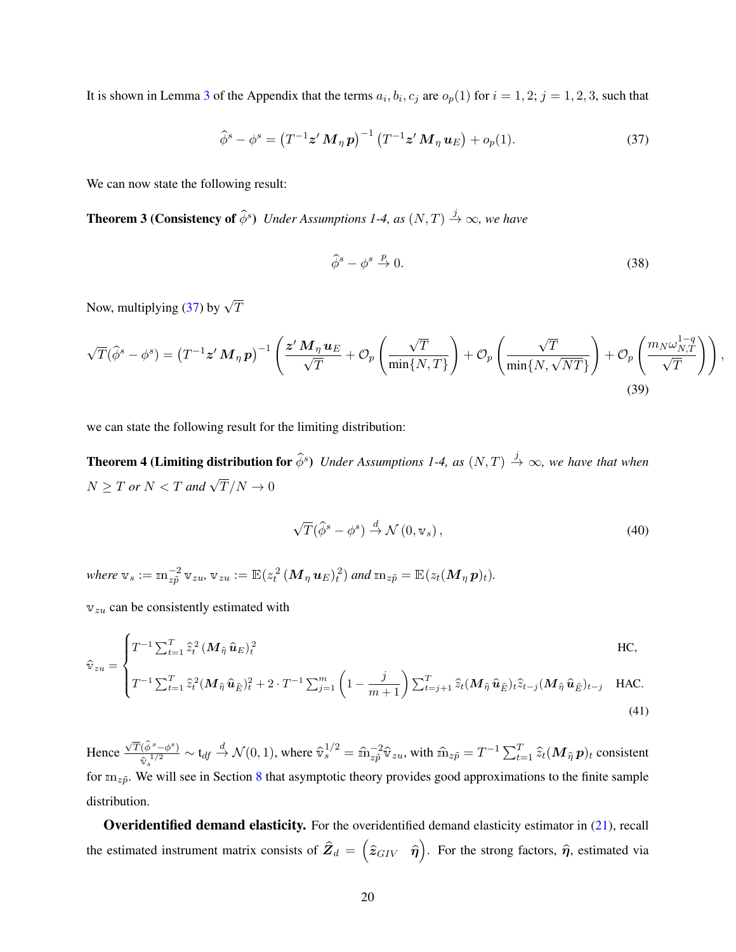It is shown in Lemma [3](#page-38-0) of the Appendix that the terms  $a_i, b_i, c_j$  are  $o_p(1)$  for  $i = 1, 2; j = 1, 2, 3$ , such that

<span id="page-20-1"></span>
$$
\widehat{\phi}^s - \phi^s = \left(T^{-1} \mathbf{z}' \, \mathbf{M}_{\eta} \, \mathbf{p}\right)^{-1} \left(T^{-1} \mathbf{z}' \, \mathbf{M}_{\eta} \, \mathbf{u}_E\right) + o_p(1). \tag{37}
$$

We can now state the following result:

**Theorem 3 (Consistency of**  $\widehat{\phi}^s$ ) Under Assumptions 1-4, as  $(N, T) \stackrel{j}{\rightarrow} \infty$ , we have

$$
\hat{\phi}^s - \phi^s \stackrel{p}{\to} 0. \tag{38}
$$

<span id="page-20-0"></span>,

Now, multiplying [\(37\)](#page-20-0) by  $\sqrt{T}$ 

$$
\sqrt{T}(\hat{\phi}^s - \phi^s) = (T^{-1}z' M_\eta \mathbf{p})^{-1} \left( \frac{z' M_\eta u_E}{\sqrt{T}} + \mathcal{O}_p \left( \frac{\sqrt{T}}{\min\{N, T\}} \right) + \mathcal{O}_p \left( \frac{\sqrt{T}}{\min\{N, \sqrt{NT\}}}\right) + \mathcal{O}_p \left( \frac{m_N \omega_{N,T}^{1-q}}{\sqrt{T}}\right) \right)
$$
\n(39)

we can state the following result for the limiting distribution:

**Theorem 4 (Limiting distribution for**  $\widehat{\phi}^s$ ) *Under Assumptions 1-4, as*  $(N,T) \stackrel{j}{\to} \infty$ *, we have that when*  $N \geq T$  or  $N < T$  and  $\sqrt{T}/N \to 0$ 

<span id="page-20-2"></span>
$$
\sqrt{T}(\hat{\phi}^s - \phi^s) \stackrel{d}{\rightarrow} \mathcal{N}(0, \mathbf{v}_s), \qquad (40)
$$

where  $\mathrm{v}_s := \mathrm{m}_{z\tilde{p}}^{-2} \, \mathrm{v}_{zu}$ ,  $\mathrm{v}_{zu} := \mathbb{E}(z_t^2 \, (\boldsymbol{M}_\eta \, \boldsymbol{u}_E)_t^2)$  and  $\mathrm{m}_{z\tilde{p}} = \mathbb{E}(z_t(\boldsymbol{M}_\eta \, \boldsymbol{p})_t)$ .

 $v_{zu}$  can be consistently estimated with

$$
\widehat{\mathbf{v}}_{zu} = \begin{cases}\nT^{-1} \sum_{t=1}^{T} \widehat{z}_t^2 \left(M_{\widehat{\eta}} \,\widehat{\mathbf{u}}_E\right)_t^2 & \text{HC}, \\
T^{-1} \sum_{t=1}^{T} \widehat{z}_t^2 \left(M_{\widehat{\eta}} \,\widehat{\mathbf{u}}_{\widehat{E}}\right)_t^2 + 2 \cdot T^{-1} \sum_{j=1}^{m} \left(1 - \frac{j}{m+1}\right) \sum_{t=j+1}^{T} \widehat{z}_t \left(M_{\widehat{\eta}} \,\widehat{\mathbf{u}}_{\widehat{E}}\right)_t \widehat{z}_{t-j} \left(M_{\widehat{\eta}} \,\widehat{\mathbf{u}}_{\widehat{E}}\right)_t - j & \text{HAC}.\n\end{cases}
$$

$$
\left(T^{-1}\sum_{t=1}^{T}\hat{z}_{t}^{2}(M_{\hat{\eta}}\hat{\mathbf{u}}_{\hat{E}})_{t}^{2}+2\cdot T^{-1}\sum_{j=1}^{m}\left(1-\frac{J}{m+1}\right)\sum_{t=j+1}^{T}\hat{z}_{t}(M_{\hat{\eta}}\hat{\mathbf{u}}_{\hat{E}})_{t}\hat{z}_{t-j}(M_{\hat{\eta}}\hat{\mathbf{u}}_{\hat{E}})_{t-j}\right)
$$
 HAC. (41)

Hence  $\sqrt{T}(\hat{\phi}^s - \phi^s)$  $\frac{(\hat{\phi}^s - \phi^s)}{\hat{\mathbf{v}}_s^{1/2}} \sim \mathbf{t}_{df} \stackrel{d}{\rightarrow} \mathcal{N}(0, 1)$ , where  $\hat{\mathbf{v}}_s^{1/2} = \hat{\mathbf{m}}_{z\tilde{p}}^{-2} \hat{\mathbf{v}}_{zu}$ , with  $\hat{\mathbf{m}}_{z\tilde{p}} = T^{-1} \sum_{t=1}^T \hat{z}_t (\mathbf{M}_{\hat{\eta}} \mathbf{p})_t$  consistent for  $m_{z\tilde{p}}$ . We will see in Section [8](#page-27-0) that asymptotic theory provides good approximations to the finite sample distribution.

Overidentified demand elasticity. For the overidentified demand elasticity estimator in [\(21\)](#page-13-0), recall the estimated instrument matrix consists of  $\hat{Z}_d = (\hat{z}_{GIV} \ \ \hat{\eta})$ . For the strong factors,  $\hat{\eta}$ , estimated via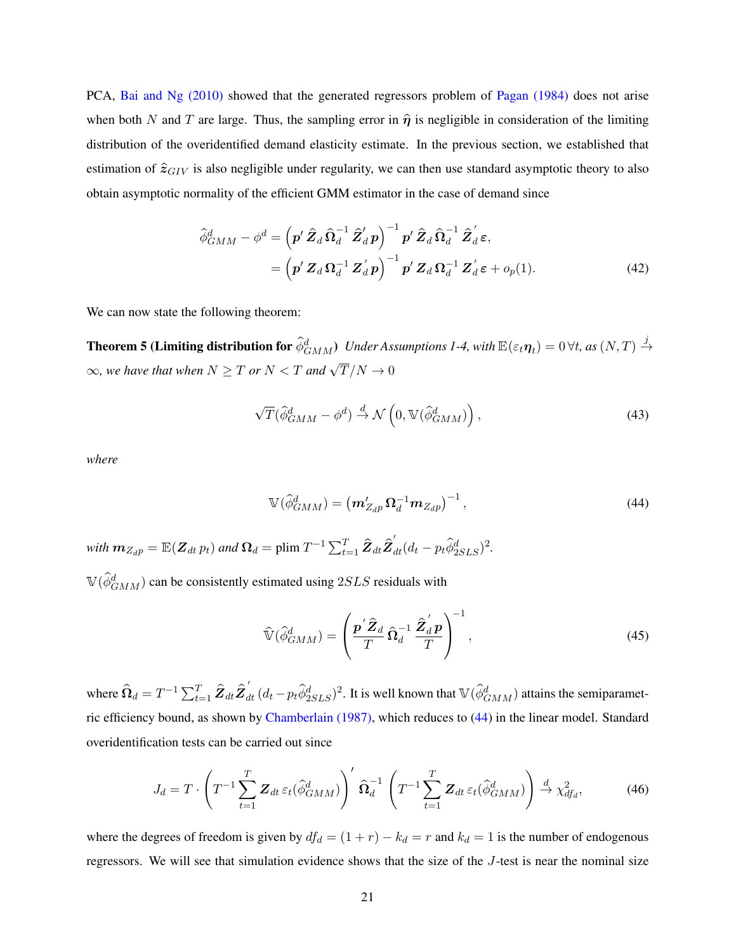PCA, [Bai and Ng \(2010\)](#page-41-1) showed that the generated regressors problem of [Pagan \(1984\)](#page-43-12) does not arise when both N and T are large. Thus, the sampling error in  $\hat{\eta}$  is negligible in consideration of the limiting distribution of the overidentified demand elasticity estimate. In the previous section, we established that estimation of  $\hat{z}_{GIV}$  is also negligible under regularity, we can then use standard asymptotic theory to also obtain asymptotic normality of the efficient GMM estimator in the case of demand since

$$
\hat{\phi}_{GMM}^{d} - \phi^{d} = \left( \mathbf{p}' \, \hat{\mathbf{Z}}_{d} \, \hat{\mathbf{\Omega}}_{d}^{-1} \, \hat{\mathbf{Z}}_{d}' \, \mathbf{p} \right)^{-1} \mathbf{p}' \, \hat{\mathbf{Z}}_{d} \, \hat{\mathbf{\Omega}}_{d}^{-1} \, \hat{\mathbf{Z}}_{d}' \, \boldsymbol{\varepsilon},
$$
\n
$$
= \left( \mathbf{p}' \, \mathbf{Z}_{d} \, \mathbf{\Omega}_{d}^{-1} \, \mathbf{Z}_{d}' \, \mathbf{p} \right)^{-1} \mathbf{p}' \, \mathbf{Z}_{d} \, \mathbf{\Omega}_{d}^{-1} \, \mathbf{Z}_{d}' \, \boldsymbol{\varepsilon} + o_{p}(1). \tag{42}
$$

We can now state the following theorem:

Theorem 5 (Limiting distribution for  $\hat{\phi}^d_{GMM}$ ) Under Assumptions 1-4, with  $\mathbb{E}(\varepsilon_t\bm{\eta}_t)=0$   $\forall t$ , as  $(N,T)\stackrel{j}{\rightarrow}$  $\infty$ , we have that when  $N \geq T$  or  $N < T$  and  $\sqrt{T}/N \to 0$ 

<span id="page-21-1"></span>
$$
\sqrt{T}(\hat{\phi}_{GMM}^{d} - \phi^{d}) \stackrel{d}{\rightarrow} \mathcal{N}\left(0, \mathbb{V}(\hat{\phi}_{GMM}^{d})\right),\tag{43}
$$

*where*

<span id="page-21-0"></span>
$$
\mathbb{V}(\hat{\phi}_{GMM}^d) = \left(\mathbf{m}_{Z_{dP}}'\mathbf{\Omega}_d^{-1}\mathbf{m}_{Z_{dP}}\right)^{-1},\tag{44}
$$

with  $\bm{m}_{Z_{d}p} = \mathbb{E}(\bm{Z}_{dt}\, p_t)$  and  $\bm{\Omega}_d = \text{plim}\; T^{-1}\sum_{t=1}^T\bm{\hat{Z}}_{dt}\bm{\hat{Z}}_{dt}^{'}(d_t-p_t\widehat{\phi}_{2SLS}^d)^2.$  $\mathbb{V}(\hat{\phi}_{GMM}^d)$  can be consistently estimated using  $2SLS$  residuals with

$$
\widehat{\mathbb{V}}(\widehat{\phi}_{GMM}^d) = \left(\frac{\boldsymbol{p}'\widehat{\boldsymbol{Z}}_d}{T}\widehat{\boldsymbol{\Omega}}_d^{-1}\frac{\widehat{\boldsymbol{Z}}_d' \boldsymbol{p}}{T}\right)^{-1},\tag{45}
$$

where  $\widehat{\Omega}_d = T^{-1} \sum_{t=1}^T \widehat{Z}_{dt} \widehat{Z}_{dt}^{'} (d_t - p_t \widehat{\phi}_{2SLS}^d)^2$ . It is well known that  $\mathbb{V}(\widehat{\phi}_{GMM}^d)$  attains the semiparametric efficiency bound, as shown by [Chamberlain \(1987\),](#page-42-15) which reduces to [\(44\)](#page-21-0) in the linear model. Standard overidentification tests can be carried out since

$$
J_d = T \cdot \left( T^{-1} \sum_{t=1}^T \mathbf{Z}_{dt} \, \varepsilon_t \left( \widehat{\phi}_{GMM}^d \right) \right)' \, \widehat{\mathbf{\Omega}}_d^{-1} \left( T^{-1} \sum_{t=1}^T \mathbf{Z}_{dt} \, \varepsilon_t \left( \widehat{\phi}_{GMM}^d \right) \right) \stackrel{d}{\rightarrow} \chi_{df_d}^2, \tag{46}
$$

where the degrees of freedom is given by  $df_d = (1 + r) - k_d = r$  and  $k_d = 1$  is the number of endogenous regressors. We will see that simulation evidence shows that the size of the J-test is near the nominal size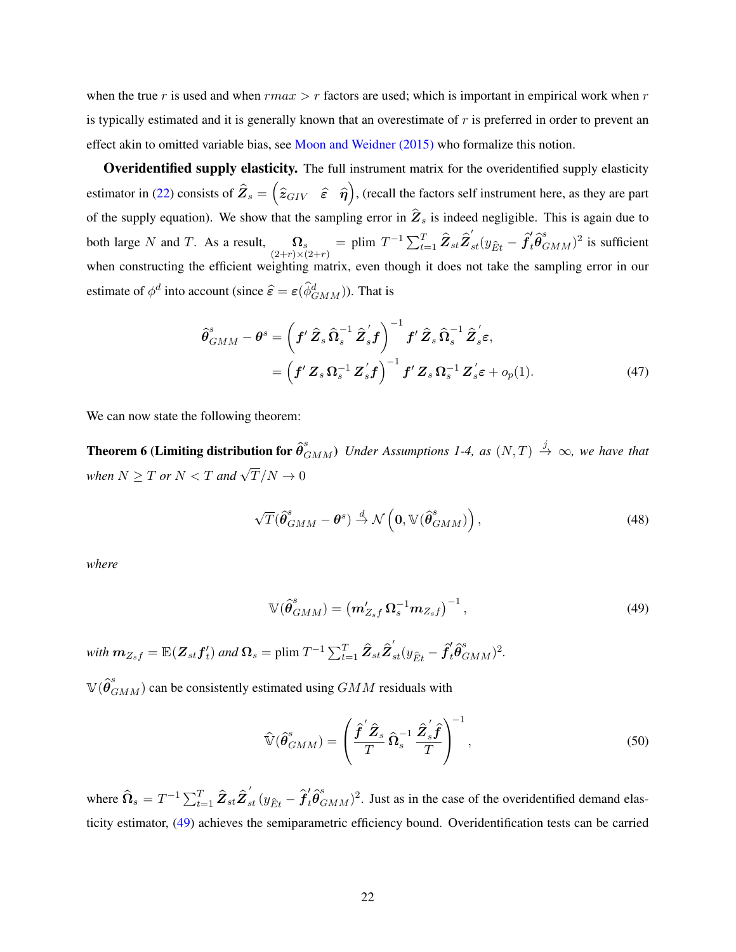when the true r is used and when  $rmax > r$  factors are used; which is important in empirical work when r is typically estimated and it is generally known that an overestimate of  $r$  is preferred in order to prevent an effect akin to omitted variable bias, see [Moon and Weidner \(2015\)](#page-43-13) who formalize this notion.

Overidentified supply elasticity. The full instrument matrix for the overidentified supply elasticity estimator in [\(22\)](#page-13-1) consists of  $\hat{Z}_s = \begin{pmatrix} \hat{z}_{GIV} & \hat{\epsilon} & \hat{\eta} \end{pmatrix}$ , (recall the factors self instrument here, as they are part of the supply equation). We show that the sampling error in  $\hat{Z}_s$  is indeed negligible. This is again due to both large N and T. As a result,  $\Omega_s$ <br>(2+r)×(2+r)  $=$  plim  $T^{-1} \sum_{t=1}^T \hat{Z}_{st} \hat{Z}_{st}^{'} (y_{\hat{E}t} - \hat{f}_t^{\prime} \hat{\theta}_{GMM}^s)^2$  is sufficient when constructing the efficient weighting matrix, even though it does not take the sampling error in our estimate of  $\phi^d$  into account (since  $\hat{\epsilon} = \epsilon(\hat{\phi}^d_{GMM})$ ). That is

$$
\widehat{\boldsymbol{\theta}}_{GMM}^{s} - \boldsymbol{\theta}^{s} = \left(\boldsymbol{f}'\,\widehat{\boldsymbol{Z}}_{s}\,\widehat{\boldsymbol{\Omega}}_{s}^{-1}\,\widehat{\boldsymbol{Z}}_{s}'\boldsymbol{f}\right)^{-1}\boldsymbol{f}'\,\widehat{\boldsymbol{Z}}_{s}\,\widehat{\boldsymbol{\Omega}}_{s}^{-1}\,\widehat{\boldsymbol{Z}}_{s}'\boldsymbol{\varepsilon},
$$
\n
$$
= \left(\boldsymbol{f}'\,\boldsymbol{Z}_{s}\,\boldsymbol{\Omega}_{s}^{-1}\,\boldsymbol{Z}_{s}'\boldsymbol{f}\right)^{-1}\boldsymbol{f}'\,\boldsymbol{Z}_{s}\,\boldsymbol{\Omega}_{s}^{-1}\,\boldsymbol{Z}_{s}'\boldsymbol{\varepsilon} + o_{p}(1). \tag{47}
$$

We can now state the following theorem:

**Theorem 6 (Limiting distribution for**  $\hat{\theta}_{GMM}^s$ **)** Under Assumptions 1-4, as  $(N,T) \stackrel{j}{\to} \infty$ , we have that when  $N \geq T$  or  $N < T$  and  $\sqrt{T}/N \to 0$ 

<span id="page-22-1"></span>
$$
\sqrt{T}(\hat{\boldsymbol{\theta}}_{GMM}^{s} - \boldsymbol{\theta}^{s}) \stackrel{d}{\rightarrow} \mathcal{N}\left(\mathbf{0}, \mathbb{V}(\hat{\boldsymbol{\theta}}_{GMM}^{s})\right),
$$
\n(48)

*where*

<span id="page-22-0"></span>
$$
\mathbb{V}(\hat{\theta}_{GMM}^{s}) = \left(m'_{Z_{s}f} \,\Omega_{s}^{-1}m_{Z_{s}f}\right)^{-1},\tag{49}
$$

with  $\bm{m}_{Z_s f} = \mathbb{E}(\bm{Z}_{st} \bm{f}_t')$  and  $\bm{\Omega}_s = \text{plim} \ T^{-1} \sum_{t=1}^T \widehat{\bm{Z}}_{st} \widehat{\bm{Z}}_{st}' (y_{\hat{E}t} - \widehat{\bm{f}}_t' \widehat{\bm{\theta}}_{GMM}^s)^2.$ 

 $\mathbb{V}(\hat{\theta}_{GMM}^s)$  can be consistently estimated using  $GMM$  residuals with

$$
\widehat{\mathbb{V}}(\widehat{\boldsymbol{\theta}}_{GMM}^s) = \left(\frac{\widehat{\boldsymbol{f}}^{'\hat{\boldsymbol{Z}}_s}}{T} \widehat{\boldsymbol{\Omega}}_s^{-1} \frac{\widehat{\boldsymbol{Z}}_s^{'\hat{\boldsymbol{f}}}}{T}\right)^{-1},\tag{50}
$$

where  $\widehat{\Omega}_s = T^{-1} \sum_{t=1}^T \widehat{Z}_{st} \widehat{Z}_{st}^{'} (y_{\widehat{E}t} - \widehat{f}_t^l \widehat{\theta}_{GMM}^s)^2$ . Just as in the case of the overidentified demand elasticity estimator, [\(49\)](#page-22-0) achieves the semiparametric efficiency bound. Overidentification tests can be carried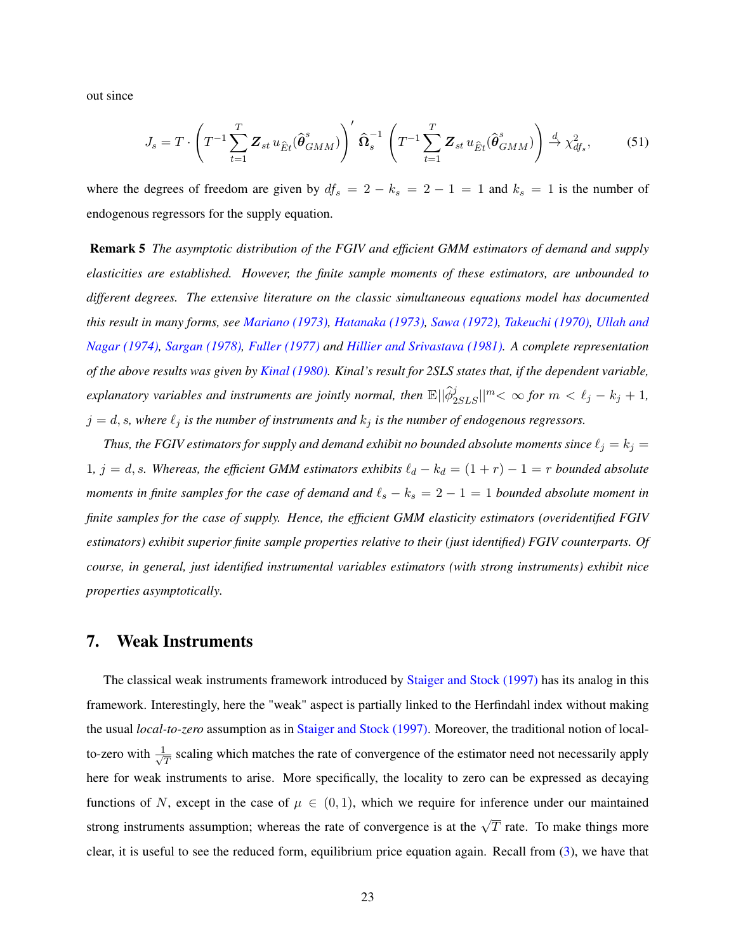out since

<span id="page-23-0"></span>
$$
J_s = T \cdot \left( T^{-1} \sum_{t=1}^T \mathbf{Z}_{st} u_{\hat{E}t} (\hat{\boldsymbol{\theta}}_{GMM}^s) \right)' \hat{\boldsymbol{\Omega}}_s^{-1} \left( T^{-1} \sum_{t=1}^T \mathbf{Z}_{st} u_{\hat{E}t} (\hat{\boldsymbol{\theta}}_{GMM}^s) \right) \stackrel{d}{\rightarrow} \chi^2_{df_s}, \tag{51}
$$

where the degrees of freedom are given by  $df_s = 2 - k_s = 2 - 1 = 1$  and  $k_s = 1$  is the number of endogenous regressors for the supply equation.

Remark 5 *The asymptotic distribution of the FGIV and efficient GMM estimators of demand and supply elasticities are established. However, the finite sample moments of these estimators, are unbounded to different degrees. The extensive literature on the classic simultaneous equations model has documented this result in many forms, see [Mariano \(1973\),](#page-43-14) [Hatanaka \(1973\),](#page-42-16) [Sawa \(1972\),](#page-43-15) [Takeuchi \(1970\),](#page-43-16) [Ullah and](#page-43-17) [Nagar \(1974\),](#page-43-17) [Sargan \(1978\),](#page-43-18) [Fuller \(1977\)](#page-42-17) and [Hillier and Srivastava \(1981\).](#page-42-18) A complete representation of the above results was given by [Kinal \(1980\).](#page-43-19) Kinal's result for 2SLS states that, if the dependent variable,*  $e$ xplanatory variables and instruments are jointly normal, then  $\mathbb{E}||\hat{\phi}_{2SLS}^j||^m < \infty$  for  $m < \ell_j - k_j + 1$ ,  $j = d, s$ , where  $\ell_j$  *is the number of instruments and*  $k_j$  *is the number of endogenous regressors.* 

*Thus, the FGIV estimators for supply and demand exhibit no bounded absolute moments since*  $\ell_j = k_j =$ 1*,*  $j = d$ , s. Whereas, the efficient GMM estimators exhibits  $\ell_d - k_d = (1 + r) - 1 = r$  bounded absolute *moments in finite samples for the case of demand and*  $\ell_s - k_s = 2 - 1 = 1$  *bounded absolute moment in finite samples for the case of supply. Hence, the efficient GMM elasticity estimators (overidentified FGIV estimators) exhibit superior finite sample properties relative to their (just identified) FGIV counterparts. Of course, in general, just identified instrumental variables estimators (with strong instruments) exhibit nice properties asymptotically.*

## <span id="page-23-1"></span>7. Weak Instruments

The classical weak instruments framework introduced by [Staiger and Stock \(1997\)](#page-43-20) has its analog in this framework. Interestingly, here the "weak" aspect is partially linked to the Herfindahl index without making the usual *local-to-zero* assumption as in [Staiger and Stock \(1997\).](#page-43-20) Moreover, the traditional notion of localto-zero with  $\frac{1}{\sqrt{2}}$  $\frac{1}{T}$  scaling which matches the rate of convergence of the estimator need not necessarily apply here for weak instruments to arise. More specifically, the locality to zero can be expressed as decaying functions of N, except in the case of  $\mu \in (0,1)$ , which we require for inference under our maintained strong instruments assumption; whereas the rate of convergence is at the  $\sqrt{T}$  rate. To make things more clear, it is useful to see the reduced form, equilibrium price equation again. Recall from [\(3\)](#page-5-1), we have that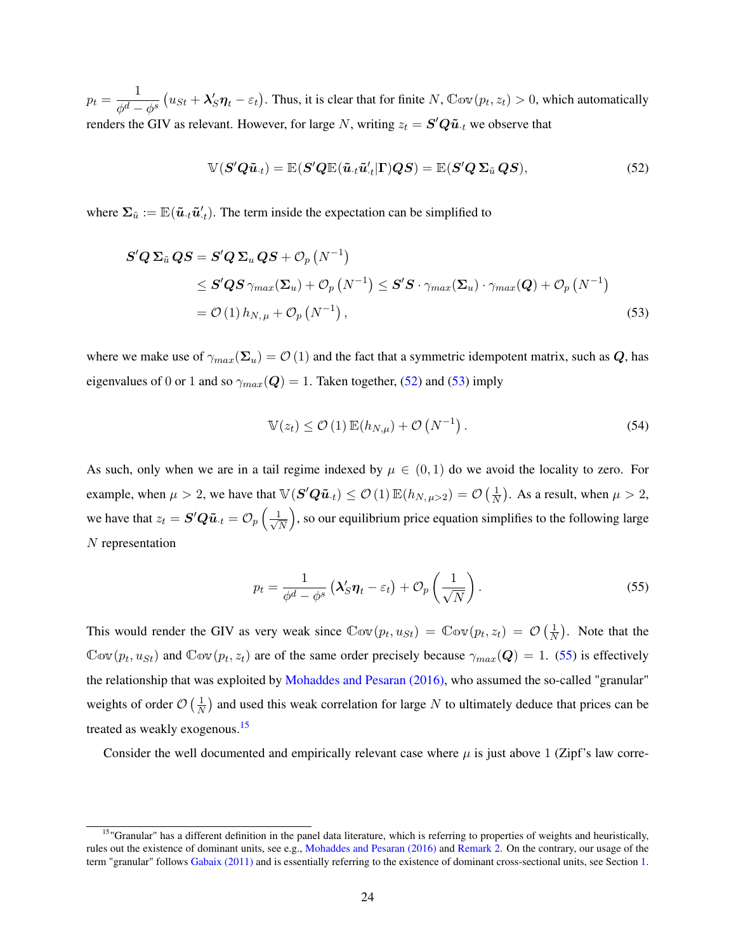$p_t = \frac{1}{\sqrt{d}}$  $\phi^d-\phi^s$  $u_{St} + \lambda'_S \eta_t - \varepsilon_t$ . Thus, it is clear that for finite  $N$ ,  $\mathbb{C}ov(p_t, z_t) > 0$ , which automatically renders the GIV as relevant. However, for large N, writing  $z_t = \mathbf{S}' \mathbf{Q} \tilde{\boldsymbol{u}}_t$  we observe that

<span id="page-24-0"></span>
$$
\mathbb{V}(\mathbf{S}'\mathbf{Q}\tilde{\mathbf{u}}_{\cdot t}) = \mathbb{E}(\mathbf{S}'\mathbf{Q}\mathbb{E}(\tilde{\mathbf{u}}_{\cdot t}\tilde{\mathbf{u}}_{\cdot t}'|\mathbf{\Gamma})\mathbf{Q}\mathbf{S}) = \mathbb{E}(\mathbf{S}'\mathbf{Q}\mathbf{\Sigma}_{\tilde{\mathbf{u}}}\mathbf{Q}\mathbf{S}),
$$
(52)

where  $\Sigma_{\tilde{u}} := \mathbb{E}(\tilde{u}_{\cdot t} \tilde{u}_{\cdot t}')$ . The term inside the expectation can be simplified to

$$
S'Q \Sigma_{\tilde{u}} QS = S'Q \Sigma_{u} QS + \mathcal{O}_{p}(N^{-1})
$$
  
\n
$$
\leq S'QS \gamma_{max}(\Sigma_{u}) + \mathcal{O}_{p}(N^{-1}) \leq S'S \cdot \gamma_{max}(\Sigma_{u}) \cdot \gamma_{max}(Q) + \mathcal{O}_{p}(N^{-1})
$$
  
\n
$$
= \mathcal{O}(1) h_{N,\mu} + \mathcal{O}_{p}(N^{-1}), \qquad (53)
$$

where we make use of  $\gamma_{max}(\Sigma_u) = \mathcal{O}(1)$  and the fact that a symmetric idempotent matrix, such as Q, has eigenvalues of 0 or 1 and so  $\gamma_{max}(\mathbf{Q}) = 1$ . Taken together, [\(52\)](#page-24-0) and [\(53\)](#page-24-1) imply

<span id="page-24-1"></span>
$$
\mathbb{V}(z_t) \le \mathcal{O}(1) \mathbb{E}(h_{N,\mu}) + \mathcal{O}\left(N^{-1}\right). \tag{54}
$$

As such, only when we are in a tail regime indexed by  $\mu \in (0,1)$  do we avoid the locality to zero. For example, when  $\mu > 2$ , we have that  $\mathbb{V}(\mathbf{S}'\mathbf{Q}\tilde{\boldsymbol{u}}_{\cdot t}) \leq \mathcal{O}(1) \mathbb{E}(h_{N, \mu > 2}) = \mathcal{O}$  $\sqrt{1}$  $\overline{N}$ hat  $\mathbb{V}(\mathbf{S}'\mathbf{Q}\tilde{\boldsymbol{u}}_{\cdot t}) \leq \mathcal{O}(1) \mathbb{E}(h_{N,\mu>2}) = \mathcal{O}\left(\frac{1}{N}\right)$ . As a result, when  $\mu > 2$ , we have that  $z_t = \mathbf{S}'\mathbf{Q}\tilde{\mathbf{u}}_{\cdot t} = \mathcal{O}_p\left(\frac{1}{\sqrt{2}}\right)$  $\frac{1}{N}$ , so our equilibrium price equation simplifies to the following large N representation

<span id="page-24-2"></span>
$$
p_t = \frac{1}{\phi^d - \phi^s} \left( \lambda_S' \eta_t - \varepsilon_t \right) + \mathcal{O}_p \left( \frac{1}{\sqrt{N}} \right). \tag{55}
$$

This would render the GIV as very weak since  $\mathbb{C}ov(p_t, u_{St}) = \mathbb{C}ov(p_t, z_t) = \mathcal{O}$  $\sqrt{1}$ N . Note that the  $\text{Cov}(p_t, u_{St})$  and  $\text{Cov}(p_t, z_t)$  are of the same order precisely because  $\gamma_{max}(\mathbf{Q}) = 1$ . [\(55\)](#page-24-2) is effectively the relationship that was exploited by [Mohaddes and Pesaran \(2016\),](#page-43-7) who assumed the so-called "granular" weights of order  $\mathcal{O}\left(\frac{1}{N}\right)$  $\frac{1}{N}$ ) and used this weak correlation for large N to ultimately deduce that prices can be treated as weakly exogenous.[15](#page-0-0)

Consider the well documented and empirically relevant case where  $\mu$  is just above 1 (Zipf's law corre-

<sup>&</sup>lt;sup>15</sup>"Granular" has a different definition in the panel data literature, which is referring to properties of weights and heuristically, rules out the existence of dominant units, see e.g., [Mohaddes and Pesaran \(2016\)](#page-43-7) and [Remark 2.](#page-16-0) On the contrary, our usage of the term "granular" follows [Gabaix \(2011\)](#page-42-4) and is essentially referring to the existence of dominant cross-sectional units, see Section [1.](#page-1-0)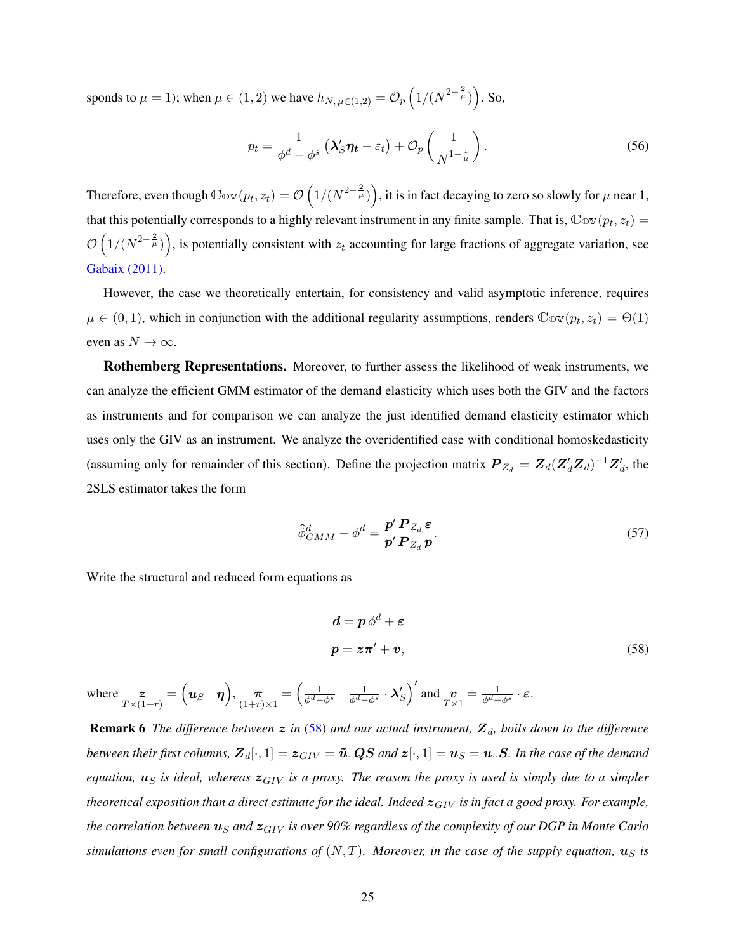sponds to  $\mu = 1$ ); when  $\mu \in (1, 2)$  we have  $h_{N, \mu \in (1, 2)} = \mathcal{O}_p$  $1/(N^{2-\frac{2}{\mu}})$ . So,

$$
p_t = \frac{1}{\phi^d - \phi^s} \left( \lambda_S' \eta_t - \varepsilon_t \right) + \mathcal{O}_p \left( \frac{1}{N^{1 - \frac{1}{\mu}}} \right). \tag{56}
$$

Therefore, even though  $\mathbb{C}ov(p_t, z_t) = \mathcal{O}$  $1/(N^{2-\frac{2}{\mu}})$ , it is in fact decaying to zero so slowly for  $\mu$  near 1, that this potentially corresponds to a highly relevant instrument in any finite sample. That is,  $\mathbb{C}\text{ov}(p_t, z_t) =$  $\mathcal{O}\left(1/(N^{2-\frac{2}{\mu}})\right)$ , is potentially consistent with  $z_t$  accounting for large fractions of aggregate variation, see [Gabaix \(2011\).](#page-42-4)

However, the case we theoretically entertain, for consistency and valid asymptotic inference, requires  $\mu \in (0, 1)$ , which in conjunction with the additional regularity assumptions, renders  $\mathbb{C}ov(p_t, z_t) = \Theta(1)$ even as  $N \to \infty$ .

Rothemberg Representations. Moreover, to further assess the likelihood of weak instruments, we can analyze the efficient GMM estimator of the demand elasticity which uses both the GIV and the factors as instruments and for comparison we can analyze the just identified demand elasticity estimator which uses only the GIV as an instrument. We analyze the overidentified case with conditional homoskedasticity (assuming only for remainder of this section). Define the projection matrix  $P_{Z_d} = Z_d (Z_d' Z_d)^{-1} Z_d'$ , the 2SLS estimator takes the form

$$
\widehat{\phi}_{GMM}^{d} - \phi^{d} = \frac{\boldsymbol{p}' \, \boldsymbol{P}_{Z_{d}} \, \boldsymbol{\varepsilon}}{\boldsymbol{p}' \, \boldsymbol{P}_{Z_{d}} \, \boldsymbol{p}}.
$$
\n
$$
\tag{57}
$$

Write the structural and reduced form equations as

<span id="page-25-1"></span><span id="page-25-0"></span>
$$
d = p \phi^d + \varepsilon
$$
  

$$
p = z\pi' + v,
$$
 (58)

where  $\sum_{T\times(1+r)}$  =  $u_S$  η  $, \frac{\pi}{(1+r)\times 1} =$  $\frac{1}{\phi^d-\phi^s}$  ,  $\frac{1}{\phi^d-\phi^s}\cdot \boldsymbol{\lambda}_S'$  $\sqrt{ }$ and  $\mathbf{v}_{T\times 1} = \frac{1}{\phi^d - \phi^s} \cdot \mathbf{\varepsilon}.$ 

**Remark 6** *The difference between*  $z$  *in* [\(58\)](#page-25-0) *and our actual instrument*,  $Z_d$ , *boils down to the difference between their first columns,*  $\mathbf{Z}_d[\cdot,1] = \mathbf{z}_{GIV} = \tilde{\mathbf{u}}$ .  $\mathbf{Q}S$  and  $\mathbf{z}[\cdot,1] = \mathbf{u}_S = \mathbf{u}$ .  $S$ . In the case of the demand *equation,*  $u_S$  *is ideal, whereas*  $z_{GIV}$  *is a proxy. The reason the proxy is used is simply due to a simpler theoretical exposition than a direct estimate for the ideal. Indeed*  $z_{GIV}$  *is in fact a good proxy. For example, the correlation between*  $u_S$  *and*  $z_{GIV}$  *is over 90% regardless of the complexity of our DGP in Monte Carlo simulations even for small configurations of*  $(N, T)$ *. Moreover, in the case of the supply equation,*  $u_S$  *is*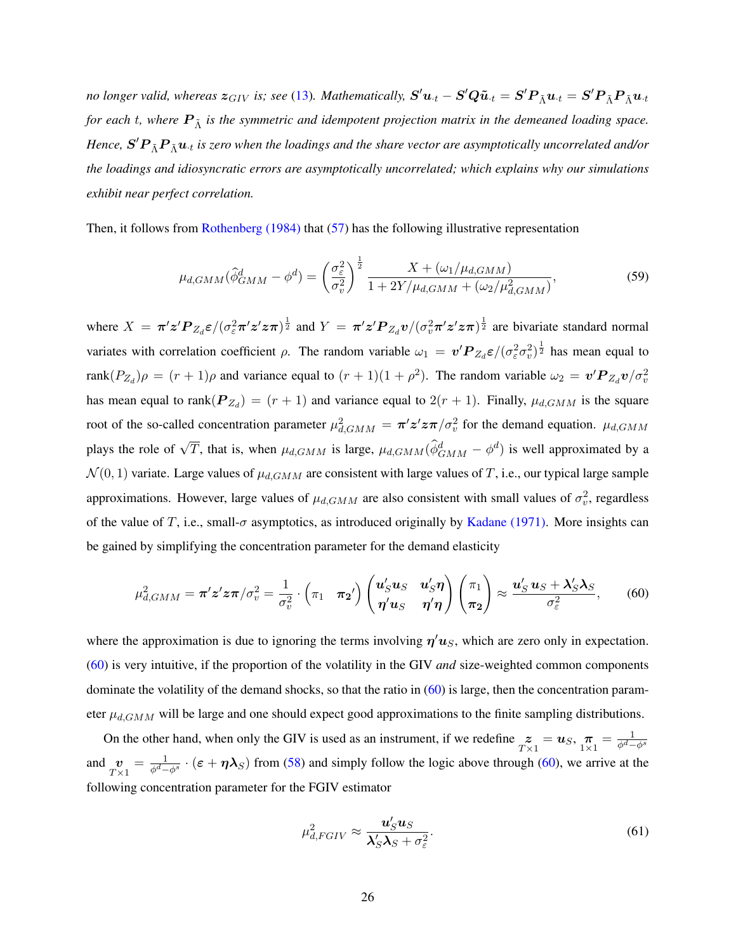*no longer valid, whereas*  $z_{GIV}$  *is; see* [\(13\)](#page-9-2). Mathematically,  $S' u_{\cdot t} - S' Q \tilde{u}_{\cdot t} = S' P_{\tilde{\Lambda}} u_{\cdot t} = S' P_{\tilde{\Lambda}} P_{\tilde{\Lambda}} u_{\cdot t}$ *for each t, where*  $P_{\tilde{\Lambda}}$  *is the symmetric and idempotent projection matrix in the demeaned loading space.* Hence,  $\bm{S}'\bm{P}_{\tilde{\Lambda}}\bm{P}_{\tilde{\Lambda}}\bm{u}_t$  is zero when the loadings and the share vector are asymptotically uncorrelated and/or *the loadings and idiosyncratic errors are asymptotically uncorrelated; which explains why our simulations exhibit near perfect correlation.*

Then, it follows from [Rothenberg \(1984\)](#page-43-21) that [\(57\)](#page-25-1) has the following illustrative representation

$$
\mu_{d,GMM}(\hat{\phi}_{GMM}^d - \phi^d) = \left(\frac{\sigma_{\varepsilon}^2}{\sigma_v^2}\right)^{\frac{1}{2}} \frac{X + (\omega_1/\mu_{d,GMM})}{1 + 2Y/\mu_{d,GMM} + (\omega_2/\mu_{d,GMM}^2)},\tag{59}
$$

where  $X = \pi'z'P_{Z_d}\varepsilon/(\sigma_{\varepsilon}^2\pi'z'z\pi)^{\frac{1}{2}}$  and  $Y = \pi'z'P_{Z_d}v/(\sigma_v^2\pi'z'z\pi)^{\frac{1}{2}}$  are bivariate standard normal variates with correlation coefficient  $\rho$ . The random variable  $\omega_1 = v' \mathbf{P}_{Z_d} \varepsilon / (\sigma_{\varepsilon}^2 \sigma_v^2)^{\frac{1}{2}}$  has mean equal to rank $(P_{Z_d})\rho = (r+1)\rho$  and variance equal to  $(r+1)(1+\rho^2)$ . The random variable  $\omega_2 = v'P_{Z_d}v/\sigma_v^2$ has mean equal to rank $(P_{Z_d}) = (r + 1)$  and variance equal to  $2(r + 1)$ . Finally,  $\mu_{d, GMM}$  is the square root of the so-called concentration parameter  $\mu_{d, GMM}^2 = \pi' z' z \pi / \sigma_v^2$  for the demand equation.  $\mu_{d, GMM}$ plays the role of  $\sqrt{T}$ , that is, when  $\mu_{d, GMM}$  is large,  $\mu_{d, GMM}(\hat{\phi}_{GMM}^d - \phi^d)$  is well approximated by a  $\mathcal{N}(0, 1)$  variate. Large values of  $\mu_{d, GMM}$  are consistent with large values of T, i.e., our typical large sample approximations. However, large values of  $\mu_{d, GMM}$  are also consistent with small values of  $\sigma_v^2$ , regardless of the value of T, i.e., small- $\sigma$  asymptotics, as introduced originally by [Kadane \(1971\).](#page-42-19) More insights can be gained by simplifying the concentration parameter for the demand elasticity

$$
\mu_{d,GMM}^2 = \pi' z' z \pi / \sigma_v^2 = \frac{1}{\sigma_v^2} \cdot \left( \pi_1 \quad \pi_2' \right) \begin{pmatrix} u'_S u_S & u'_S \eta \\ \eta' u_S & \eta' \eta \end{pmatrix} \begin{pmatrix} \pi_1 \\ \pi_2 \end{pmatrix} \approx \frac{u'_S u_S + \lambda'_S \lambda_S}{\sigma_{\varepsilon}^2},\qquad(60)
$$

<span id="page-26-1"></span><span id="page-26-0"></span> $\mathcal{L}_{\mathcal{A}}$ 

where the approximation is due to ignoring the terms involving  $\eta' u_S$ , which are zero only in expectation. [\(60\)](#page-26-0) is very intuitive, if the proportion of the volatility in the GIV *and* size-weighted common components dominate the volatility of the demand shocks, so that the ratio in [\(60\)](#page-26-0) is large, then the concentration parameter  $\mu_{d,GMM}$  will be large and one should expect good approximations to the finite sampling distributions.

On the other hand, when only the GIV is used as an instrument, if we redefine  $z_{T\times1} = u_S$ ,  $\pi = \frac{1}{\phi^d - \phi^s}$ and  $\mathbf{v}_{T\times1} = \frac{1}{\phi^d-\phi^s} \cdot (\varepsilon + \eta \lambda_S)$  from [\(58\)](#page-25-0) and simply follow the logic above through [\(60\)](#page-26-0), we arrive at the following concentration parameter for the FGIV estimator

$$
\mu_{d,FGIV}^2 \approx \frac{\mathbf{u}'_S \mathbf{u}_S}{\lambda'_S \lambda_S + \sigma_\varepsilon^2}.\tag{61}
$$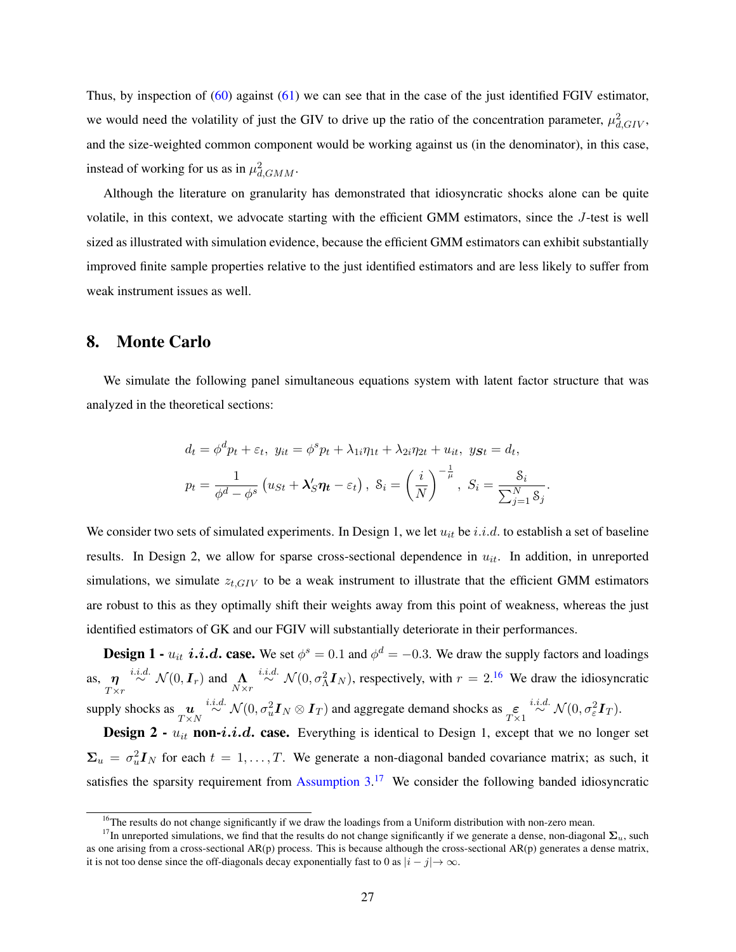Thus, by inspection of [\(60\)](#page-26-0) against [\(61\)](#page-26-1) we can see that in the case of the just identified FGIV estimator, we would need the volatility of just the GIV to drive up the ratio of the concentration parameter,  $\mu_{d,GIV}^2$ , and the size-weighted common component would be working against us (in the denominator), in this case, instead of working for us as in  $\mu_{d, GMM}^2$ .

Although the literature on granularity has demonstrated that idiosyncratic shocks alone can be quite volatile, in this context, we advocate starting with the efficient GMM estimators, since the J-test is well sized as illustrated with simulation evidence, because the efficient GMM estimators can exhibit substantially improved finite sample properties relative to the just identified estimators and are less likely to suffer from weak instrument issues as well.

### <span id="page-27-0"></span>8. Monte Carlo

We simulate the following panel simultaneous equations system with latent factor structure that was analyzed in the theoretical sections:

$$
d_t = \phi^d p_t + \varepsilon_t, \ y_{it} = \phi^s p_t + \lambda_{1i} \eta_{1t} + \lambda_{2i} \eta_{2t} + u_{it}, \ y_{St} = d_t,
$$
  

$$
p_t = \frac{1}{\phi^d - \phi^s} \left( u_{St} + \lambda_S' \eta_t - \varepsilon_t \right), \ \mathcal{S}_i = \left( \frac{i}{N} \right)^{-\frac{1}{\mu}}, \ S_i = \frac{\mathcal{S}_i}{\sum_{j=1}^N \mathcal{S}_j}.
$$

We consider two sets of simulated experiments. In Design 1, we let  $u_{it}$  be i.i.d. to establish a set of baseline results. In Design 2, we allow for sparse cross-sectional dependence in  $u_{it}$ . In addition, in unreported simulations, we simulate  $z_{t,GIV}$  to be a weak instrument to illustrate that the efficient GMM estimators are robust to this as they optimally shift their weights away from this point of weakness, whereas the just identified estimators of GK and our FGIV will substantially deteriorate in their performances.

**Design 1** -  $u_{it}$  *i.i.d.* **case.** We set  $\phi^s = 0.1$  and  $\phi^d = -0.3$ . We draw the supply factors and loadings as,  $\eta$  $\eta \to N(0, I_r)$  and  $\Lambda \to N(\infty, \sigma_0^2 I_N)$ , respectively, with  $r = 2.16$  $r = 2.16$  We draw the idiosyncratic  $T \times r$ supply shocks as  $\mathbf{u}_{T\times N} \stackrel{i.i.d.}{\sim} \mathcal{N}(0, \sigma_u^2 \mathbf{I}_N \otimes \mathbf{I}_T)$  and aggregate demand shocks as  $\underset{T\times 1}{\varepsilon} \stackrel{i.i.d.}{\sim} \mathcal{N}(0, \sigma_{\varepsilon}^2 \mathbf{I}_T)$ .

**Design 2 -**  $u_{it}$  non-*i.i.d.* case. Everything is identical to Design 1, except that we no longer set  $\Sigma_u = \sigma_u^2 I_N$  for each  $t = 1, ..., T$ . We generate a non-diagonal banded covariance matrix; as such, it satisfies the sparsity requirement from Assumption  $3.17$  $3.17$  We consider the following banded idiosyncratic

 $<sup>16</sup>$ The results do not change significantly if we draw the loadings from a Uniform distribution with non-zero mean.</sup>

<sup>&</sup>lt;sup>17</sup>In unreported simulations, we find that the results do not change significantly if we generate a dense, non-diagonal  $\Sigma_u$ , such as one arising from a cross-sectional  $AR(p)$  process. This is because although the cross-sectional  $AR(p)$  generates a dense matrix, it is not too dense since the off-diagonals decay exponentially fast to 0 as  $|i - j| \rightarrow \infty$ .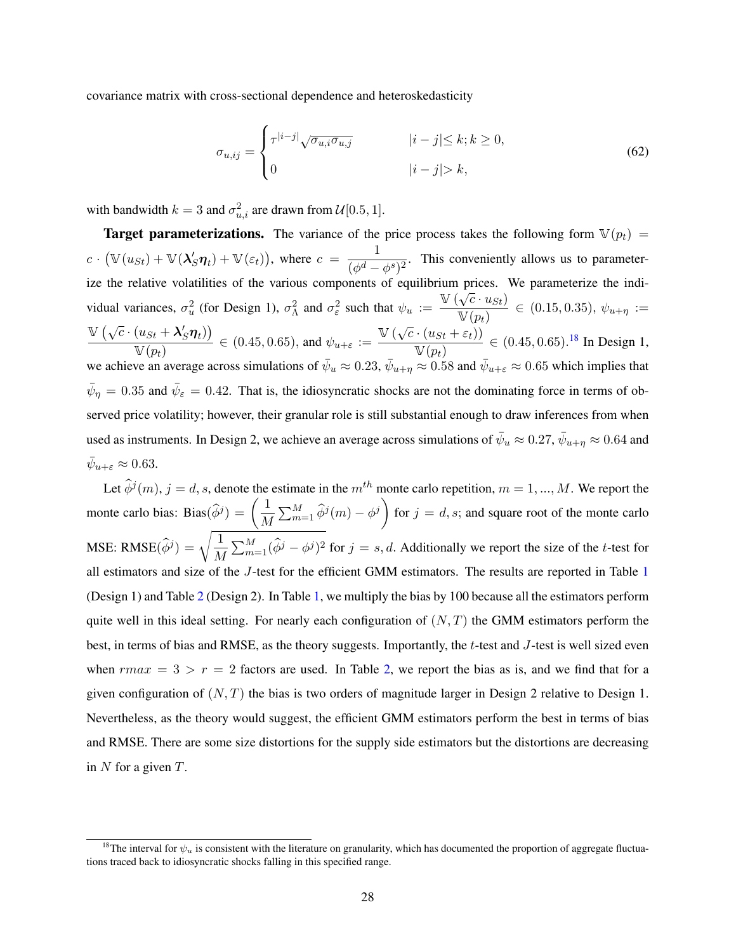covariance matrix with cross-sectional dependence and heteroskedasticity

$$
\sigma_{u,ij} = \begin{cases}\n\tau^{|i-j|} \sqrt{\sigma_{u,i} \sigma_{u,j}} & |i-j| \le k; k \ge 0, \\
0 & |i-j| > k,\n\end{cases}\n\tag{62}
$$

with bandwidth  $k = 3$  and  $\sigma_{u,i}^2$  are drawn from  $\mathcal{U}[0.5, 1]$ .

**Target parameterizations.** The variance of the price process takes the following form  $V(p_t)$  =  $c \cdot$  $\mathbb{V}(u_{St}) + \mathbb{V}(\lambda_S' \boldsymbol{\eta}_t) + \mathbb{V}(\varepsilon_t)$ , where  $c = \frac{1}{\sqrt{d}}$  $\frac{1}{(\phi^d - \phi^s)^2}$ . This conveniently allows us to parameterize the relative volatilities of the various components of equilibrium prices. We parameterize the individual variances,  $\sigma_u^2$  (for Design 1),  $\sigma_{\Lambda}^2$  and  $\sigma_{\varepsilon}^2$  such that  $\psi_u := \frac{\mathbb{V}\left(\sqrt{c} \cdot u_{St}\right)}{\mathbb{V}\left(n\right)}$  $\frac{\sqrt{C} - \alpha_{SL}}{\mathbb{V}(p_t)} \in (0.15, 0.35), \psi_{u+\eta} :=$  $\mathbb{V}(\sqrt{2})$  $\overline{c}\cdot(u_{St}+\lambda_S'\boldsymbol{\eta}_t)$  $\frac{(u_{St} + \lambda'_S \eta_t)}{\mathbb{V}(p_t)} \in (0.45, 0.65)$ , and  $\psi_{u+\varepsilon} := \frac{\mathbb{V}\left(\sqrt{c} \cdot (u_{St} + \varepsilon_t)\right)}{\mathbb{V}(p_t)}$  $\frac{N(aSt + \epsilon t)}{N(p_t)} \in (0.45, 0.65).^{18}$  $\frac{N(aSt + \epsilon t)}{N(p_t)} \in (0.45, 0.65).^{18}$  $\frac{N(aSt + \epsilon t)}{N(p_t)} \in (0.45, 0.65).^{18}$  In Design 1, we achieve an average across simulations of  $\bar{\psi}_u \approx 0.23$ ,  $\bar{\psi}_{u+\eta} \approx 0.58$  and  $\bar{\psi}_{u+\varepsilon} \approx 0.65$  which implies that  $\bar{\psi}_\eta = 0.35$  and  $\bar{\psi}_\varepsilon = 0.42$ . That is, the idiosyncratic shocks are not the dominating force in terms of observed price volatility; however, their granular role is still substantial enough to draw inferences from when used as instruments. In Design 2, we achieve an average across simulations of  $\bar{\psi}_u \approx 0.27$ ,  $\bar{\psi}_{u+\eta} \approx 0.64$  and  $\bar{\psi}_{u+\varepsilon} \approx 0.63.$ 

Let  $\hat{\phi}^j(m)$ ,  $j = d, s$ , denote the estimate in the  $m^{th}$  monte carlo repetition,  $m = 1, ..., M$ . We report the Let  $\phi'(m)$ ,  $j = d$ , s, denote the<br>monte carlo bias: Bias $(\hat{\phi}^j) = \left(\frac{1}{M}\right)^j$  $\frac{1}{M} \sum_{m=1}^{M} \hat{\phi}^j(m) - \phi^j$  for  $j = d, s$ ; and square root of the monte carlo MSE: RMSE $(\hat{\phi}^j) = \sqrt{\frac{1}{M}}$  $\frac{1}{M} \sum_{m=1}^{M} (\hat{\phi}^j - \phi^j)^2$  for  $j = s, d$ . Additionally we report the size of the *t*-test for all estimators and size of the J-test for the efficient GMM estimators. The results are reported in Table [1](#page-32-0) (Design 1) and Table [2](#page-32-1) (Design 2). In Table [1,](#page-32-0) we multiply the bias by 100 because all the estimators perform quite well in this ideal setting. For nearly each configuration of  $(N, T)$  the GMM estimators perform the best, in terms of bias and RMSE, as the theory suggests. Importantly, the t-test and J-test is well sized even when  $rmax = 3 > r = 2$  factors are used. In Table [2,](#page-32-1) we report the bias as is, and we find that for a given configuration of  $(N, T)$  the bias is two orders of magnitude larger in Design 2 relative to Design 1. Nevertheless, as the theory would suggest, the efficient GMM estimators perform the best in terms of bias and RMSE. There are some size distortions for the supply side estimators but the distortions are decreasing in  $N$  for a given  $T$ .

<span id="page-28-0"></span><sup>&</sup>lt;sup>18</sup>The interval for  $\psi_u$  is consistent with the literature on granularity, which has documented the proportion of aggregate fluctuations traced back to idiosyncratic shocks falling in this specified range.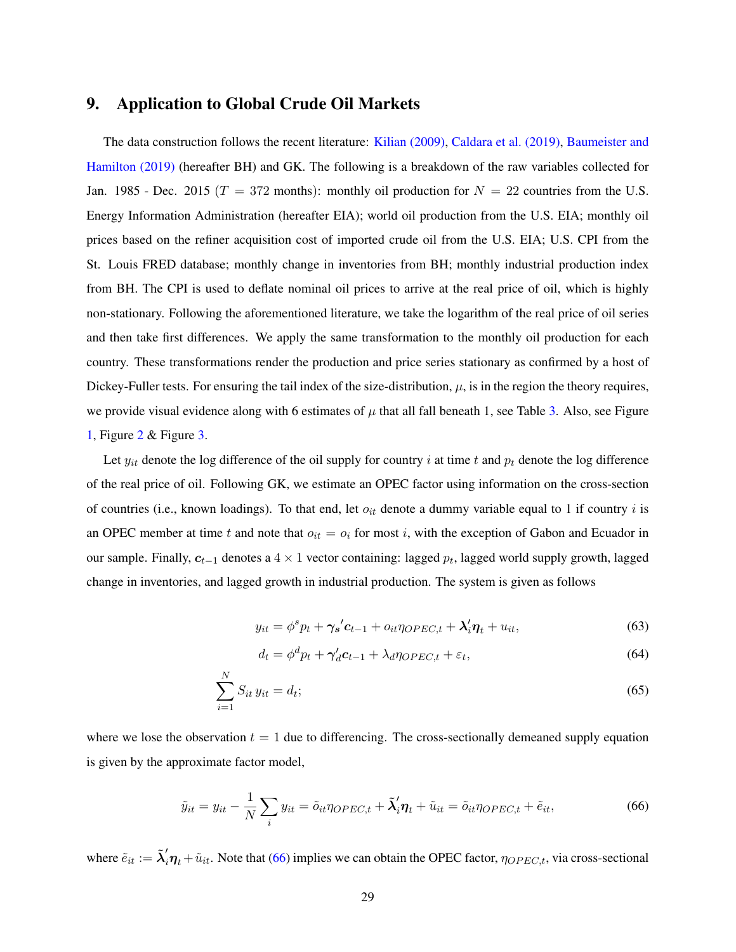# 9. Application to Global Crude Oil Markets

The data construction follows the recent literature: [Kilian \(2009\),](#page-43-22) [Caldara et al. \(2019\),](#page-42-20) [Baumeister and](#page-42-21) [Hamilton \(2019\)](#page-42-21) (hereafter BH) and GK. The following is a breakdown of the raw variables collected for Jan. 1985 - Dec. 2015 ( $T = 372$  months): monthly oil production for  $N = 22$  countries from the U.S. Energy Information Administration (hereafter EIA); world oil production from the U.S. EIA; monthly oil prices based on the refiner acquisition cost of imported crude oil from the U.S. EIA; U.S. CPI from the St. Louis FRED database; monthly change in inventories from BH; monthly industrial production index from BH. The CPI is used to deflate nominal oil prices to arrive at the real price of oil, which is highly non-stationary. Following the aforementioned literature, we take the logarithm of the real price of oil series and then take first differences. We apply the same transformation to the monthly oil production for each country. These transformations render the production and price series stationary as confirmed by a host of Dickey-Fuller tests. For ensuring the tail index of the size-distribution,  $\mu$ , is in the region the theory requires, we provide visual evidence along with 6 estimates of  $\mu$  that all fall beneath 1, see Table [3.](#page-33-0) Also, see Figure [1,](#page-46-0) Figure [2](#page-47-0) & Figure [3.](#page-48-0)

Let  $y_{it}$  denote the log difference of the oil supply for country i at time t and  $p_t$  denote the log difference of the real price of oil. Following GK, we estimate an OPEC factor using information on the cross-section of countries (i.e., known loadings). To that end, let  $o_{it}$  denote a dummy variable equal to 1 if country i is an OPEC member at time t and note that  $o_{it} = o_i$  for most i, with the exception of Gabon and Ecuador in our sample. Finally,  $c_{t-1}$  denotes a 4 × 1 vector containing: lagged  $p_t$ , lagged world supply growth, lagged change in inventories, and lagged growth in industrial production. The system is given as follows

$$
y_{it} = \phi^s p_t + \gamma_s' c_{t-1} + o_{it} \eta_{OPEC,t} + \lambda'_i \eta_t + u_{it},
$$
\n(63)

<span id="page-29-0"></span>
$$
d_t = \phi^d p_t + \gamma'_d c_{t-1} + \lambda_d \eta_{OPEC, t} + \varepsilon_t,
$$
\n(64)

$$
\sum_{i=1}^{N} S_{it} y_{it} = d_t; \tag{65}
$$

where we lose the observation  $t = 1$  due to differencing. The cross-sectionally demeaned supply equation is given by the approximate factor model,

$$
\tilde{y}_{it} = y_{it} - \frac{1}{N} \sum_{i} y_{it} = \tilde{o}_{it} \eta_{OPEC,t} + \tilde{\lambda}'_{i} \eta_{t} + \tilde{u}_{it} = \tilde{o}_{it} \eta_{OPEC,t} + \tilde{e}_{it},
$$
\n(66)

where  $\tilde{e}_{it} := \tilde{\lambda}'_i \eta_t + \tilde{u}_{it}$ . Note that [\(66\)](#page-29-0) implies we can obtain the OPEC factor,  $\eta_{OPEC,t}$ , via cross-sectional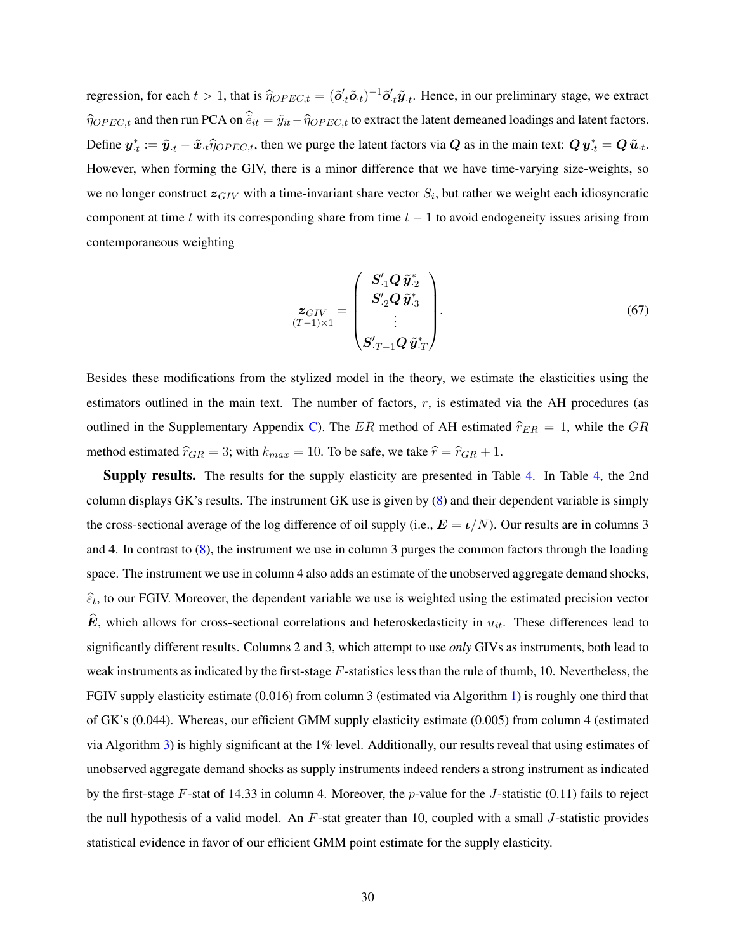regression, for each  $t > 1$ , that is  $\hat{\eta}_{OPEC,t} = (\tilde{\boldsymbol{o}}'_{.t}\tilde{\boldsymbol{o}}_{.t})^{-1}\tilde{\boldsymbol{o}}'_{.t}\tilde{\boldsymbol{y}}_{.t}$ . Hence, in our preliminary stage, we extract  $\hat{\eta}_{OPEC,t}$  and then run PCA on  $\hat{e}_{it} = \tilde{y}_{it} - \hat{\eta}_{OPEC,t}$  to extract the latent demeaned loadings and latent factors. Define  $y_{\cdot t}^* := \tilde{y}_{\cdot t} - \tilde{x}_{\cdot t} \hat{\eta}_{OPEC,t}$ , then we purge the latent factors via Q as in the main text:  $Q y_{\cdot t}^* = Q \tilde{u}_{\cdot t}$ . However, when forming the GIV, there is a minor difference that we have time-varying size-weights, so we no longer construct  $z_{GIV}$  with a time-invariant share vector  $S_i$ , but rather we weight each idiosyncratic component at time t with its corresponding share from time  $t - 1$  to avoid endogeneity issues arising from contemporaneous weighting

$$
\mathbf{z}_{GIV} = \begin{pmatrix} \mathbf{S}_{.1}' \mathbf{Q} \, \tilde{\mathbf{y}}_{.2}^* \\ \mathbf{S}_{.2}' \mathbf{Q} \, \tilde{\mathbf{y}}_{.3}^* \\ \vdots \\ \mathbf{S}_{.T-1}' \mathbf{Q} \, \tilde{\mathbf{y}}_{.T}^* \end{pmatrix} . \tag{67}
$$

Besides these modifications from the stylized model in the theory, we estimate the elasticities using the estimators outlined in the main text. The number of factors,  $r$ , is estimated via the AH procedures (as outlined in the Supplementary Appendix [C\)](#page-51-0). The ER method of AH estimated  $\hat{r}_{ER} = 1$ , while the GR method estimated  $\hat{r}_{GR} = 3$ ; with  $k_{max} = 10$ . To be safe, we take  $\hat{r} = \hat{r}_{GR} + 1$ .

Supply results. The results for the supply elasticity are presented in Table [4.](#page-33-1) In Table [4,](#page-33-1) the 2nd column displays GK's results. The instrument GK use is given by [\(8\)](#page-7-1) and their dependent variable is simply the cross-sectional average of the log difference of oil supply (i.e.,  $\mathbf{E} = \iota/N$ ). Our results are in columns 3 and 4. In contrast to [\(8\)](#page-7-1), the instrument we use in column 3 purges the common factors through the loading space. The instrument we use in column 4 also adds an estimate of the unobserved aggregate demand shocks,  $\hat{\epsilon}_t$ , to our FGIV. Moreover, the dependent variable we use is weighted using the estimated precision vector  $\hat{E}$ , which allows for cross-sectional correlations and heteroskedasticity in  $u_{it}$ . These differences lead to significantly different results. Columns 2 and 3, which attempt to use *only* GIVs as instruments, both lead to weak instruments as indicated by the first-stage  $F$ -statistics less than the rule of thumb, 10. Nevertheless, the FGIV supply elasticity estimate (0.016) from column 3 (estimated via Algorithm [1\)](#page-10-0) is roughly one third that of GK's (0.044). Whereas, our efficient GMM supply elasticity estimate (0.005) from column 4 (estimated via Algorithm [3\)](#page-14-0) is highly significant at the 1% level. Additionally, our results reveal that using estimates of unobserved aggregate demand shocks as supply instruments indeed renders a strong instrument as indicated by the first-stage F-stat of 14.33 in column 4. Moreover, the p-value for the J-statistic  $(0.11)$  fails to reject the null hypothesis of a valid model. An F-stat greater than 10, coupled with a small J-statistic provides statistical evidence in favor of our efficient GMM point estimate for the supply elasticity.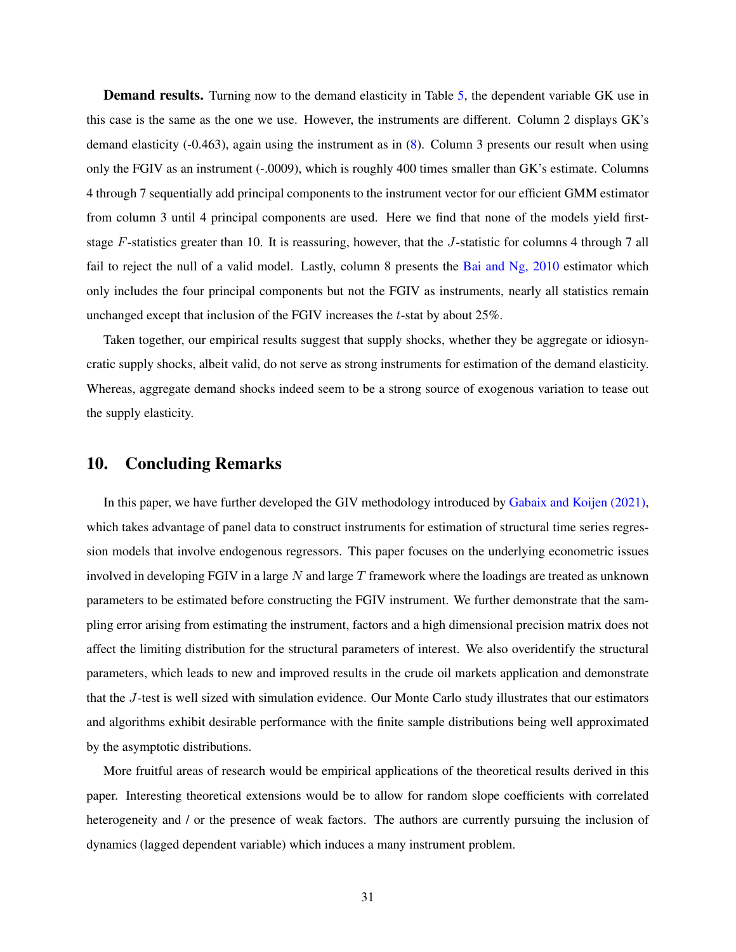**Demand results.** Turning now to the demand elasticity in Table [5,](#page-34-1) the dependent variable GK use in this case is the same as the one we use. However, the instruments are different. Column 2 displays GK's demand elasticity (-0.463), again using the instrument as in [\(8\)](#page-7-1). Column 3 presents our result when using only the FGIV as an instrument (-.0009), which is roughly 400 times smaller than GK's estimate. Columns 4 through 7 sequentially add principal components to the instrument vector for our efficient GMM estimator from column 3 until 4 principal components are used. Here we find that none of the models yield firststage F-statistics greater than 10. It is reassuring, however, that the J-statistic for columns 4 through 7 all fail to reject the null of a valid model. Lastly, column 8 presents the Bai and Ng,  $2010$  estimator which only includes the four principal components but not the FGIV as instruments, nearly all statistics remain unchanged except that inclusion of the FGIV increases the t-stat by about 25%.

Taken together, our empirical results suggest that supply shocks, whether they be aggregate or idiosyncratic supply shocks, albeit valid, do not serve as strong instruments for estimation of the demand elasticity. Whereas, aggregate demand shocks indeed seem to be a strong source of exogenous variation to tease out the supply elasticity.

# 10. Concluding Remarks

In this paper, we have further developed the GIV methodology introduced by [Gabaix and Koijen \(2021\),](#page-42-0) which takes advantage of panel data to construct instruments for estimation of structural time series regression models that involve endogenous regressors. This paper focuses on the underlying econometric issues involved in developing FGIV in a large  $N$  and large  $T$  framework where the loadings are treated as unknown parameters to be estimated before constructing the FGIV instrument. We further demonstrate that the sampling error arising from estimating the instrument, factors and a high dimensional precision matrix does not affect the limiting distribution for the structural parameters of interest. We also overidentify the structural parameters, which leads to new and improved results in the crude oil markets application and demonstrate that the J-test is well sized with simulation evidence. Our Monte Carlo study illustrates that our estimators and algorithms exhibit desirable performance with the finite sample distributions being well approximated by the asymptotic distributions.

More fruitful areas of research would be empirical applications of the theoretical results derived in this paper. Interesting theoretical extensions would be to allow for random slope coefficients with correlated heterogeneity and / or the presence of weak factors. The authors are currently pursuing the inclusion of dynamics (lagged dependent variable) which induces a many instrument problem.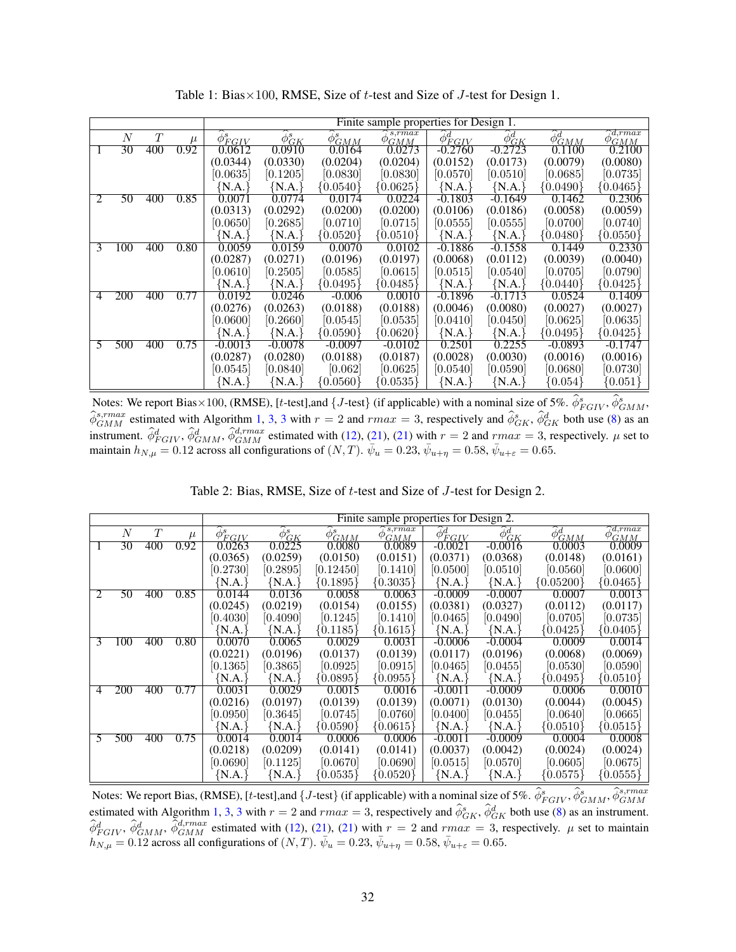<span id="page-32-0"></span>

|    |     |     |       | Finite sample properties for Design 1. |                         |                            |                                 |                             |               |                            |                                   |  |
|----|-----|-----|-------|----------------------------------------|-------------------------|----------------------------|---------------------------------|-----------------------------|---------------|----------------------------|-----------------------------------|--|
|    | N   | T   | $\mu$ | $\hat{\phi}_{EGIV}^s$                  | $\widehat{\phi}_{GK}^s$ | $\widetilde{\phi}^s_{GMM}$ | $s$ . $r$ $max$<br>$\phi_{GMM}$ | $\widetilde{\phi}^d_{FGLV}$ | $\phi_{GK}^d$ | $\widehat{\phi}_{GMM}^{d}$ | $\sqrt{d, r}$ max<br>$\phi_{GMM}$ |  |
| -1 | 30  | 400 | 0.92  | 0.0612                                 | 0.0910                  | 0.0164                     | 0.0273                          | $-0.2760$                   | $-0.2723$     | 0.1100                     | 0.2100                            |  |
|    |     |     |       | (0.0344)                               | (0.0330)                | (0.0204)                   | (0.0204)                        | (0.0152)                    | (0.0173)      | (0.0079)                   | (0.0080)                          |  |
|    |     |     |       | [0.0635]                               | [0.1205]                | [0.0830]                   | [0.0830]                        | [0.0570]                    | [0.0510]      | [0.0685]                   | [0.0735]                          |  |
|    |     |     |       | {N.A.                                  | N.A.                    | $\{0.0540\}$               | ${0.0625}$                      | ${N.A.}$                    | {N.A.`        | ${0.0490}$                 | $\{0.0465\}$                      |  |
| 2  | 50  | 400 | 0.85  | 0.0071                                 | 0.0774                  | 0.0174                     | 0.0224                          | $-0.1803$                   | $-0.1649$     | 0.1462                     | 0.2306                            |  |
|    |     |     |       | (0.0313)                               | (0.0292)                | (0.0200)                   | (0.0200)                        | (0.0106)                    | (0.0186)      | (0.0058)                   | (0.0059)                          |  |
|    |     |     |       | [0.0650]                               | [0.2685]                | [0.0710]                   | [0.0715]                        | [0.0555]                    | [0.0555]      | [0.0700]                   | [0.0740]                          |  |
|    |     |     |       | N.A.                                   | N.A.                    | $\{0.0520\}$               | ${0.0510}$                      | ${N.A.}$                    | ${N.A.}$      | ${0.0480}$                 | $\{0.0550\}$                      |  |
| 3  | 100 | 400 | 0.80  | 0.0059                                 | 0.0159                  | 0.0070                     | 0.0102                          | -0.1886                     | $-0.1558$     | 0.1449                     | 0.2330                            |  |
|    |     |     |       | (0.0287)                               | (0.0271)                | (0.0196)                   | (0.0197)                        | (0.0068)                    | (0.0112)      | (0.0039)                   | (0.0040)                          |  |
|    |     |     |       | [0.0610]                               | [0.2505]                | [0.0585]                   | [0.0615]                        | [0.0515]                    | [0.0540]      | [0.0705]                   | [0.0790]                          |  |
|    |     |     |       | {N.A.                                  | N.A.                    | $\{0.0495\}$               | $\{0.0485\}$                    | ${N.A.}$                    | {N.A.         | ${0.0440}$                 | $\{0.0425\}$                      |  |
| 4  | 200 | 400 | 0.77  | 0.0192                                 | 0.0246                  | $-0.006$                   | 0.0010                          | $-0.1896$                   | $-0.1713$     | 0.0524                     | 0.1409                            |  |
|    |     |     |       | (0.0276)                               | (0.0263)                | (0.0188)                   | (0.0188)                        | (0.0046)                    | (0.0080)      | (0.0027)                   | (0.0027)                          |  |
|    |     |     |       | [0.0600]                               | [0.2660]                | [0.0545]                   | [0.0535]                        | [0.0410]                    | [0.0450]      | [0.0625]                   | [0.0635]                          |  |
|    |     |     |       | {N.A.]                                 | N.A.                    | $\{0.0590\}$               | $\{0.0620\}$                    | ${N.A.}$                    | {N.A.         | $\{0.0495\}$               | ${0.0425}$                        |  |
| 5  | 500 | 400 | 0.75  | $-0.0013$                              | $-0.0078$               | $-0.0097$                  | $-0.0102$                       | 0.2501                      | 0.2255        | $-0.0893$                  | $-0.1747$                         |  |
|    |     |     |       | (0.0287)                               | (0.0280)                | (0.0188)                   | (0.0187)                        | (0.0028)                    | (0.0030)      | (0.0016)                   | (0.0016)                          |  |
|    |     |     |       | [0.0545]                               | [0.0840]                | [0.062]                    | [0.0625]                        | [0.0540]                    | [0.0590]      | [0.0680]                   | [0.0730]                          |  |
|    |     |     |       | {N.A.]                                 | N.A.                    | $\{0.0560\}$               | $\{0.0535\}$                    | ${N.A.}$                    | ${N.A.}$      | 0.054                      | $\{0.051\}$                       |  |

Table 1: Bias $\times$ 100, RMSE, Size of t-test and Size of J-test for Design 1.

Notes: We report Bias × 100, (RMSE), [t-test], and  $\{J$ -test} (if applicable) with a nominal size of 5%.  $\hat{\phi}^s_{FGIV}, \hat{\phi}^s_{GMM},$  $\hat{\phi}_{GMM}^{s, rmax}$  estimated with Algorithm [1,](#page-10-0) [3,](#page-14-0) [3](#page-14-0) with  $r = 2$  and  $rmax = 3$ , respectively and  $\hat{\phi}_{GK}^{s}$ ,  $\hat{\phi}_{GK}^{d}$  both use [\(8\)](#page-7-1) as an instrument.  $\hat{\phi}_{FGIV}^d$ ,  $\hat{\phi}_{GMM}^d$ ,  $\hat{\phi}_{GMM}^{d, rmax}$  estimated with [\(12\)](#page-9-1), [\(21\)](#page-13-0), (21) with  $r = 2$  and  $rmax = 3$ , respectively.  $\mu$  set to maintain  $h_{N,\mu} = 0.12$  across all configurations of  $(N,T)$ .  $\bar{\psi}_u = 0.23$ ,  $\bar{\psi}_{u+\eta} = 0.58$ ,  $\bar{\psi}_{u+\varepsilon} = 0.65$ .

| Table 2: Bias, RMSE, Size of t-test and Size of J-test for Design 2. |  |  |  |  |  |  |  |
|----------------------------------------------------------------------|--|--|--|--|--|--|--|
|----------------------------------------------------------------------|--|--|--|--|--|--|--|

<span id="page-32-1"></span>

|              |                  |     |       | Finite sample properties for Design 2. |                         |                          |                              |                             |                                       |                            |                                         |  |
|--------------|------------------|-----|-------|----------------------------------------|-------------------------|--------------------------|------------------------------|-----------------------------|---------------------------------------|----------------------------|-----------------------------------------|--|
|              | $\boldsymbol{N}$ | T   | $\mu$ | $\widehat{\phi}_{\textrm{FGIV}}^s$     | $\widehat{\phi}_{GK}^s$ | $\widehat{\phi}^s_{GMM}$ | $\cdot$ s, rmax<br>Ø.<br>GMM | $\widetilde{\phi^d_{FGLY}}$ | $\widetilde{\phi}_{\underline{G}K}^d$ | $\widetilde{\phi_{GMM}^d}$ | $\sqrt{\sqrt{d,rm}}$ ax<br>$\phi_{GMM}$ |  |
| $\mathbf{I}$ | 30               | 400 | 0.92  | 0.0263                                 | 0.0225                  | 0.0080                   | 0.0089                       | $-0.0021$                   | $-0.0016$                             | 0.0003                     | 0.0009                                  |  |
|              |                  |     |       | (0.0365)                               | (0.0259)                | (0.0150)                 | (0.0151)                     | (0.0371)                    | (0.0368)                              | (0.0148)                   | (0.0161)                                |  |
|              |                  |     |       | [0.2730]                               | [0.2895]                | [0.12450]                | [0.1410]                     | [0.0500]                    | [0.0510]                              | [0.0560]                   | [0.0600]                                |  |
|              |                  |     |       | N.A.                                   | {N.A.}                  | $\{0.1895\}$             | $\{0.3035\}$                 | {N.A.`                      | {N.A.`                                | ${0.05200}$                | $\{0.0465\}$                            |  |
| 2            | 50               | 400 | 0.85  | 0.0144                                 | 0.0136                  | 0.0058                   | 0.0063                       | -0.0009                     | $-0.0007$                             | 0.0007                     | 0.0013                                  |  |
|              |                  |     |       | (0.0245)                               | (0.0219)                | (0.0154)                 | (0.0155)                     | (0.0381)                    | (0.0327)                              | (0.0112)                   | (0.0117)                                |  |
|              |                  |     |       | [0.4030]                               | [0.4090]                | [0.1245]                 | [0.1410]                     | [0.0465]                    | [0.0490]                              | [0.0705]                   | [0.0735]                                |  |
|              |                  |     |       | [N.A.]                                 | {N.A.                   | ${0.1185}$               | ${0.1615}$                   | ${N.A.}$                    | ${N.A.}$                              | ${0.0425}$                 | ${0.0405}$                              |  |
| 3            | 100              | 400 | 0.80  | 0.0070                                 | 0.0065                  | 0.0029                   | 0.0031                       | $-0.0006$                   | $-0.0004$                             | 0.0009                     | 0.0014                                  |  |
|              |                  |     |       | (0.0221)                               | (0.0196)                | (0.0137)                 | (0.0139)                     | (0.0117)                    | (0.0196)                              | (0.0068)                   | (0.0069)                                |  |
|              |                  |     |       | [0.1365]                               | [0.3865]                | [0.0925]                 | [0.0915]                     | [0.0465]                    | [0.0455]                              | [0.0530]                   | [0.0590]                                |  |
|              |                  |     |       | {N.A.                                  | {N.A.                   | ${0.0895}$               | ${0.0955}$                   | {N.A.                       | {N.A.`                                | ${0.0495}$                 | ${0.0510}$                              |  |
| 4            | 200              | 400 | 0.77  | 0.0031                                 | 0.0029                  | 0.0015                   | 0.0016                       | $-0.0011$                   | $-0.0009$                             | 0.0006                     | 0.0010                                  |  |
|              |                  |     |       | (0.0216)                               | (0.0197)                | (0.0139)                 | (0.0139)                     | (0.0071)                    | (0.0130)                              | (0.0044)                   | (0.0045)                                |  |
|              |                  |     |       | [0.0950]                               | [0.3645]                | [0.0745]                 | [0.0760]                     | [0.0400]                    | [0.0455]                              | [0.0640]                   | [0.0665]                                |  |
|              |                  |     |       | $\{NA.\}$                              | ${N.A.}$                | ${0.0590}$               | ${0.0615}$                   | [N.A.]                      | $\{NA.\}$                             | ${0.0510}$                 | ${0.0515}$                              |  |
| 5            | 500              | 400 | 0.75  | 0.0014                                 | 0.0014                  | 0.0006                   | 0.0006                       | -0.0011                     | $-0.0009$                             | 0.0004                     | 0.0008                                  |  |
|              |                  |     |       | (0.0218)                               | (0.0209)                | (0.0141)                 | (0.0141)                     | (0.0037)                    | (0.0042)                              | (0.0024)                   | (0.0024)                                |  |
|              |                  |     |       | [0.0690]                               | [0.1125]                | [0.0670]                 | [0.0690]                     | [0.0515]                    | [0.0570]                              | [0.0605]                   | [0.0675]                                |  |
|              |                  |     |       | ${N.A.}$                               | ${N.A.}$                | $\{0.0535\}$             | $\{0.0520\}$                 | N.A.                        | ${N.A.}$                              | $\{0.0575\}$               | [0.0555]                                |  |

Notes: We report Bias, (RMSE), [t-test], and {J-test} (if applicable) with a nominal size of 5%.  $\hat{\phi}_{FGIV}^s$ ,  $\hat{\phi}_{GMM}^s$ ,  $\hat{\phi}_{GMM}^{s,rmax}$  estimated with Algorithm [1,](#page-10-0) [3,](#page-14-0) [3](#page-14-0) with  $r = 2$  and  $rmax = 3$ , respectively and  $\hat{\phi$  $\hat{\phi}_{FGIV}^d$ ,  $\hat{\phi}_{GMM}^d$ ,  $\hat{\phi}_{GMM}^{d,rmax}$  estimated with [\(12\)](#page-9-1), [\(21\)](#page-13-0), (21) with  $r = 2$  and  $rmax = 3$ , respectively.  $\mu$  set to maintain  $h_{N,\mu} = 0.12$  across all configurations of  $(N, T)$ .  $\bar{\psi}_u = 0.23$ ,  $\bar{\psi}_{u+\eta} = 0.58$ ,  $\bar{\psi}_{u+\varepsilon} = 0.65$ .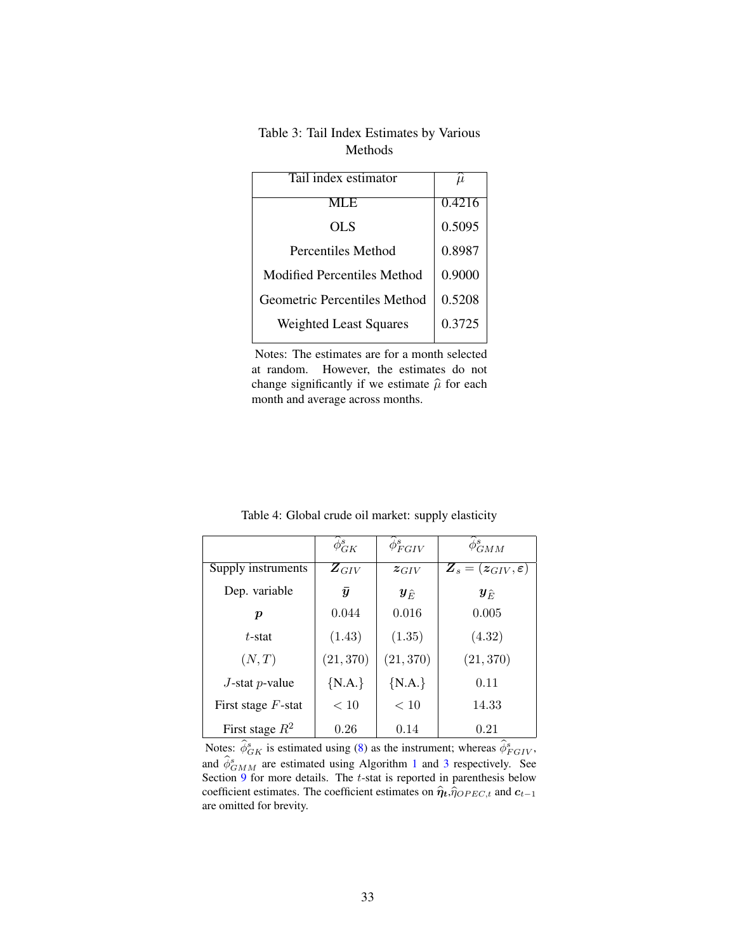| Tail index estimator          | $\mu$  |
|-------------------------------|--------|
| MLE                           | 0.4216 |
| OL S                          | 0.5095 |
| Percentiles Method            | 0.8987 |
| Modified Percentiles Method   | 0.9000 |
| Geometric Percentiles Method  | 0.5208 |
| <b>Weighted Least Squares</b> | 0.3725 |

# <span id="page-33-0"></span>Table 3: Tail Index Estimates by Various Methods

Notes: The estimates are for a month selected at random. However, the estimates do not change significantly if we estimate  $\hat{\mu}$  for each month and average across months.

<span id="page-33-1"></span>

|                       | $\phi_{GK}^s$          | $\phi^s_{FGIV}$        | $\phi_{GMM}^s$                                                        |
|-----------------------|------------------------|------------------------|-----------------------------------------------------------------------|
| Supply instruments    | $\boldsymbol{Z}_{GIV}$ | $z$ <sub>GIV</sub>     | $\boldsymbol{Z}_s = (\boldsymbol{z}_{GIV}, \boldsymbol{\varepsilon})$ |
| Dep. variable         | $\bar{y}$              | $\bm{y}_{\widehat{E}}$ | $\bm{y}_{\widehat{E}}$                                                |
| р                     | 0.044                  | 0.016                  | 0.005                                                                 |
| $t$ -stat             | (1.43)                 | (1.35)                 | (4.32)                                                                |
| (N,T)                 | (21, 370)              | (21, 370)              | (21, 370)                                                             |
| $J$ -stat p-value     | ${N.A.}$               | ${N.A.}$               | 0.11                                                                  |
| First stage $F$ -stat | < 10                   | < 10                   | 14.33                                                                 |
| First stage $R^2$     | 0.26                   | 0.14                   | 0.21                                                                  |

Table 4: Global crude oil market: supply elasticity

Notes:  $\hat{\phi}_{GK}^s$  is estimated using [\(8\)](#page-7-1) as the instrument; whereas  $\hat{\phi}_{FGIV}^s$ , and  $\hat{\phi}_{GMM}^s$  are estimated using Algorithm [1](#page-10-0) and [3](#page-14-0) respectively. See Section  $\frac{9}{9}$  $\frac{9}{9}$  $\frac{9}{9}$  for more details. The t-stat is reported in parenthesis below coefficient estimates. The coefficient estimates on  $\hat{\eta}_t$ , $\hat{\eta}_{OPEC,t}$  and  $c_{t-1}$ are omitted for brevity.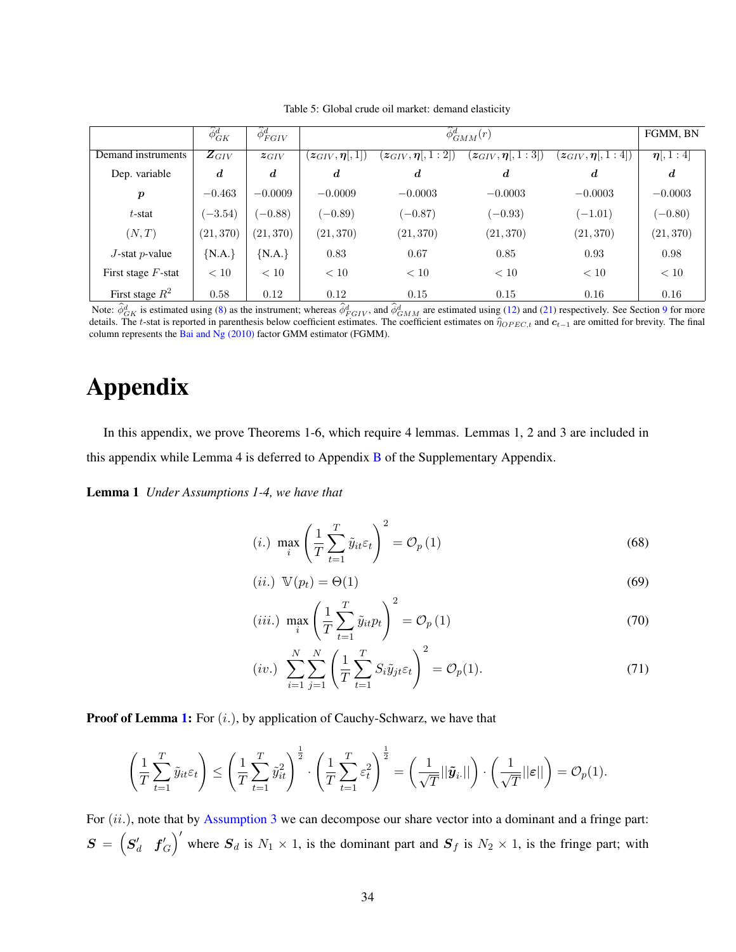<span id="page-34-1"></span>

|                       | $\phi_{GK}^d$        | $\widetilde{\phi}^d_{FGIV}$ |                              | $\widehat{\phi}^d_{GMM}(r)$         |                        |                          |                  |  |  |
|-----------------------|----------------------|-----------------------------|------------------------------|-------------------------------------|------------------------|--------------------------|------------------|--|--|
| Demand instruments    | $\overline{Z_{GIV}}$ | $z_{GIV}$                   | $(z_{GIV}, \eta[, \bar{1}])$ | $(z_{GIV}, \eta[, \overline{1:2]})$ | $(z_{GIV},\eta[,1:3])$ | $(z_{GIV}, \eta  , 1:4)$ | $\eta$ , 1 : 4   |  |  |
| Dep. variable         | $\boldsymbol{d}$     | $\boldsymbol{d}$            | $\boldsymbol{d}$             | $\boldsymbol{d}$                    | $\boldsymbol{d}$       | $\boldsymbol{d}$         | $\boldsymbol{d}$ |  |  |
| $\boldsymbol{p}$      | $-0.463$             | $-0.0009$                   | $-0.0009$                    | $-0.0003$                           | $-0.0003$              | $-0.0003$                | $-0.0003$        |  |  |
| $t$ -stat             | $(-3.54)$            | $(-0.88)$                   | $(-0.89)$                    | $(-0.87)$                           | $(-0.93)$              | $(-1.01)$                | $(-0.80)$        |  |  |
| (N,T)                 | (21, 370)            | (21, 370)                   | (21, 370)                    | (21, 370)                           | (21, 370)              | (21, 370)                | (21, 370)        |  |  |
| $J$ -stat p-value     | ${N.A.}$             | ${N.A.}$                    | 0.83                         | 0.67                                | 0.85                   | 0.93                     | 0.98             |  |  |
| First stage $F$ -stat | < 10                 | < 10                        | < 10                         | < 10                                | < 10                   | < 10                     | < 10             |  |  |
| First stage $R^2$     | 0.58                 | 0.12                        | 0.12                         | 0.15                                | 0.15                   | 0.16                     | 0.16             |  |  |

Table 5: Global crude oil market: demand elasticity

Note:  $\hat{\phi}_{GK}^d$  is estimated using [\(8\)](#page-7-1) as the instrument; whereas  $\hat{\phi}_{FGIV}^d$ , and  $\hat{\phi}_{GMM}^d$  are estimated using [\(12\)](#page-9-1) and [\(21\)](#page-13-0) respectively. See Section [9](#page-28-0) for more details. The t-stat is reported in parenthesis below coefficient estimates. The coefficient estimates on  $\hat{\eta}_{OPEC,t}$  and  $c_{t-1}$  are omitted for brevity. The final column represents the [Bai and Ng \(2010\)](#page-41-1) factor GMM estimator (FGMM).

# Appendix

In this appendix, we prove Theorems 1-6, which require 4 lemmas. Lemmas 1, 2 and 3 are included in this appendix while Lemma 4 is deferred to Appendix [B](#page-49-0) of the Supplementary Appendix.

Lemma 1 *Under Assumptions 1-4, we have that*

<span id="page-34-0"></span>
$$
(i.)\ \max_{i} \left(\frac{1}{T} \sum_{t=1}^{T} \tilde{y}_{it} \varepsilon_t\right)^2 = \mathcal{O}_p(1) \tag{68}
$$

$$
(ii.) \ \mathbb{V}(p_t) = \Theta(1) \tag{69}
$$

$$
(iii.)\ \ \max_{i} \left(\frac{1}{T} \sum_{t=1}^{T} \tilde{y}_{it} p_{t}\right)^{2} = \mathcal{O}_{p}(1)
$$
\n
$$
N \quad N \quad (T \quad \gamma)^{2}
$$
\n
$$
(70)
$$

$$
(iv.)\ \sum_{i=1}^{N} \sum_{j=1}^{N} \left( \frac{1}{T} \sum_{t=1}^{T} S_i \tilde{y}_{jt} \varepsilon_t \right)^2 = \mathcal{O}_p(1). \tag{71}
$$

**Proof of Lemma [1:](#page-34-0)** For  $(i.)$ , by application of Cauchy-Schwarz, we have that

$$
\left(\frac{1}{T}\sum_{t=1}^T \tilde{y}_{it} \varepsilon_t\right) \leq \left(\frac{1}{T}\sum_{t=1}^T \tilde{y}_{it}^2\right)^{\frac{1}{2}} \cdot \left(\frac{1}{T}\sum_{t=1}^T \varepsilon_t^2\right)^{\frac{1}{2}} = \left(\frac{1}{\sqrt{T}} ||\tilde{\pmb{y}}_i|| \right) \cdot \left(\frac{1}{\sqrt{T}} ||\varepsilon||\right) = \mathcal{O}_p(1).
$$

For  $(ii.)$ , note that by [Assumption 3](#page-15-1) we can decompose our share vector into a dominant and a fringe part:  $\boldsymbol{S} \,=\, \begin{pmatrix} \boldsymbol{S}_{d}' & \boldsymbol{f}_{G}' \end{pmatrix}$ ıaı<br>/ \ where  $S_d$  is  $N_1 \times 1$ , is the dominant part and  $S_f$  is  $N_2 \times 1$ , is the fringe part; with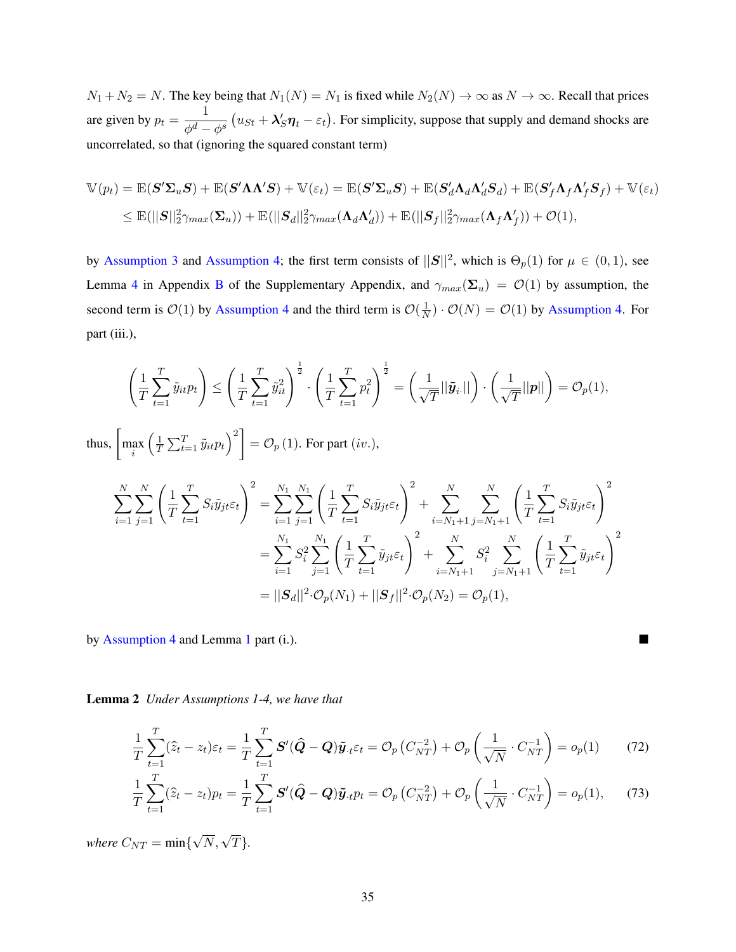$N_1 + N_2 = N$ . The key being that  $N_1(N) = N_1$  is fixed while  $N_2(N) \to \infty$  as  $N \to \infty$ . Recall that prices are given by  $p_t = \frac{1}{\sqrt{d}}$  $\phi^d-\phi^s$  $u_{St} + \lambda_S' \eta_t - \varepsilon_t$ . For simplicity, suppose that supply and demand shocks are uncorrelated, so that (ignoring the squared constant term)

$$
\mathbb{V}(p_t) = \mathbb{E}(\mathbf{S}'\mathbf{\Sigma}_u \mathbf{S}) + \mathbb{E}(\mathbf{S}'\mathbf{\Lambda}\mathbf{\Lambda}'\mathbf{S}) + \mathbb{V}(\varepsilon_t) = \mathbb{E}(\mathbf{S}'\mathbf{\Sigma}_u \mathbf{S}) + \mathbb{E}(\mathbf{S}'_d\mathbf{\Lambda}_d\mathbf{\Lambda}'_d\mathbf{S}_d) + \mathbb{E}(\mathbf{S}'_f\mathbf{\Lambda}_f\mathbf{\Lambda}'_f\mathbf{S}_f) + \mathbb{V}(\varepsilon_t)
$$
  
\n
$$
\leq \mathbb{E}(||\mathbf{S}||_2^2\gamma_{max}(\mathbf{\Sigma}_u)) + \mathbb{E}(||\mathbf{S}_d||_2^2\gamma_{max}(\mathbf{\Lambda}_d\mathbf{\Lambda}'_d)) + \mathbb{E}(||\mathbf{S}_f||_2^2\gamma_{max}(\mathbf{\Lambda}_f\mathbf{\Lambda}'_f)) + \mathcal{O}(1),
$$

by [Assumption 3](#page-15-1) and [Assumption 4;](#page-15-0) the first term consists of  $||S||^2$ , which is  $\Theta_p(1)$  for  $\mu \in (0,1)$ , see Lemma [4](#page-50-0) in Appendix [B](#page-49-0) of the Supplementary Appendix, and  $\gamma_{max}(\Sigma_u) = \mathcal{O}(1)$  by assumption, the second term is  $\mathcal{O}(1)$  by [Assumption 4](#page-15-0) and the third term is  $\mathcal{O}(\frac{1}{N})$  $\frac{1}{N}$ )  $\cdot$   $\mathcal{O}(N) = \mathcal{O}(1)$  by [Assumption 4.](#page-15-0) For part (iii.),

$$
\left(\frac{1}{T}\sum_{t=1}^{T}\tilde{y}_{it}p_{t}\right) \leq \left(\frac{1}{T}\sum_{t=1}^{T}\tilde{y}_{it}^{2}\right)^{\frac{1}{2}} \cdot \left(\frac{1}{T}\sum_{t=1}^{T}p_{t}^{2}\right)^{\frac{1}{2}} = \left(\frac{1}{\sqrt{T}}||\tilde{y}_{i}||\right) \cdot \left(\frac{1}{\sqrt{T}}||p||\right) = \mathcal{O}_{p}(1),
$$
\nthus,  $\left[\max_{i}\left(\frac{1}{T}\sum_{t=1}^{T}\tilde{y}_{it}p_{t}\right)^{2}\right] = \mathcal{O}_{p}(1)$ . For part  $(iv.)$ ,\n
$$
\sum_{i=1}^{N}\sum_{j=1}^{N}\left(\frac{1}{T}\sum_{t=1}^{T}S_{i}\tilde{y}_{jt}\varepsilon_{t}\right)^{2} = \sum_{i=1}^{N_{1}}\sum_{j=1}^{N_{1}}\left(\frac{1}{T}\sum_{t=1}^{T}S_{i}\tilde{y}_{jt}\varepsilon_{t}\right)^{2} + \sum_{i=N_{1}+1}^{N}\sum_{j=N_{1}+1}^{N}\left(\frac{1}{T}\sum_{t=1}^{T}S_{i}\tilde{y}_{jt}\varepsilon_{t}\right)^{2}
$$
\n
$$
= \sum_{i=1}^{N_{1}}S_{i}^{2}\sum_{j=1}^{N_{1}}\left(\frac{1}{T}\sum_{t=1}^{T}\tilde{y}_{jt}\varepsilon_{t}\right)^{2} + \sum_{i=N_{1}+1}^{N}\sum_{j=N_{1}+1}^{N}\left(\frac{1}{T}\sum_{t=1}^{T}\tilde{y}_{jt}\varepsilon_{t}\right)^{2}
$$
\n
$$
= ||S_{d}||^{2} \cdot \mathcal{O}_{p}(N_{1}) + ||S_{f}||^{2} \cdot \mathcal{O}_{p}(N_{2}) = \mathcal{O}_{p}(1),
$$

<span id="page-35-0"></span>by [Assumption 4](#page-15-0) and Lemma [1](#page-34-0) part (i.).

Lemma 2 *Under Assumptions 1-4, we have that*

$$
\frac{1}{T}\sum_{t=1}^{T}(\hat{z}_t - z_t)\varepsilon_t = \frac{1}{T}\sum_{t=1}^{T}\mathbf{S}'(\hat{\mathbf{Q}} - \mathbf{Q})\tilde{\mathbf{y}}_t\varepsilon_t = \mathcal{O}_p(C_{NT}^{-2}) + \mathcal{O}_p\left(\frac{1}{\sqrt{N}}\cdot C_{NT}^{-1}\right) = o_p(1) \tag{72}
$$

$$
\frac{1}{T} \sum_{t=1}^{T} (\hat{z}_t - z_t) p_t = \frac{1}{T} \sum_{t=1}^{T} \mathbf{S}' (\hat{\mathbf{Q}} - \mathbf{Q}) \tilde{\mathbf{y}}_{\cdot t} p_t = \mathcal{O}_p \left( C_{NT}^{-2} \right) + \mathcal{O}_p \left( \frac{1}{\sqrt{N}} \cdot C_{NT}^{-1} \right) = o_p(1), \tag{73}
$$

*where*  $C_{NT} = \min\{$  $\sqrt{N}, \sqrt{T}$ .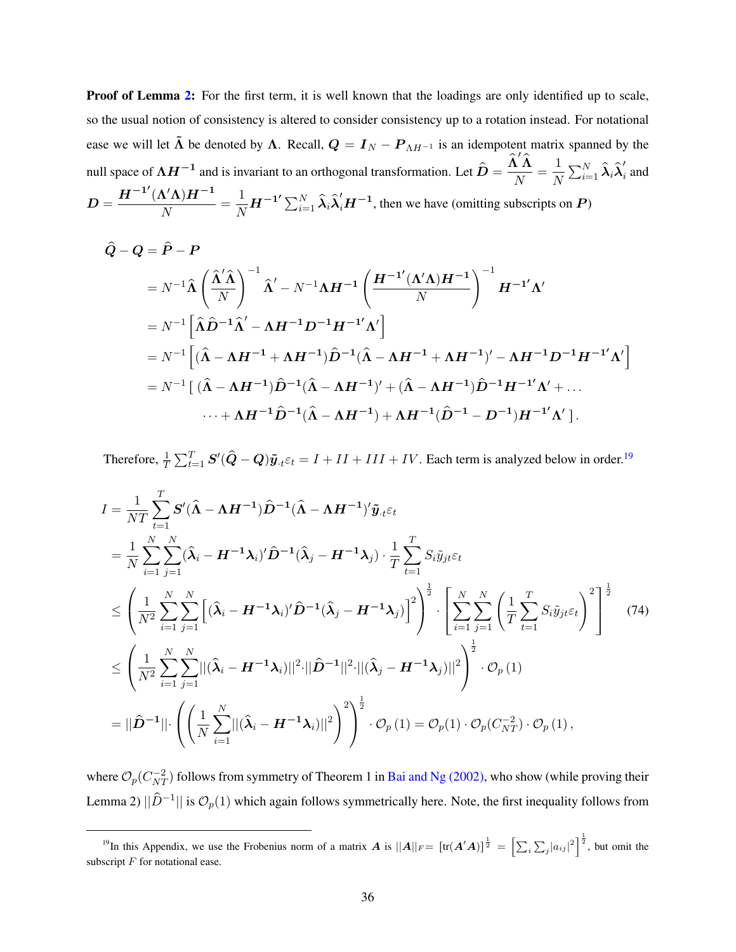**Proof of Lemma [2:](#page-35-0)** For the first term, it is well known that the loadings are only identified up to scale, so the usual notion of consistency is altered to consider consistency up to a rotation instead. For notational ease we will let  $\tilde{\Lambda}$  be denoted by  $\Lambda$ . Recall,  $Q = I_N - P_{\Lambda H^{-1}}$  is an idempotent matrix spanned by the null space of  $\Lambda H^{-1}$  and is invariant to an orthogonal transformation. Let  $\hat{D} = \frac{\hat{\Lambda}' \hat{\Lambda}}{N}$  $\frac{\mathbf{i}^{\mathbf{\prime}}\mathbf{\Lambda}}{N} = \frac{1}{N}$  $\frac{1}{N}\sum_{i=1}^N \widehat{\boldsymbol{\lambda}}_i \widehat{\boldsymbol{\lambda}}_i'$  $\frac{1}{i}$  and  $D = \frac{H^{-1'}(\Lambda'\Lambda)H^{-1}}{N}$  $\frac{\mathbf{N}'\mathbf{\Lambda})\mathbf{H}^{-1}}{N} = \frac{1}{N}$  $\frac{1}{N}H^{-1'}\sum_{i=1}^N \hat{\lambda}_i \hat{\lambda}_i'H^{-1}$ , then we have (omitting subscripts on P)

$$
\hat{Q} - Q = \hat{P} - P
$$
\n
$$
= N^{-1} \hat{\Lambda} \left( \frac{\hat{\Lambda}' \hat{\Lambda}}{N} \right)^{-1} \hat{\Lambda}' - N^{-1} \Lambda H^{-1} \left( \frac{H^{-1'}(\Lambda' \Lambda) H^{-1}}{N} \right)^{-1} H^{-1'} \Lambda'
$$
\n
$$
= N^{-1} \left[ \hat{\Lambda} \hat{D}^{-1} \hat{\Lambda}' - \Lambda H^{-1} D^{-1} H^{-1'} \Lambda' \right]
$$
\n
$$
= N^{-1} \left[ (\hat{\Lambda} - \Lambda H^{-1} + \Lambda H^{-1}) \hat{D}^{-1} (\hat{\Lambda} - \Lambda H^{-1} + \Lambda H^{-1})' - \Lambda H^{-1} D^{-1} H^{-1'} \Lambda' \right]
$$
\n
$$
= N^{-1} \left[ (\hat{\Lambda} - \Lambda H^{-1}) \hat{D}^{-1} (\hat{\Lambda} - \Lambda H^{-1})' + (\hat{\Lambda} - \Lambda H^{-1}) \hat{D}^{-1} H^{-1'} \Lambda' + \dots
$$
\n
$$
\dots + \Lambda H^{-1} \hat{D}^{-1} (\hat{\Lambda} - \Lambda H^{-1}) + \Lambda H^{-1} (\hat{D}^{-1} - D^{-1}) H^{-1'} \Lambda' \right].
$$

Therefore,  $\frac{1}{T}\sum_{t=1}^T S'(\hat{Q}-Q)\tilde{y}_{\cdot t} \varepsilon_t = I + II + III + IV$ . Each term is analyzed below in order.<sup>[19](#page-0-0)</sup>

<span id="page-36-0"></span>
$$
I = \frac{1}{NT} \sum_{t=1}^{T} \mathbf{S}'(\hat{\mathbf{\Lambda}} - \mathbf{\Lambda} \mathbf{H}^{-1}) \hat{\mathbf{D}}^{-1} (\hat{\mathbf{\Lambda}} - \mathbf{\Lambda} \mathbf{H}^{-1})' \tilde{\mathbf{y}}_{.t} \varepsilon_{t}
$$
  
\n
$$
= \frac{1}{N} \sum_{i=1}^{N} \sum_{j=1}^{N} (\hat{\mathbf{\lambda}}_{i} - \mathbf{H}^{-1} \mathbf{\lambda}_{i})' \hat{\mathbf{D}}^{-1} (\hat{\mathbf{\lambda}}_{j} - \mathbf{H}^{-1} \mathbf{\lambda}_{j}) \cdot \frac{1}{T} \sum_{t=1}^{T} S_{i} \tilde{y}_{jt} \varepsilon_{t}
$$
  
\n
$$
\leq \left( \frac{1}{N^{2}} \sum_{i=1}^{N} \sum_{j=1}^{N} [(\hat{\mathbf{\lambda}}_{i} - \mathbf{H}^{-1} \mathbf{\lambda}_{i})' \hat{\mathbf{D}}^{-1} (\hat{\mathbf{\lambda}}_{j} - \mathbf{H}^{-1} \mathbf{\lambda}_{j})]^{2} \right)^{\frac{1}{2}} \cdot \left[ \sum_{i=1}^{N} \sum_{j=1}^{N} ( \frac{1}{T} \sum_{t=1}^{T} S_{i} \tilde{y}_{jt} \varepsilon_{t} )^{2} \right]^{\frac{1}{2}} (74)
$$
  
\n
$$
\leq \left( \frac{1}{N^{2}} \sum_{i=1}^{N} \sum_{j=1}^{N} ||(\hat{\mathbf{\lambda}}_{i} - \mathbf{H}^{-1} \mathbf{\lambda}_{i})||^{2} \cdot ||\hat{\mathbf{D}}^{-1} ||^{2} \cdot ||(\hat{\mathbf{\lambda}}_{j} - \mathbf{H}^{-1} \mathbf{\lambda}_{j})||^{2} \right)^{\frac{1}{2}} \cdot \mathcal{O}_{p}(1)
$$
  
\n
$$
= ||\hat{\mathbf{D}}^{-1}|| \cdot \left( \left( \frac{1}{N} \sum_{i=1}^{N} ||(\hat{\mathbf{\lambda}}_{i} - \mathbf{H}^{-1} \mathbf{\lambda}_{i})||^{2} \right)^{2} \right)^{\frac{1}{2}} \cdot \mathcal{O}_{p}(1) = \mathcal{O}_{p}(1) \cdot \mathcal{O}_{p}(C_{NT}^{-2}) \cdot
$$

where  $\mathcal{O}_p(C_{NT}^{-2})$  follows from symmetry of Theorem 1 in [Bai and Ng \(2002\),](#page-41-4) who show (while proving their Lemma 2)  $||\hat{D}^{-1}||$  is  $\mathcal{O}_p(1)$  which again follows symmetrically here. Note, the first inequality follows from

<sup>&</sup>lt;sup>19</sup>In this Appendix, we use the Frobenius norm of a matrix **A** is  $||A||_F = [\text{tr}(A'A)]^{\frac{1}{2}}$ " $\sum_{i} \sum_{j} |a_{ij}|^2 \bigg]^\frac{1}{2}$ , but omit the subscript  $F$  for notational ease.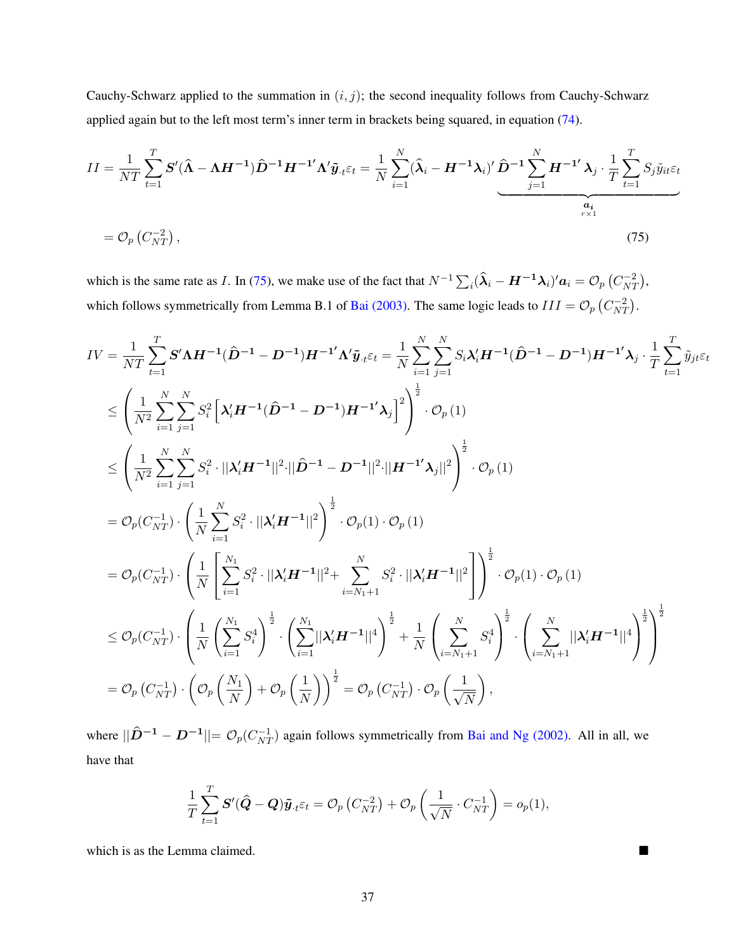Cauchy-Schwarz applied to the summation in  $(i, j)$ ; the second inequality follows from Cauchy-Schwarz applied again but to the left most term's inner term in brackets being squared, in equation [\(74\)](#page-36-0).

$$
II = \frac{1}{NT} \sum_{t=1}^{T} \mathbf{S}'(\hat{\mathbf{\Lambda}} - \mathbf{\Lambda} \mathbf{H}^{-1}) \hat{\mathbf{D}}^{-1} \mathbf{H}^{-1'} \mathbf{\Lambda}' \tilde{\mathbf{y}}_{\cdot t} \varepsilon_t = \frac{1}{N} \sum_{i=1}^{N} (\hat{\mathbf{\lambda}}_i - \mathbf{H}^{-1} \mathbf{\lambda}_i)' \hat{\mathbf{D}}^{-1} \sum_{j=1}^{N} \mathbf{H}^{-1'} \mathbf{\lambda}_j \cdot \frac{1}{T} \sum_{t=1}^{T} S_j \tilde{y}_{it} \varepsilon_t
$$

$$
= \mathcal{O}_p(C_{NT}^{-2}), \tag{75}
$$

<span id="page-37-0"></span>which is the same rate as I. In [\(75\)](#page-37-0), we make use of the fact that  $N^{-1}\sum_i(\hat{\lambda}_i - \bm{H}^{-1}\bm{\lambda}_i)' \bm{a}_i = \mathcal{O}_p$  $C_{N7}^{-2}$  $\binom{-2}{NT},$ which follows symmetrically from Lemma B.1 of [Bai \(2003\).](#page-41-6) The same logic leads to  $III = \mathcal{O}_p \left( C_{NT}^{-2} \right)$  $\overline{\phantom{a}}$  $\frac{N}{NT}$ .

$$
IV = \frac{1}{NT} \sum_{t=1}^{T} \mathbf{S}' \mathbf{\Lambda} \mathbf{H}^{-1} (\hat{D}^{-1} - D^{-1}) \mathbf{H}^{-1} \mathbf{\Lambda}' \tilde{\mathbf{y}}_{t} \varepsilon_{t} = \frac{1}{N} \sum_{i=1}^{N} \sum_{j=1}^{N} S_{i} \lambda_{i}' \mathbf{H}^{-1} (\hat{D}^{-1} - D^{-1}) \mathbf{H}^{-1} \lambda_{j} \cdot \frac{1}{T} \sum_{t=1}^{T} \tilde{y}_{jt} \varepsilon_{t}
$$
  
\n
$$
\leq \left( \frac{1}{N^{2}} \sum_{i=1}^{N} \sum_{j=1}^{N} S_{i}^{2} \left[ \lambda_{i}' \mathbf{H}^{-1} (\hat{D}^{-1} - D^{-1}) \mathbf{H}^{-1} \lambda_{j} \right]^{2} \right)^{\frac{1}{2}} \cdot \mathcal{O}_{p}(1)
$$
  
\n
$$
\leq \left( \frac{1}{N^{2}} \sum_{i=1}^{N} \sum_{j=1}^{N} S_{i}^{2} \cdot ||\lambda_{i}' \mathbf{H}^{-1}||^{2} \cdot ||\hat{D}^{-1} - D^{-1}||^{2} \cdot ||\mathbf{H}^{-1} \lambda_{j}||^{2} \right)^{\frac{1}{2}} \cdot \mathcal{O}_{p}(1)
$$
  
\n
$$
= \mathcal{O}_{p}(C_{NT}^{-1}) \cdot \left( \frac{1}{N} \sum_{i=1}^{N} S_{i}^{2} \cdot ||\lambda_{i}' \mathbf{H}^{-1}||^{2} \right)^{\frac{1}{2}} \cdot \mathcal{O}_{p}(1) \cdot \mathcal{O}_{p}(1)
$$
  
\n
$$
= \mathcal{O}_{p}(C_{NT}^{-1}) \cdot \left( \frac{1}{N} \left[ \sum_{i=1}^{N} S_{i}^{2} \cdot ||\lambda_{i}' \mathbf{H}^{-1}||^{2} + \sum_{i=N_{1}+1}^{N} S_{i}^{2} \cdot ||\lambda_{i}' \mathbf{H}^{-1}||^{2} \right] \right)^{\frac{1}{2}} \cdot \mathcal{O}_{p}(1) \cdot \mathcal{O}_{p}(1)
$$
  
\n
$$
\leq \mathcal{O}_{p}(C_{NT}^{-1}) \cdot \left( \
$$

where  $||\hat{D}^{-1} - D^{-1}|| = \mathcal{O}_p(C_{NT}^{-1})$  again follows symmetrically from [Bai and Ng \(2002\).](#page-41-4) All in all, we have that

$$
\frac{1}{T}\sum_{t=1}^T \boldsymbol{S}'(\widehat{\boldsymbol{Q}}-\boldsymbol{Q})\tilde{\boldsymbol{y}}_{\cdot t}\varepsilon_t = \mathcal{O}_p\left(C_{NT}^{-2}\right) + \mathcal{O}_p\left(\frac{1}{\sqrt{N}}\cdot C_{NT}^{-1}\right) = o_p(1),
$$

which is as the Lemma claimed.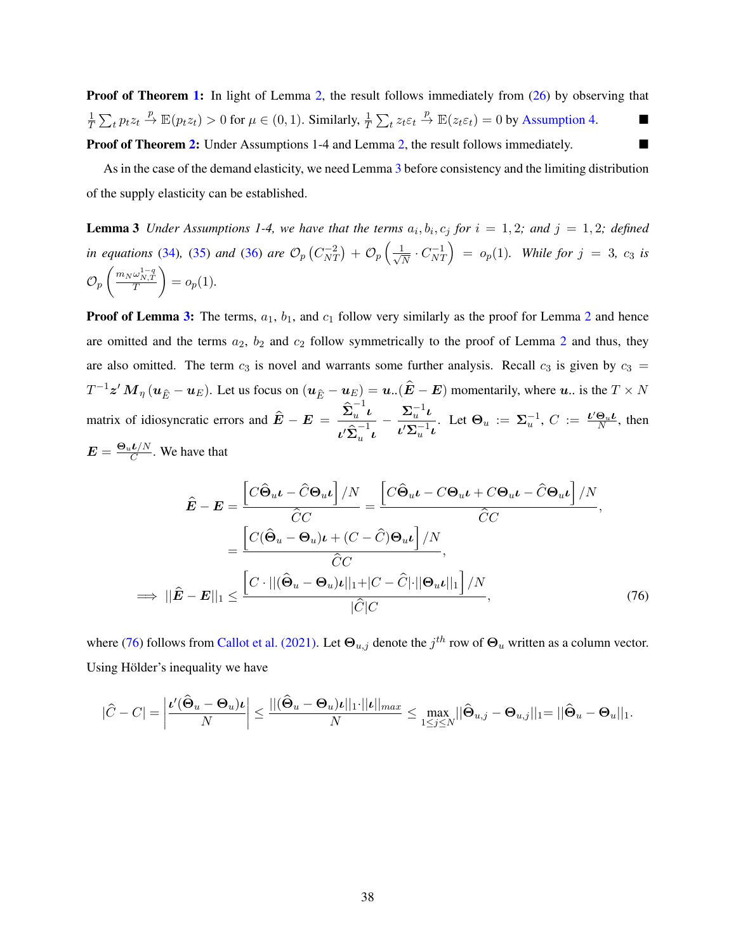**Proof of Theorem [1:](#page-18-0)** In light of Lemma [2,](#page-35-0) the result follows immediately from [\(26\)](#page-17-3) by observing that 1  $\frac{1}{T} \sum_t p_t z_t \xrightarrow{p} \mathbb{E}(p_t z_t) > 0$  for  $\mu \in (0, 1)$ . Similarly,  $\frac{1}{T} \sum_t z_t \varepsilon_t \xrightarrow{p} \mathbb{E}(z_t \varepsilon_t) = 0$  by [Assumption 4.](#page-15-0) **Proof of Theorem [2:](#page-18-1)** Under Assumptions 1-4 and Lemma [2,](#page-35-0) the result follows immediately.

<span id="page-38-0"></span>As in the case of the demand elasticity, we need Lemma [3](#page-38-0) before consistency and the limiting distribution of the supply elasticity can be established.

**Lemma 3** Under Assumptions 1-4, we have that the terms  $a_i, b_i, c_j$  for  $i = 1, 2$ ; and  $j = 1, 2$ ; defined *in equations* [\(34\)](#page-19-1), [\(35\)](#page-19-2) *and* [\(36\)](#page-19-3) *are*  $\mathcal{O}_p$  $C_{N7}^{-2}$  $\binom{-2}{NT} + \mathcal{O}_p\left(\frac{1}{\sqrt{N}}\right)$  $\frac{1}{N} \cdot C_{N}^{-1}$ **Example 6** Example 6. Solutions 1-4, we have that the terms  $a_1, o_1, c_j$  for  $i = 1, 2$ , and  $j = 1, 2$ , defined<br>equations (34), (35) and (36) are  $\mathcal{O}_p(C_{NT}^{-2}) + \mathcal{O}_p\left(\frac{1}{\sqrt{N}} \cdot C_{NT}^{-1}\right) = o_p(1)$ . While for  $j = 3$ ,  $c$  $\mathcal{O}_p\left(\frac{m_N\omega_{N,T}^{1-q}}{T}\right) = o_p(1).$ 

**Proof of Lemma [3:](#page-38-0)** The terms,  $a_1$ ,  $b_1$ , and  $c_1$  follow very similarly as the proof for Lemma [2](#page-35-0) and hence are omitted and the terms  $a_2$  $a_2$ ,  $b_2$  and  $c_2$  follow symmetrically to the proof of Lemma 2 and thus, they are also omitted. The term  $c_3$  is novel and warrants some further analysis. Recall  $c_3$  is given by  $c_3 =$  $T^{-1}z' M_{\eta}$   $(u_{\hat{E}} - u_E)$ . Let us focus on  $(u_{\hat{E}} - u_E) = u$ .  $(\hat{E} - E)$  momentarily, where  $u$ . is the  $T \times N$ matrix of idiosyncratic errors and  $\hat{E} - E = \frac{\hat{\Sigma}_u^{-1}}{2\hat{\Sigma}_u}$  $\int_{u}^{1}$  $\iota' \widehat{\Sigma}_u^{-1}$  $\int_u$  $-\frac{\Sigma_{u}^{-1}\iota}{\Sigma_{u}^{-1}}$  $\frac{\Sigma_u \cdot \iota}{\iota' \Sigma_u^{-1} \iota}$ . Let  $\Theta_u := \Sigma_u^{-1}$ ,  $C := \frac{\iota' \Theta_u \iota}{N}$ , then  $\boldsymbol{E} = \frac{\boldsymbol{\Theta}_{u} \boldsymbol{\ell} / N}{C}$  $\frac{\partial}{\partial C}$ . We have that

<span id="page-38-1"></span>
$$
\hat{E} - E = \frac{\left[C\hat{\Theta}_{u}t - \hat{C}\Theta_{u}t\right]/N}{\hat{C}C} = \frac{\left[C\hat{\Theta}_{u}t - C\Theta_{u}t + C\Theta_{u}t - \hat{C}\Theta_{u}t\right]/N}{\hat{C}C},
$$
\n
$$
= \frac{\left[C(\hat{\Theta}_{u} - \Theta_{u})t + (C - \hat{C})\Theta_{u}t\right]/N}{\hat{C}C},
$$
\n
$$
\implies ||\hat{E} - E||_1 \le \frac{\left[C \cdot ||(\hat{\Theta}_{u} - \Theta_{u})t||_1 + |C - \hat{C}|\cdot ||\Theta_{u}t||_1\right]/N}{|\hat{C}|C}, \tag{76}
$$

where [\(76\)](#page-38-1) follows from [Callot et al. \(2021\).](#page-42-22) Let  $\Theta_{u,j}$  denote the  $j^{th}$  row of  $\Theta_u$  written as a column vector. Using Hölder's inequality we have

$$
|\widehat{C}-C|=\left|\frac{\iota'(\widehat{\Theta}_u-\Theta_u)\iota}{N}\right|\leq \frac{||(\widehat{\Theta}_u-\Theta_u)\iota||_1\cdot||\iota||_{max}}{N}\leq \max_{1\leq j\leq N}||\widehat{\Theta}_{u,j}-\Theta_{u,j}||_1=||\widehat{\Theta}_u-\Theta_u||_1.
$$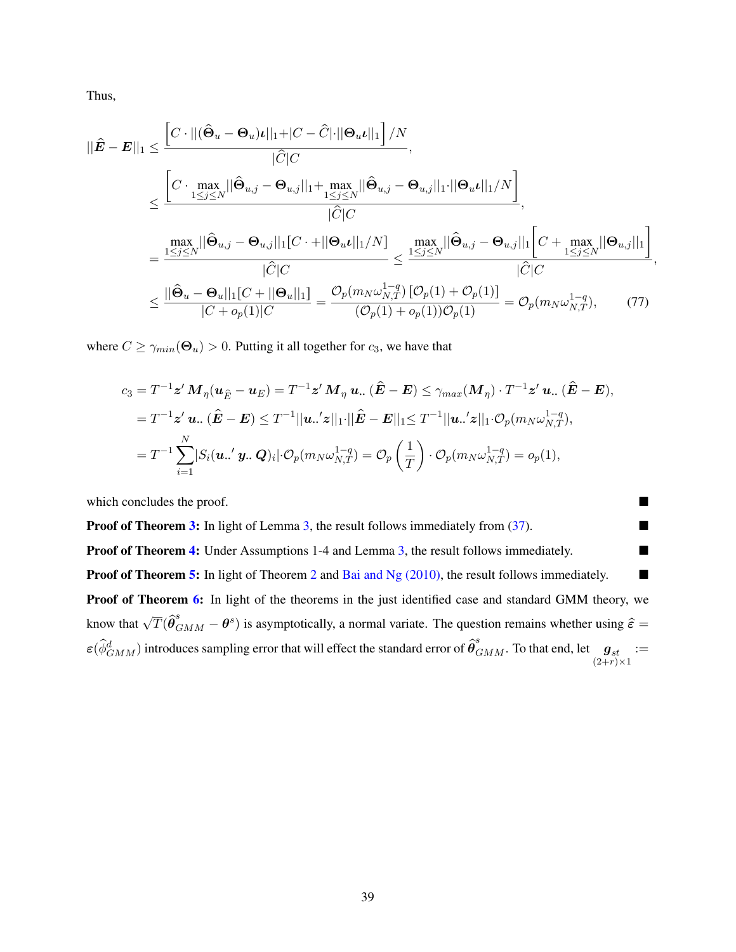Thus,

$$
||\hat{E} - E||_1 \leq \frac{\left[C \cdot ||(\hat{\Theta}_u - \Theta_u) \iota||_1 + |C - \hat{C}| \cdot ||\Theta_u \iota||_1\right] / N}{|\hat{C}|C|},
$$
  

$$
\leq \frac{\left[C \cdot \max_{1 \leq j \leq N} ||\hat{\Theta}_{u,j} - \Theta_{u,j}||_1 + \max_{1 \leq j \leq N} ||\hat{\Theta}_{u,j} - \Theta_{u,j}||_1 \cdot ||\Theta_u \iota||_1 / N\right]}{|\hat{C}|C|},
$$
  

$$
= \frac{\max_{1 \leq j \leq N} ||\hat{\Theta}_{u,j} - \Theta_{u,j}||_1 [C \cdot + ||\Theta_u \iota||_1 / N]}{|\hat{C}|C|} \leq \frac{\max_{1 \leq j \leq N} ||\hat{\Theta}_{u,j} - \Theta_{u,j}||_1 \left[C + \max_{1 \leq j \leq N} ||\Theta_{u,j}||_1\right]}{|\hat{C}|C|},
$$
  

$$
\leq \frac{||\hat{\Theta}_u - \Theta_u||_1 [C + ||\Theta_u||_1]}{|C + o_p(1)|C|} = \frac{\mathcal{O}_p(m_N \omega_{N,T}^{1-q}) \left[\mathcal{O}_p(1) + \mathcal{O}_p(1)\right]}{(\mathcal{O}_p(1) + o_p(1))\mathcal{O}_p(1)} = \mathcal{O}_p(m_N \omega_{N,T}^{1-q}), \tag{77}
$$

where  $C \ge \gamma_{min}(\Theta_u) > 0$ . Putting it all together for  $c_3$ , we have that

$$
c_3 = T^{-1} \mathbf{z}' M_{\eta}(\mathbf{u}_{\hat{E}} - \mathbf{u}_{E}) = T^{-1} \mathbf{z}' M_{\eta} \mathbf{u} \dots (\hat{E} - E) \leq \gamma_{max}(M_{\eta}) \cdot T^{-1} \mathbf{z}' \mathbf{u} \dots (\hat{E} - E),
$$
  
\n
$$
= T^{-1} \mathbf{z}' \mathbf{u} \dots (\hat{E} - E) \leq T^{-1} ||\mathbf{u} \dots' \mathbf{z}||_1 \cdot ||\hat{E} - E||_1 \leq T^{-1} ||\mathbf{u} \dots' \mathbf{z}||_1 \cdot \mathcal{O}_p(m_N \omega_{N,T}^{1-q}),
$$
  
\n
$$
= T^{-1} \sum_{i=1}^N |S_i(\mathbf{u} \dots' \mathbf{y} \dots \mathbf{Q})_i| \cdot \mathcal{O}_p(m_N \omega_{N,T}^{1-q}) = \mathcal{O}_p\left(\frac{1}{T}\right) \cdot \mathcal{O}_p(m_N \omega_{N,T}^{1-q}) = o_p(1),
$$

which concludes the proof.

**Proof of Theorem [3:](#page-20-1)** In light of Lemma [3,](#page-38-0) the result follows immediately from  $(37)$ . **Proof of Theorem [4:](#page-20-2)** Under Assumptions 1-4 and Lemma [3,](#page-38-0) the result follows immediately. ■ **Proof of Theorem [5:](#page-21-1)** In light of Theorem [2](#page-18-1) and [Bai and Ng \(2010\),](#page-41-1) the result follows immediately.  $\blacksquare$ Proof of Theorem [6:](#page-22-1) In light of the theorems in the just identified case and standard GMM theory, we know that  $\sqrt{T}(\hat{\theta}_{GMM}^s - \theta^s)$  is asymptotically, a normal variate. The question remains whether using  $\hat{\varepsilon}$  =  $\varepsilon(\hat{\phi}_{GMM}^d)$  introduces sampling error that will effect the standard error of  $\hat{\theta}_{GMM}^s$ . To that end, let  $\mathbf{g}_{st}$ <br>(2+r)×1 :=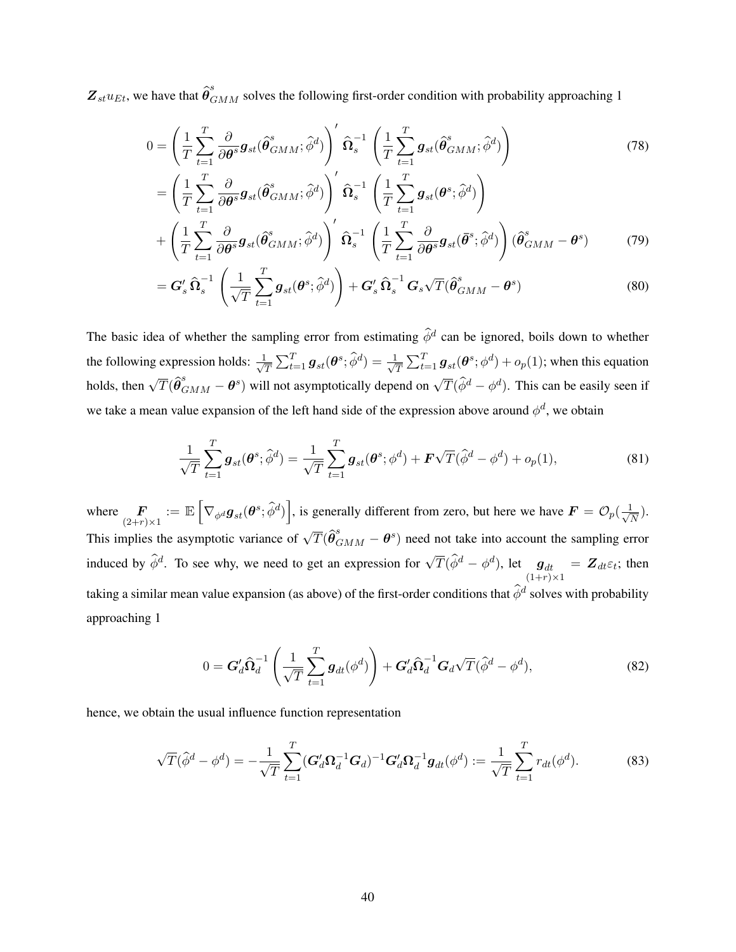$Z_{st}u_{Et}$ , we have that  $\hat{\theta}_{GMM}^s$  solves the following first-order condition with probability approaching 1

$$
0 = \left(\frac{1}{T}\sum_{t=1}^{T}\frac{\partial}{\partial \theta^{s}}g_{st}(\hat{\theta}_{GMM}^{s};\hat{\phi}^{d})\right)^{\prime}\hat{\Omega}_{s}^{-1}\left(\frac{1}{T}\sum_{t=1}^{T}g_{st}(\hat{\theta}_{GMM}^{s};\hat{\phi}^{d})\right)
$$
(78)

$$
= \left(\frac{1}{T}\sum_{t=1}^{T}\frac{\partial}{\partial\theta^{s}}g_{st}(\hat{\theta}_{GMM}^{s};\hat{\phi}^{d})\right)^{'}\hat{\Omega}_{s}^{-1}\left(\frac{1}{T}\sum_{t=1}^{T}g_{st}(\theta^{s};\hat{\phi}^{d})\right) + \left(\frac{1}{T}\sum_{t=1}^{T}\frac{\partial}{\partial\theta^{s}}g_{st}(\hat{\theta}_{GMM}^{s};\hat{\phi}^{d})\right)^{'}\hat{\Omega}_{s}^{-1}\left(\frac{1}{T}\sum_{t=1}^{T}\frac{\partial}{\partial\theta^{s}}g_{st}(\bar{\theta}^{s};\hat{\phi}^{d})\right)(\hat{\theta}_{GMM}^{s}-\theta^{s}) \qquad (79)
$$

<span id="page-40-2"></span>
$$
= \mathbf{G}'_s \,\widehat{\boldsymbol{\Omega}}_s^{-1} \left( \frac{1}{\sqrt{T}} \sum_{t=1}^T \boldsymbol{g}_{st}(\boldsymbol{\theta}^s; \widehat{\phi}^d) \right) + \mathbf{G}'_s \,\widehat{\boldsymbol{\Omega}}_s^{-1} \,\mathbf{G}_s \sqrt{T} (\widehat{\boldsymbol{\theta}}_{GMM}^s - \boldsymbol{\theta}^s) \tag{80}
$$

The basic idea of whether the sampling error from estimating  $\hat{\phi}^d$  can be ignored, boils down to whether the following expression holds:  $\frac{1}{\sqrt{2}}$  $\frac{1}{T}\sum_{t=1}^T \bm{g}_{st}(\bm{\theta}^s;\widehat{\phi}^d) = \frac{1}{\sqrt{2}}$  $\frac{1}{T}\sum_{t=1}^T \bm{g}_{st}(\bm{\theta}^s;\phi^d) + o_p(1);$  when this equation holds, then  $\sqrt{T}(\hat{\theta}_{GMM}^s - \theta^s)$  will not asymptotically depend on  $\sqrt{T}(\hat{\phi}^d - \phi^d)$ . This can be easily seen if we take a mean value expansion of the left hand side of the expression above around  $\phi^d$ , we obtain

<span id="page-40-1"></span>
$$
\frac{1}{\sqrt{T}} \sum_{t=1}^{T} \mathbf{g}_{st}(\boldsymbol{\theta}^s; \hat{\phi}^d) = \frac{1}{\sqrt{T}} \sum_{t=1}^{T} \mathbf{g}_{st}(\boldsymbol{\theta}^s; \phi^d) + \mathbf{F}\sqrt{T}(\hat{\phi}^d - \phi^d) + o_p(1),
$$
\n(81)

where  $\mathbf{F}_{(2+r)\times 1} := \mathbb{E}$ "  $\nabla_{\phi^d} \bm{g}_{st}(\bm{\theta}^s;\widehat{\phi}^d)$ ı , is generally different from zero, but here we have  $\mathbf{F} = \mathcal{O}_p(\frac{1}{\sqrt{n}})$  $\frac{1}{\overline{N}}$ ). This implies the asymptotic variance of  $\sqrt{T}(\hat{\theta}_{GMM}^s - \theta^s)$  need not take into account the sampling error induced by  $\hat{\phi}^d$ . To see why, we need to get an expression for  $\sqrt{T}(\hat{\phi}^d - \phi^d)$ , let  $\mathbf{g}_{dt}$ <br>(1+r)×1  $= Z_{dt} \varepsilon_t$ ; then taking a similar mean value expansion (as above) of the first-order conditions that  $\hat{\phi}^d$  solves with probability approaching 1

<span id="page-40-0"></span>
$$
0 = \mathbf{G}'_d \widehat{\boldsymbol{\Omega}}_d^{-1} \left( \frac{1}{\sqrt{T}} \sum_{t=1}^T \boldsymbol{g}_{dt}(\phi^d) \right) + \mathbf{G}'_d \widehat{\boldsymbol{\Omega}}_d^{-1} \mathbf{G}_d \sqrt{T} (\widehat{\phi}^d - \phi^d), \tag{82}
$$

hence, we obtain the usual influence function representation

$$
\sqrt{T}(\hat{\phi}^d - \phi^d) = -\frac{1}{\sqrt{T}} \sum_{t=1}^T (\mathbf{G}_d' \mathbf{\Omega}_d^{-1} \mathbf{G}_d)^{-1} \mathbf{G}_d' \mathbf{\Omega}_d^{-1} \mathbf{g}_{dt}(\phi^d) := \frac{1}{\sqrt{T}} \sum_{t=1}^T r_{dt}(\phi^d).
$$
 (83)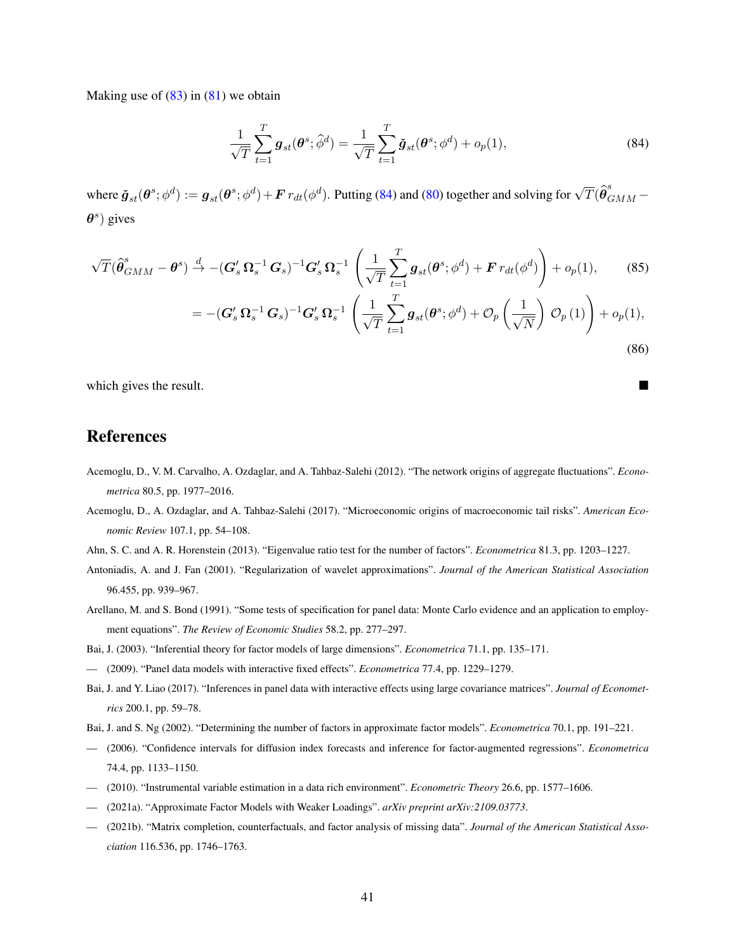Making use of  $(83)$  in  $(81)$  we obtain

<span id="page-41-13"></span>
$$
\frac{1}{\sqrt{T}}\sum_{t=1}^{T}\boldsymbol{g}_{st}(\boldsymbol{\theta}^{s};\hat{\phi}^{d}) = \frac{1}{\sqrt{T}}\sum_{t=1}^{T}\check{\boldsymbol{g}}_{st}(\boldsymbol{\theta}^{s};\phi^{d}) + o_{p}(1),
$$
\n(84)

where  $\tilde{\bm{g}}_{st}(\bm{\theta}^s; \phi^d) := \bm{g}_{st}(\bm{\theta}^s; \phi^d) + \bm{F} r_{dt}(\phi^d)$ . Putting [\(84\)](#page-41-13) and [\(80\)](#page-40-2) together and solving for  $\sqrt{T}(\hat{\bm{\theta}}_{GMM}^s \theta^s$ ) gives

$$
\sqrt{T}(\hat{\boldsymbol{\theta}}_{GMM}^{s} - \boldsymbol{\theta}^{s}) \stackrel{d}{\rightarrow} -(\boldsymbol{G}_{s}^{\prime} \boldsymbol{\Omega}_{s}^{-1} \boldsymbol{G}_{s})^{-1} \boldsymbol{G}_{s}^{\prime} \boldsymbol{\Omega}_{s}^{-1} \left( \frac{1}{\sqrt{T}} \sum_{t=1}^{T} \boldsymbol{g}_{st}(\boldsymbol{\theta}^{s}; \phi^{d}) + \boldsymbol{F} \, r_{dt}(\phi^{d}) \right) + o_{p}(1), \tag{85}
$$

$$
=-(\mathbf{G}'_s\,\mathbf{\Omega}_s^{-1}\,\mathbf{G}_s)^{-1}\mathbf{G}'_s\,\mathbf{\Omega}_s^{-1}\,\left(\frac{1}{\sqrt{T}}\sum_{t=1}^{\prime}\mathbf{g}_{st}(\boldsymbol{\theta}^s;\phi^d)+\mathcal{O}_p\left(\frac{1}{\sqrt{N}}\right)\,\mathcal{O}_p\left(1\right)\right)+o_p(1),\tag{86}
$$

which gives the result.

# References

- <span id="page-41-2"></span>Acemoglu, D., V. M. Carvalho, A. Ozdaglar, and A. Tahbaz-Salehi (2012). "The network origins of aggregate fluctuations". *Econometrica* 80.5, pp. 1977–2016.
- <span id="page-41-3"></span>Acemoglu, D., A. Ozdaglar, and A. Tahbaz-Salehi (2017). "Microeconomic origins of macroeconomic tail risks". *American Economic Review* 107.1, pp. 54–108.
- <span id="page-41-11"></span>Ahn, S. C. and A. R. Horenstein (2013). "Eigenvalue ratio test for the number of factors". *Econometrica* 81.3, pp. 1203–1227.
- <span id="page-41-10"></span>Antoniadis, A. and J. Fan (2001). "Regularization of wavelet approximations". *Journal of the American Statistical Association* 96.455, pp. 939–967.
- <span id="page-41-0"></span>Arellano, M. and S. Bond (1991). "Some tests of specification for panel data: Monte Carlo evidence and an application to employment equations". *The Review of Economic Studies* 58.2, pp. 277–297.
- <span id="page-41-6"></span>Bai, J. (2003). "Inferential theory for factor models of large dimensions". *Econometrica* 71.1, pp. 135–171.
- <span id="page-41-5"></span>— (2009). "Panel data models with interactive fixed effects". *Econometrica* 77.4, pp. 1229–1279.
- <span id="page-41-12"></span>Bai, J. and Y. Liao (2017). "Inferences in panel data with interactive effects using large covariance matrices". *Journal of Econometrics* 200.1, pp. 59–78.
- <span id="page-41-4"></span>Bai, J. and S. Ng (2002). "Determining the number of factors in approximate factor models". *Econometrica* 70.1, pp. 191–221.
- <span id="page-41-7"></span>— (2006). "Confidence intervals for diffusion index forecasts and inference for factor-augmented regressions". *Econometrica* 74.4, pp. 1133–1150.
- <span id="page-41-1"></span>— (2010). "Instrumental variable estimation in a data rich environment". *Econometric Theory* 26.6, pp. 1577–1606.
- <span id="page-41-9"></span>— (2021a). "Approximate Factor Models with Weaker Loadings". *arXiv preprint arXiv:2109.03773*.
- <span id="page-41-8"></span>— (2021b). "Matrix completion, counterfactuals, and factor analysis of missing data". *Journal of the American Statistical Association* 116.536, pp. 1746–1763.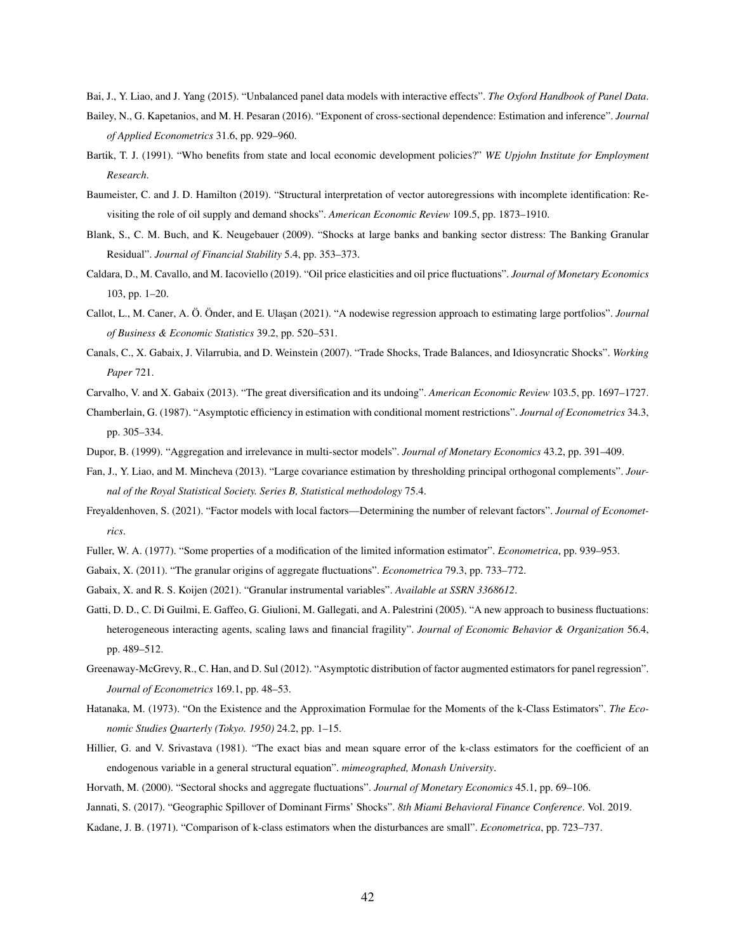<span id="page-42-12"></span><span id="page-42-11"></span>Bai, J., Y. Liao, and J. Yang (2015). "Unbalanced panel data models with interactive effects". *The Oxford Handbook of Panel Data*.

- Bailey, N., G. Kapetanios, and M. H. Pesaran (2016). "Exponent of cross-sectional dependence: Estimation and inference". *Journal of Applied Econometrics* 31.6, pp. 929–960.
- <span id="page-42-1"></span>Bartik, T. J. (1991). "Who benefits from state and local economic development policies?" *WE Upjohn Institute for Employment Research*.
- <span id="page-42-21"></span>Baumeister, C. and J. D. Hamilton (2019). "Structural interpretation of vector autoregressions with incomplete identification: Revisiting the role of oil supply and demand shocks". *American Economic Review* 109.5, pp. 1873–1910.
- <span id="page-42-7"></span>Blank, S., C. M. Buch, and K. Neugebauer (2009). "Shocks at large banks and banking sector distress: The Banking Granular Residual". *Journal of Financial Stability* 5.4, pp. 353–373.
- <span id="page-42-20"></span>Caldara, D., M. Cavallo, and M. Iacoviello (2019). "Oil price elasticities and oil price fluctuations". *Journal of Monetary Economics* 103, pp. 1–20.
- <span id="page-42-22"></span>Callot, L., M. Caner, A. Ö. Önder, and E. Ula¸san (2021). "A nodewise regression approach to estimating large portfolios". *Journal of Business & Economic Statistics* 39.2, pp. 520–531.
- <span id="page-42-6"></span>Canals, C., X. Gabaix, J. Vilarrubia, and D. Weinstein (2007). "Trade Shocks, Trade Balances, and Idiosyncratic Shocks". *Working Paper* 721.
- <span id="page-42-15"></span><span id="page-42-8"></span>Carvalho, V. and X. Gabaix (2013). "The great diversification and its undoing". *American Economic Review* 103.5, pp. 1697–1727.
- Chamberlain, G. (1987). "Asymptotic efficiency in estimation with conditional moment restrictions". *Journal of Econometrics* 34.3, pp. 305–334.
- <span id="page-42-3"></span>Dupor, B. (1999). "Aggregation and irrelevance in multi-sector models". *Journal of Monetary Economics* 43.2, pp. 391–409.
- <span id="page-42-14"></span>Fan, J., Y. Liao, and M. Mincheva (2013). "Large covariance estimation by thresholding principal orthogonal complements". *Journal of the Royal Statistical Society. Series B, Statistical methodology* 75.4.
- <span id="page-42-13"></span>Freyaldenhoven, S. (2021). "Factor models with local factors—Determining the number of relevant factors". *Journal of Econometrics*.
- <span id="page-42-17"></span><span id="page-42-4"></span>Fuller, W. A. (1977). "Some properties of a modification of the limited information estimator". *Econometrica*, pp. 939–953.
- <span id="page-42-0"></span>Gabaix, X. (2011). "The granular origins of aggregate fluctuations". *Econometrica* 79.3, pp. 733–772.
- Gabaix, X. and R. S. Koijen (2021). "Granular instrumental variables". *Available at SSRN 3368612*.
- <span id="page-42-5"></span>Gatti, D. D., C. Di Guilmi, E. Gaffeo, G. Giulioni, M. Gallegati, and A. Palestrini (2005). "A new approach to business fluctuations: heterogeneous interacting agents, scaling laws and financial fragility". *Journal of Economic Behavior & Organization* 56.4, pp. 489–512.
- <span id="page-42-10"></span>Greenaway-McGrevy, R., C. Han, and D. Sul (2012). "Asymptotic distribution of factor augmented estimators for panel regression". *Journal of Econometrics* 169.1, pp. 48–53.
- <span id="page-42-16"></span>Hatanaka, M. (1973). "On the Existence and the Approximation Formulae for the Moments of the k-Class Estimators". *The Economic Studies Quarterly (Tokyo. 1950)* 24.2, pp. 1–15.
- <span id="page-42-18"></span>Hillier, G. and V. Srivastava (1981). "The exact bias and mean square error of the k-class estimators for the coefficient of an endogenous variable in a general structural equation". *mimeographed, Monash University*.
- <span id="page-42-2"></span>Horvath, M. (2000). "Sectoral shocks and aggregate fluctuations". *Journal of Monetary Economics* 45.1, pp. 69–106.
- <span id="page-42-9"></span>Jannati, S. (2017). "Geographic Spillover of Dominant Firms' Shocks". *8th Miami Behavioral Finance Conference*. Vol. 2019.
- <span id="page-42-19"></span>Kadane, J. B. (1971). "Comparison of k-class estimators when the disturbances are small". *Econometrica*, pp. 723–737.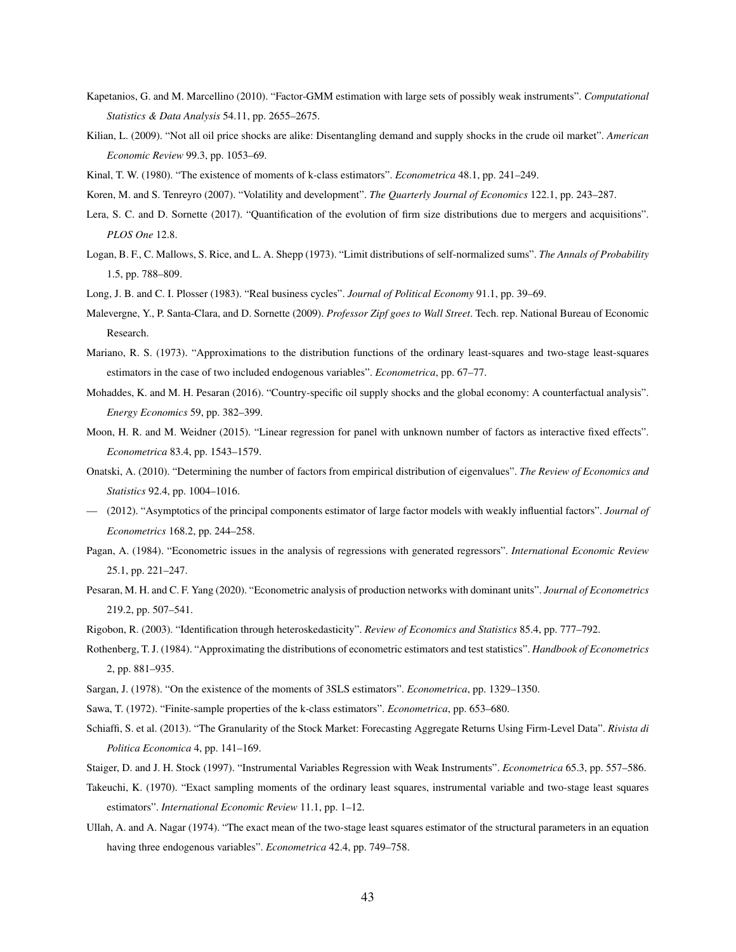- <span id="page-43-10"></span>Kapetanios, G. and M. Marcellino (2010). "Factor-GMM estimation with large sets of possibly weak instruments". *Computational Statistics & Data Analysis* 54.11, pp. 2655–2675.
- <span id="page-43-22"></span>Kilian, L. (2009). "Not all oil price shocks are alike: Disentangling demand and supply shocks in the crude oil market". *American Economic Review* 99.3, pp. 1053–69.
- <span id="page-43-19"></span>Kinal, T. W. (1980). "The existence of moments of k-class estimators". *Econometrica* 48.1, pp. 241–249.
- <span id="page-43-3"></span>Koren, M. and S. Tenreyro (2007). "Volatility and development". *The Quarterly Journal of Economics* 122.1, pp. 243–287.
- <span id="page-43-6"></span>Lera, S. C. and D. Sornette (2017). "Quantification of the evolution of firm size distributions due to mergers and acquisitions". *PLOS One* 12.8.
- <span id="page-43-11"></span>Logan, B. F., C. Mallows, S. Rice, and L. A. Shepp (1973). "Limit distributions of self-normalized sums". *The Annals of Probability* 1.5, pp. 788–809.
- <span id="page-43-4"></span><span id="page-43-1"></span>Long, J. B. and C. I. Plosser (1983). "Real business cycles". *Journal of Political Economy* 91.1, pp. 39–69.
- Malevergne, Y., P. Santa-Clara, and D. Sornette (2009). *Professor Zipf goes to Wall Street*. Tech. rep. National Bureau of Economic Research.
- <span id="page-43-14"></span>Mariano, R. S. (1973). "Approximations to the distribution functions of the ordinary least-squares and two-stage least-squares estimators in the case of two included endogenous variables". *Econometrica*, pp. 67–77.
- <span id="page-43-7"></span>Mohaddes, K. and M. H. Pesaran (2016). "Country-specific oil supply shocks and the global economy: A counterfactual analysis". *Energy Economics* 59, pp. 382–399.
- <span id="page-43-13"></span>Moon, H. R. and M. Weidner (2015). "Linear regression for panel with unknown number of factors as interactive fixed effects". *Econometrica* 83.4, pp. 1543–1579.
- <span id="page-43-9"></span>Onatski, A. (2010). "Determining the number of factors from empirical distribution of eigenvalues". *The Review of Economics and Statistics* 92.4, pp. 1004–1016.
- <span id="page-43-8"></span>— (2012). "Asymptotics of the principal components estimator of large factor models with weakly influential factors". *Journal of Econometrics* 168.2, pp. 244–258.
- <span id="page-43-12"></span>Pagan, A. (1984). "Econometric issues in the analysis of regressions with generated regressors". *International Economic Review* 25.1, pp. 221–247.
- <span id="page-43-2"></span>Pesaran, M. H. and C. F. Yang (2020). "Econometric analysis of production networks with dominant units". *Journal of Econometrics* 219.2, pp. 507–541.
- <span id="page-43-0"></span>Rigobon, R. (2003). "Identification through heteroskedasticity". *Review of Economics and Statistics* 85.4, pp. 777–792.
- <span id="page-43-21"></span>Rothenberg, T. J. (1984). "Approximating the distributions of econometric estimators and test statistics". *Handbook of Econometrics* 2, pp. 881–935.
- <span id="page-43-18"></span>Sargan, J. (1978). "On the existence of the moments of 3SLS estimators". *Econometrica*, pp. 1329–1350.
- <span id="page-43-15"></span><span id="page-43-5"></span>Sawa, T. (1972). "Finite-sample properties of the k-class estimators". *Econometrica*, pp. 653–680.
- Schiaffi, S. et al. (2013). "The Granularity of the Stock Market: Forecasting Aggregate Returns Using Firm-Level Data". *Rivista di Politica Economica* 4, pp. 141–169.
- <span id="page-43-20"></span>Staiger, D. and J. H. Stock (1997). "Instrumental Variables Regression with Weak Instruments". *Econometrica* 65.3, pp. 557–586.
- <span id="page-43-16"></span>Takeuchi, K. (1970). "Exact sampling moments of the ordinary least squares, instrumental variable and two-stage least squares estimators". *International Economic Review* 11.1, pp. 1–12.
- <span id="page-43-17"></span>Ullah, A. and A. Nagar (1974). "The exact mean of the two-stage least squares estimator of the structural parameters in an equation having three endogenous variables". *Econometrica* 42.4, pp. 749–758.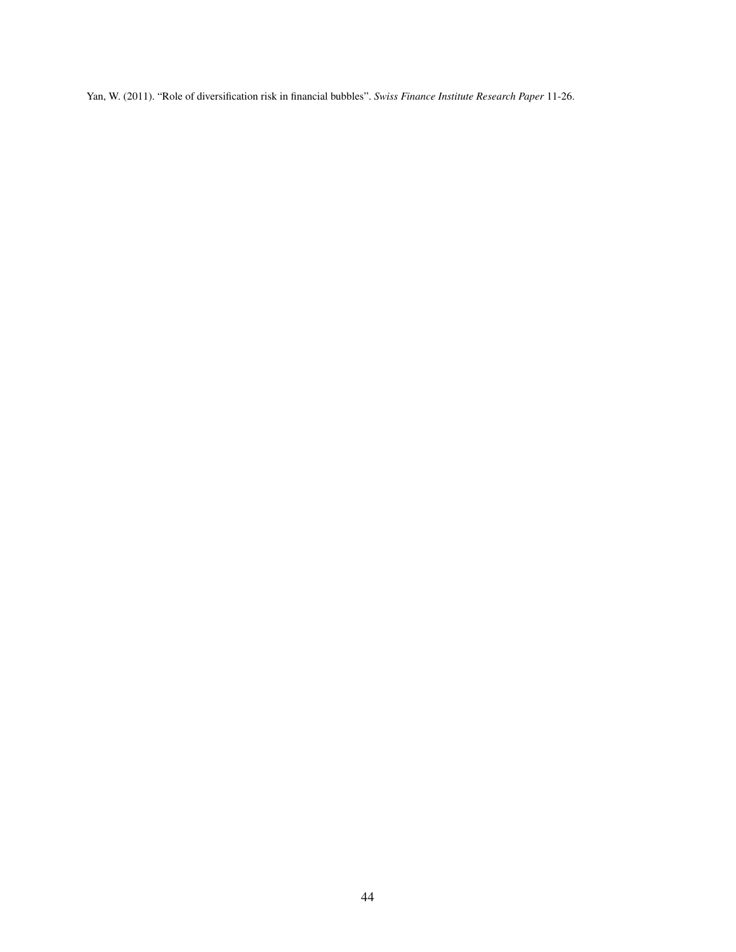<span id="page-44-0"></span>Yan, W. (2011). "Role of diversification risk in financial bubbles". *Swiss Finance Institute Research Paper* 11-26.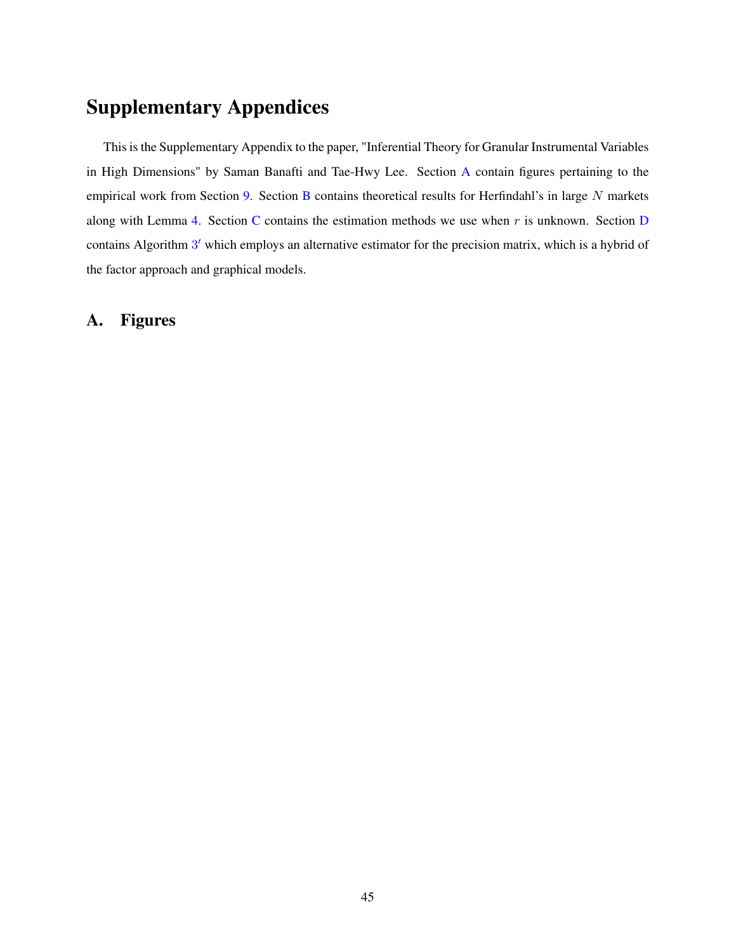# Supplementary Appendices

This is the Supplementary Appendix to the paper, "Inferential Theory for Granular Instrumental Variables in High Dimensions" by Saman Banafti and Tae-Hwy Lee. Section [A](#page-45-0) contain figures pertaining to the empirical work from Section [9.](#page-28-0) Section [B](#page-49-0) contains theoretical results for Herfindahl's in large N markets along with Lemma [4.](#page-50-0) Section [C](#page-51-0) contains the estimation methods we use when  $r$  is unknown. Section [D](#page-52-0) contains Algorithm [3](#page-55-0)' which employs an alternative estimator for the precision matrix, which is a hybrid of the factor approach and graphical models.

# <span id="page-45-0"></span>A. Figures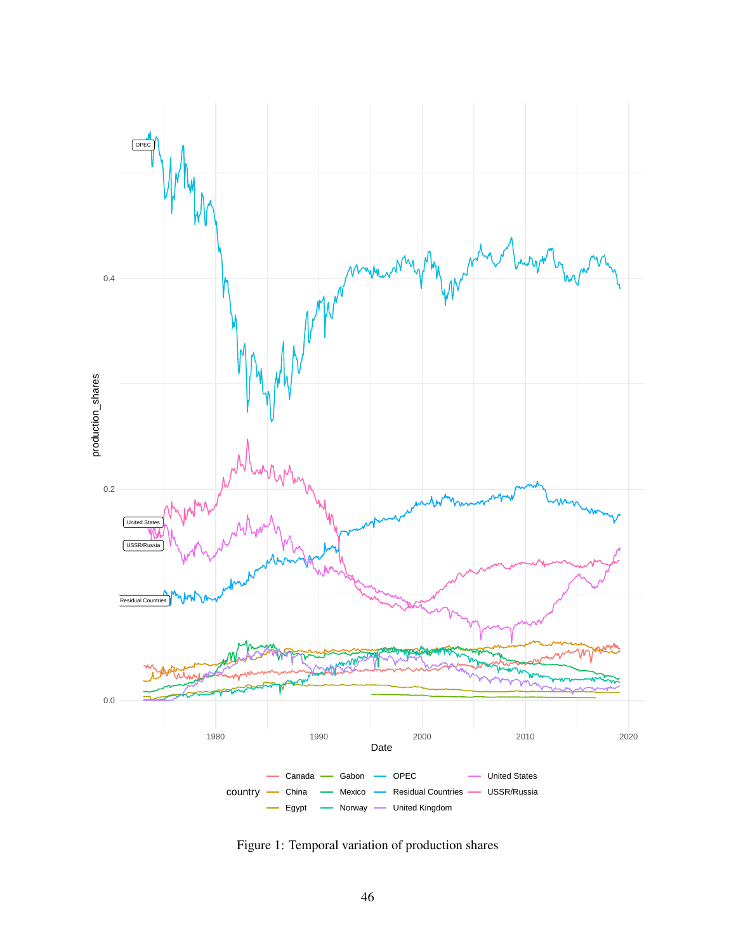<span id="page-46-0"></span>

Figure 1: Temporal variation of production shares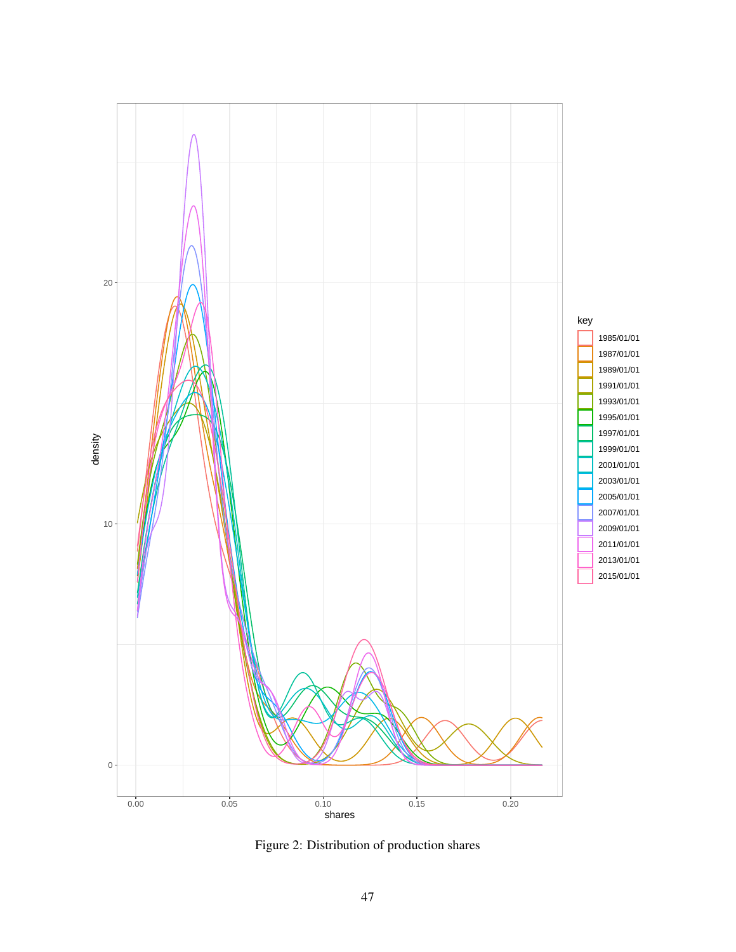<span id="page-47-0"></span>

Figure 2: Distribution of production shares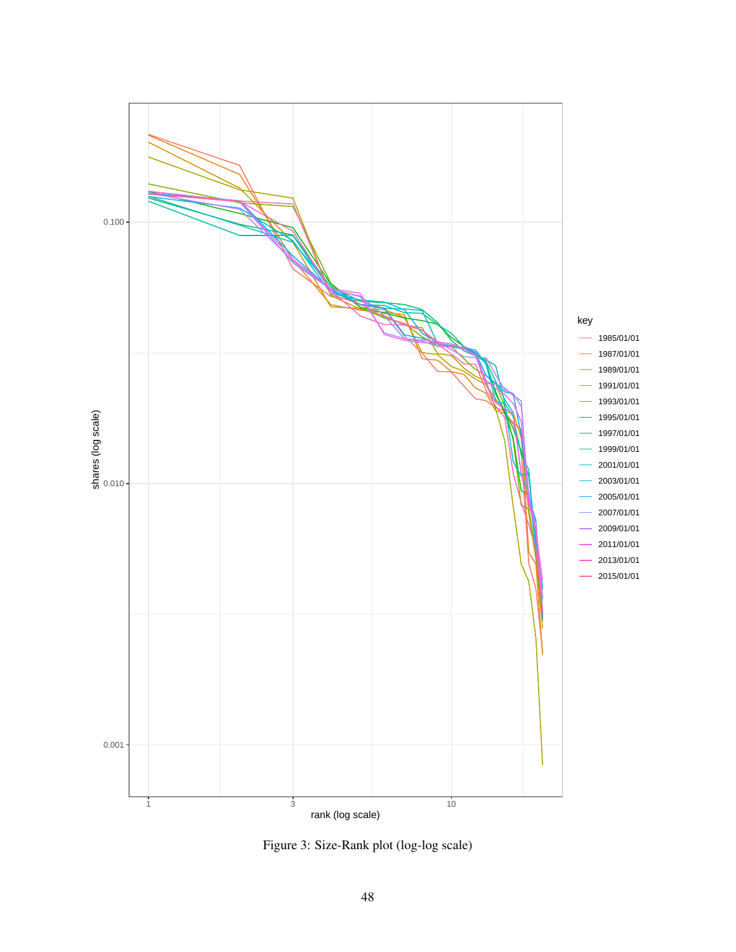<span id="page-48-0"></span>

Figure 3: Size-Rank plot (log-log scale)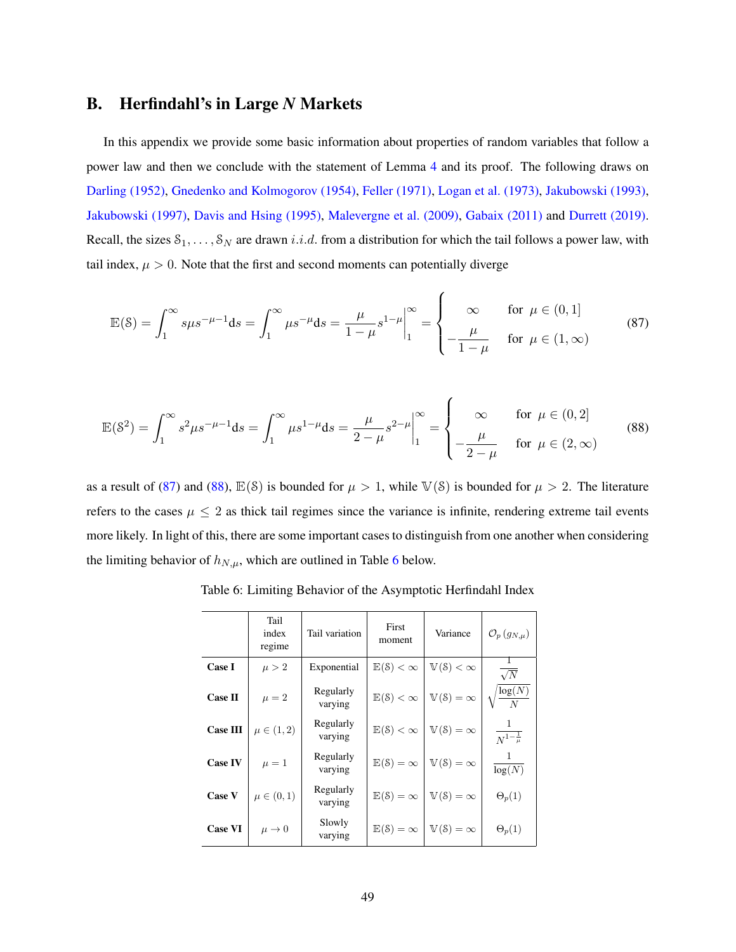# <span id="page-49-0"></span>B. Herfindahl's in Large *N* Markets

In this appendix we provide some basic information about properties of random variables that follow a power law and then we conclude with the statement of Lemma [4](#page-50-0) and its proof. The following draws on [Darling \(1952\),](#page-55-1) [Gnedenko and Kolmogorov \(1954\),](#page-56-0) [Feller \(1971\),](#page-56-1) [Logan et al. \(1973\),](#page-43-11) [Jakubowski \(1993\),](#page-56-2) [Jakubowski \(1997\),](#page-56-3) [Davis and Hsing \(1995\),](#page-55-2) [Malevergne et al. \(2009\),](#page-43-4) [Gabaix \(2011\)](#page-42-4) and [Durrett \(2019\).](#page-55-3) Recall, the sizes  $S_1, \ldots, S_N$  are drawn *i.i.d.* from a distribution for which the tail follows a power law, with tail index,  $\mu > 0$ . Note that the first and second moments can potentially diverge

$$
\mathbb{E}(\mathcal{S}) = \int_1^{\infty} s\mu s^{-\mu - 1} ds = \int_1^{\infty} \mu s^{-\mu} ds = \frac{\mu}{1 - \mu} s^{1 - \mu} \Big|_1^{\infty} = \begin{cases} \infty & \text{for } \mu \in (0, 1] \\ -\frac{\mu}{1 - \mu} & \text{for } \mu \in (1, \infty) \end{cases}
$$
(87)

<span id="page-49-3"></span><span id="page-49-2"></span> $\epsilon$ 

$$
\mathbb{E}(\mathcal{S}^2) = \int_1^\infty s^2 \mu s^{-\mu - 1} ds = \int_1^\infty \mu s^{1 - \mu} ds = \frac{\mu}{2 - \mu} s^{2 - \mu} \Big|_1^\infty = \begin{cases} \infty & \text{for } \mu \in (0, 2] \\ -\frac{\mu}{2 - \mu} & \text{for } \mu \in (2, \infty) \end{cases}
$$
(88)

<span id="page-49-1"></span>as a result of [\(87\)](#page-49-2) and [\(88\)](#page-49-3),  $\mathbb{E}(\mathcal{S})$  is bounded for  $\mu > 1$ , while  $\mathbb{V}(\mathcal{S})$  is bounded for  $\mu > 2$ . The literature refers to the cases  $\mu \leq 2$  as thick tail regimes since the variance is infinite, rendering extreme tail events more likely. In light of this, there are some important cases to distinguish from one another when considering the limiting behavior of  $h_{N,\mu}$ , which are outlined in Table [6](#page-49-1) below.

|                 | Tail<br>index<br>regime | Tail variation       | First<br>moment | Variance                           | $\mathcal{O}_p(g_{N,\mu})$       |
|-----------------|-------------------------|----------------------|-----------------|------------------------------------|----------------------------------|
| <b>Case I</b>   | $\mu > 2$               | Exponential          | $E(S)<\infty$   | $\mathbb{V}(\mathcal{S}) < \infty$ | $\sqrt{N}$                       |
| <b>Case II</b>  | $\mu = 2$               | Regularly<br>varying | $E(S)<\infty$   | $V(\delta) = \infty$               | $\frac{\log(N)}{N}$              |
| <b>Case III</b> | $\mu \in (1, 2)$        | Regularly<br>varying | $E(S)<\infty$   | $\mathbb{V}(\mathcal{S}) = \infty$ | $\overline{N^{1-\frac{1}{\mu}}}$ |
| <b>Case IV</b>  | $\mu = 1$               | Regularly<br>varying | $E(S) = \infty$ | $\mathbb{V}(\mathcal{S}) = \infty$ | log(N)                           |
| Case V          | $\mu \in (0,1)$         | Regularly<br>varying | $E(8) = \infty$ | $V(\mathcal{S}) = \infty$          | $\Theta_p(1)$                    |
| <b>Case VI</b>  | $\mu \rightarrow 0$     | Slowly<br>varying    | $E(S) = \infty$ | $V(\mathcal{S}) = \infty$          | $\Theta_p(1)$                    |

Table 6: Limiting Behavior of the Asymptotic Herfindahl Index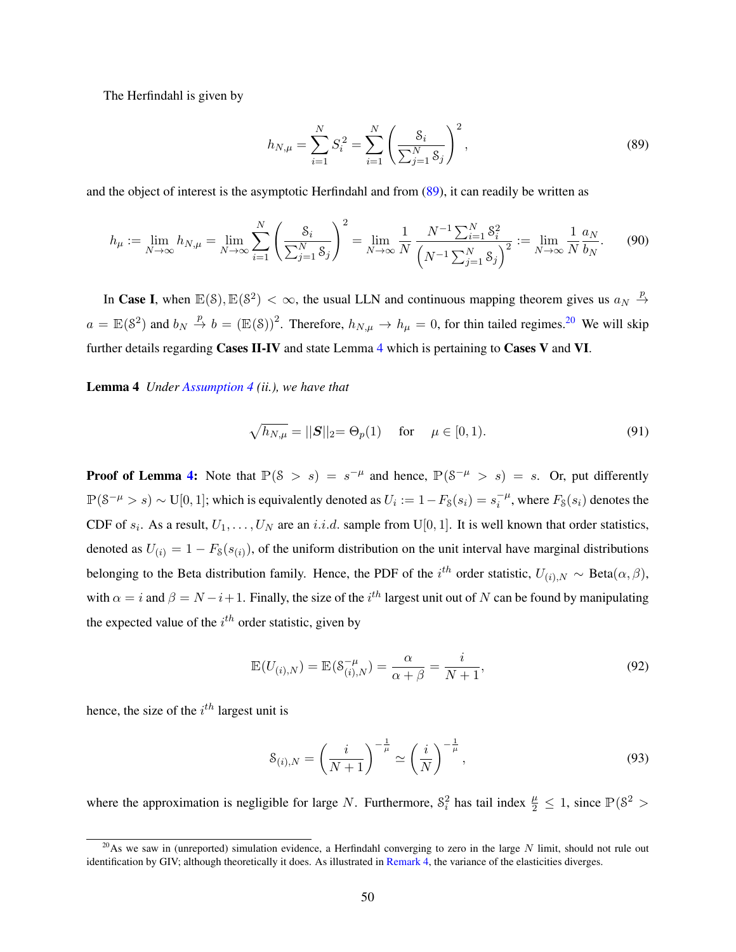The Herfindahl is given by

<span id="page-50-3"></span><span id="page-50-1"></span>
$$
h_{N,\mu} = \sum_{i=1}^{N} S_i^2 = \sum_{i=1}^{N} \left( \frac{S_i}{\sum_{j=1}^{N} S_j} \right)^2,
$$
\n(89)

and the object of interest is the asymptotic Herfindahl and from [\(89\)](#page-50-1), it can readily be written as

$$
h_{\mu} := \lim_{N \to \infty} h_{N,\mu} = \lim_{N \to \infty} \sum_{i=1}^{N} \left( \frac{\mathcal{S}_i}{\sum_{j=1}^{N} \mathcal{S}_j} \right)^2 = \lim_{N \to \infty} \frac{1}{N} \frac{N^{-1} \sum_{i=1}^{N} \mathcal{S}_i^2}{\left( N^{-1} \sum_{j=1}^{N} \mathcal{S}_j \right)^2} := \lim_{N \to \infty} \frac{1}{N} \frac{a_N}{b_N}.
$$
 (90)

In Case I, when  $\mathbb{E}(\mathcal{S}), \mathbb{E}(\mathcal{S}^2) < \infty$ , the usual LLN and continuous mapping theorem gives us  $a_N \stackrel{p}{\to}$  $a = \mathbb{E}(\mathcal{S}^2)$  and  $b_N \stackrel{p}{\to} b = (\mathbb{E}(\mathcal{S}))^2$ . Therefore,  $h_{N,\mu} \to h_{\mu} = 0$ , for thin tailed regimes.<sup>[20](#page-0-0)</sup> We will skip further details regarding Cases II-IV and state Lemma [4](#page-50-0) which is pertaining to Cases V and VI.

<span id="page-50-0"></span>Lemma 4 *Under [Assumption 4](#page-15-0) (ii.), we have that*

$$
\sqrt{h_{N,\mu}} = ||S||_2 = \Theta_p(1) \quad \text{for} \quad \mu \in [0,1). \tag{91}
$$

**Proof of Lemma [4:](#page-50-0)** Note that  $\mathbb{P}(\mathcal{S} > s) = s^{-\mu}$  and hence,  $\mathbb{P}(\mathcal{S}^{-\mu} > s) = s$ . Or, put differently  $\mathbb{P}(\mathcal{S}^{-\mu} > s) \sim \text{U}[0,1]$ ; which is equivalently denoted as  $U_i := 1 - F_{\mathcal{S}}(s_i) = s_i^{-\mu}$  $i^{\mu}$ , where  $F_s(s_i)$  denotes the CDF of  $s_i$ . As a result,  $U_1, \ldots, U_N$  are an i.i.d. sample from U[0, 1]. It is well known that order statistics, denoted as  $U_{(i)} = 1 - F_s(s_{(i)})$ , of the uniform distribution on the unit interval have marginal distributions belonging to the Beta distribution family. Hence, the PDF of the  $i^{th}$  order statistic,  $U_{(i),N} \sim \text{Beta}(\alpha, \beta)$ , with  $\alpha = i$  and  $\beta = N - i + 1$ . Finally, the size of the  $i^{th}$  largest unit out of N can be found by manipulating the expected value of the  $i<sup>th</sup>$  order statistic, given by

$$
\mathbb{E}(U_{(i),N}) = \mathbb{E}(S_{(i),N}^{-\mu}) = \frac{\alpha}{\alpha + \beta} = \frac{i}{N+1},
$$
\n(92)

hence, the size of the  $i^{th}$  largest unit is

<span id="page-50-2"></span>
$$
\mathcal{S}_{(i),N} = \left(\frac{i}{N+1}\right)^{-\frac{1}{\mu}} \simeq \left(\frac{i}{N}\right)^{-\frac{1}{\mu}},\tag{93}
$$

where the approximation is negligible for large N. Furthermore,  $S_i^2$  has tail index  $\frac{\mu}{2} \le 1$ , since  $\mathbb{P}(\S^2 >$ 

<sup>&</sup>lt;sup>20</sup>As we saw in (unreported) simulation evidence, a Herfindahl converging to zero in the large N limit, should not rule out identification by GIV; although theoretically it does. As illustrated in [Remark 4,](#page-18-2) the variance of the elasticities diverges.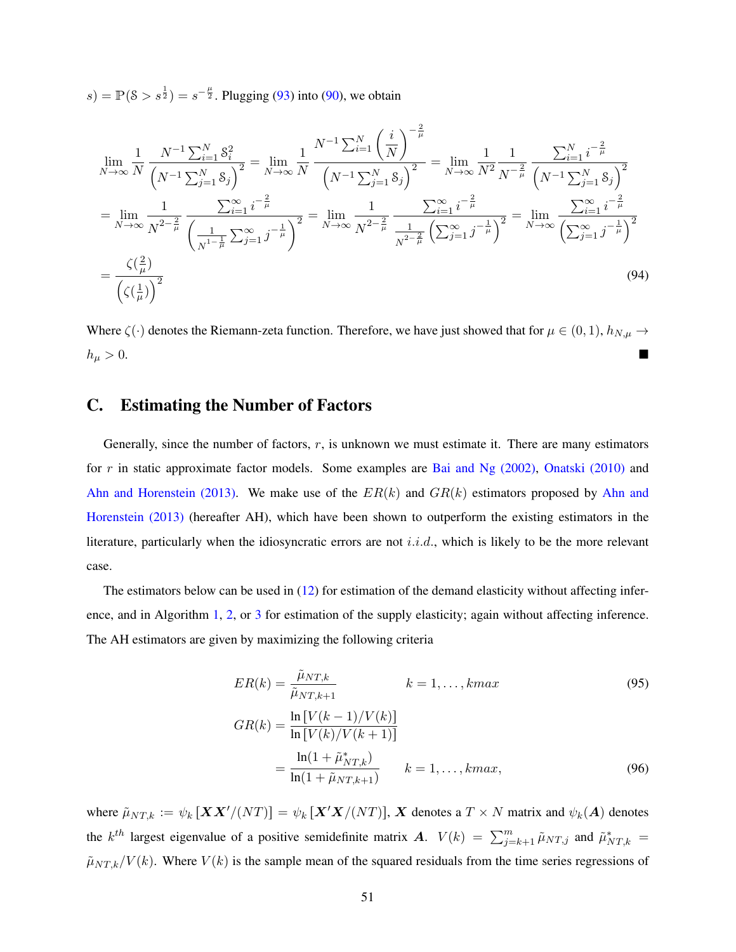$s) = \mathbb{P}(\xi > s^{\frac{1}{2}}) = s^{-\frac{\mu}{2}}$ . Plugging [\(93\)](#page-50-2) into [\(90\)](#page-50-3), we obtain

$$
\lim_{N \to \infty} \frac{1}{N} \frac{N^{-1} \sum_{i=1}^{N} \delta_{i}^{2}}{\left(N^{-1} \sum_{j=1}^{N} \delta_{j}\right)^{2}} = \lim_{N \to \infty} \frac{1}{N} \frac{N^{-1} \sum_{i=1}^{N} \left(\frac{i}{N}\right)^{-\frac{2}{\mu}}}{\left(N^{-1} \sum_{j=1}^{N} \delta_{j}\right)^{2}} = \lim_{N \to \infty} \frac{1}{N^{2} \frac{1}{N^{-\frac{2}{\mu}}}} \frac{\sum_{i=1}^{N} i^{-\frac{2}{\mu}}}{\left(N^{-1} \sum_{j=1}^{N} \delta_{j}\right)^{2}}
$$
\n
$$
= \lim_{N \to \infty} \frac{1}{N^{2-\frac{2}{\mu}}} \frac{\sum_{i=1}^{\infty} i^{-\frac{2}{\mu}}}{\left(\frac{1}{N^{1-\frac{1}{\mu}}} \sum_{j=1}^{\infty} j^{-\frac{1}{\mu}}\right)^{2}} = \lim_{N \to \infty} \frac{1}{N^{2-\frac{2}{\mu}}} \frac{\sum_{i=1}^{\infty} i^{-\frac{2}{\mu}}}{\left(\sum_{j=1}^{\infty} j^{-\frac{1}{\mu}}\right)^{2}} = \lim_{N \to \infty} \frac{\sum_{i=1}^{\infty} i^{-\frac{2}{\mu}}}{\left(\sum_{j=1}^{\infty} j^{-\frac{1}{\mu}}\right)^{2}} = \frac{\left(\frac{2}{\mu}\right)}{\left(\left(\frac{1}{\mu}\right)\right)^{2}}
$$
\n
$$
= \frac{\zeta\left(\frac{2}{\mu}\right)}{\left(\zeta\left(\frac{1}{\mu}\right)\right)^{2}} \tag{94}
$$

Where  $\zeta(\cdot)$  denotes the Riemann-zeta function. Therefore, we have just showed that for  $\mu \in (0,1)$ ,  $h_{N,\mu} \to$  $h_{\mu} > 0.$ 

# <span id="page-51-0"></span>C. Estimating the Number of Factors

Generally, since the number of factors,  $r$ , is unknown we must estimate it. There are many estimators for r in static approximate factor models. Some examples are Bai and Ng  $(2002)$ , Onatski  $(2010)$  and [Ahn and Horenstein \(2013\).](#page-41-11) We make use of the  $ER(k)$  and  $GR(k)$  estimators proposed by [Ahn and](#page-41-11) [Horenstein \(2013\)](#page-41-11) (hereafter AH), which have been shown to outperform the existing estimators in the literature, particularly when the idiosyncratic errors are not *i.i.d.*, which is likely to be the more relevant case.

The estimators below can be used in  $(12)$  for estimation of the demand elasticity without affecting inference, and in Algorithm [1,](#page-10-0) [2,](#page-11-1) or [3](#page-14-0) for estimation of the supply elasticity; again without affecting inference. The AH estimators are given by maximizing the following criteria

$$
ER(k) = \frac{\tilde{\mu}_{NT,k}}{\tilde{\mu}_{NT,k+1}} \qquad k = 1, ..., kmax
$$
(95)  

$$
GR(k) = \frac{\ln [V(k-1)/V(k)]}{\ln [V(k)/V(k+1)]}
$$
  

$$
= \frac{\ln(1 + \tilde{\mu}_{NT,k})}{\ln(1 + \tilde{\mu}_{NT,k+1})} \qquad k = 1, ..., kmax,
$$
(96)

where  $\tilde{\mu}_{NT,k} := \psi_k [\boldsymbol{XX}'/(NT)] = \psi_k [\boldsymbol{X}'\boldsymbol{X}/(NT)], \boldsymbol{X}$  denotes a  $T \times N$  matrix and  $\psi_k(\boldsymbol{A})$  denotes the k<sup>th</sup> largest eigenvalue of a positive semidefinite matrix A.  $V(k) = \sum_{j=k+1}^{m} \tilde{\mu}_{NT,j}$  and  $\tilde{\mu}_{NT,k}^* =$  $\tilde{\mu}_{NT,k}/V(k)$ . Where  $V(k)$  is the sample mean of the squared residuals from the time series regressions of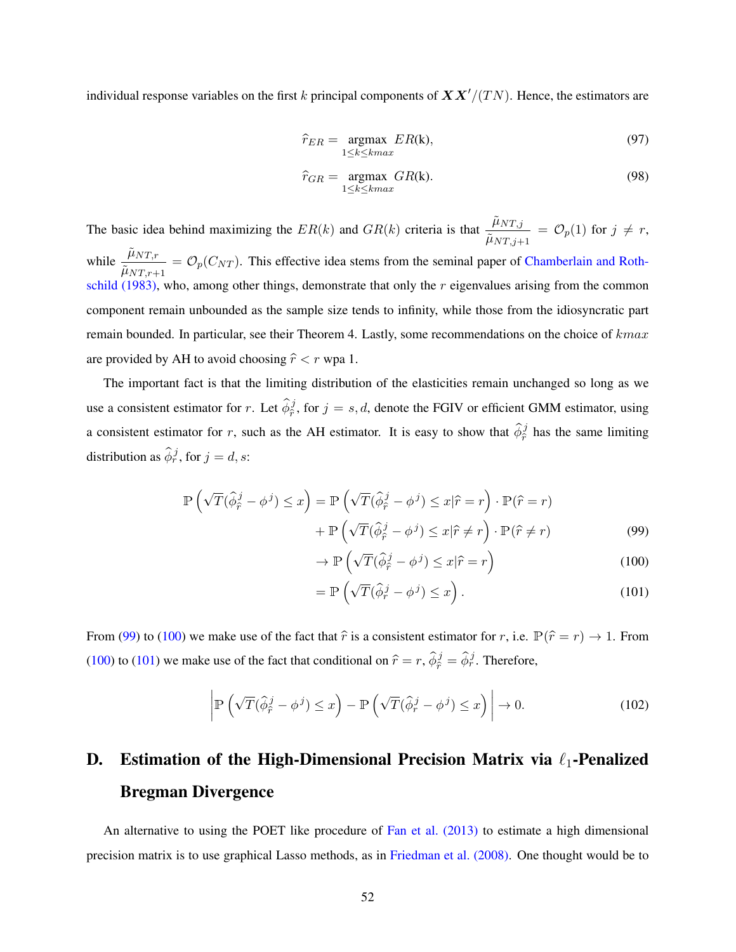individual response variables on the first k principal components of  $\boldsymbol{XX}'/(TN)$ . Hence, the estimators are

$$
\hat{r}_{ER} = \underset{1 \le k \le kmax}{\text{argmax}} E R(k),\tag{97}
$$

$$
\hat{r}_{GR} = \underset{1 \le k \le kmax}{\text{argmax}} \, GR(k). \tag{98}
$$

The basic idea behind maximizing the  $ER(k)$  and  $GR(k)$  criteria is that  $\frac{\tilde{\mu}_{NT,j}}{Z}$  $\frac{\mu_{NT,j}}{\tilde{\mu}_{NT,j+1}} = \mathcal{O}_p(1)$  for  $j \neq r$ ,

while  $\frac{\tilde{\mu}_{NT,r}}{Z}$  $\frac{P_{NT,T}}{\tilde{\mu}_{NT,r+1}} = \mathcal{O}_p(C_{NT})$ . This effective idea stems from the seminal paper of [Chamberlain and Roth](#page-55-4)[schild \(1983\),](#page-55-4) who, among other things, demonstrate that only the  $r$  eigenvalues arising from the common component remain unbounded as the sample size tends to infinity, while those from the idiosyncratic part remain bounded. In particular, see their Theorem 4. Lastly, some recommendations on the choice of kmax are provided by AH to avoid choosing  $\hat{r} < r$  wpa 1.

The important fact is that the limiting distribution of the elasticities remain unchanged so long as we use a consistent estimator for r. Let  $\hat{\phi}_{\hat{r}}^j$ , for  $j = s, d$ , denote the FGIV or efficient GMM estimator, using a consistent estimator for r, such as the AH estimator. It is easy to show that  $\hat{\phi}_{\hat{r}}^j$  has the same limiting distribution as  $\hat{\phi}_r^j$ , for  $j = d, s$ :

$$
\mathbb{P}\left(\sqrt{T}(\hat{\phi}_{\hat{r}}^{j} - \phi^{j}) \leq x\right) = \mathbb{P}\left(\sqrt{T}(\hat{\phi}_{\hat{r}}^{j} - \phi^{j}) \leq x|\hat{r} = r\right) \cdot \mathbb{P}(\hat{r} = r)
$$

$$
+ \mathbb{P}\left(\sqrt{T}(\hat{\phi}_{\hat{r}}^{j} - \phi^{j}) \leq x|\hat{r} \neq r\right) \cdot \mathbb{P}(\hat{r} \neq r)
$$
(99)

<span id="page-52-2"></span><span id="page-52-1"></span>
$$
\rightarrow \mathbb{P}\left(\sqrt{T}(\hat{\phi}_{\hat{r}}^j - \phi^j) \le x|\hat{r} = r\right)
$$
\n
$$
\sum_{\alpha} \left(\sqrt{T}(\hat{\phi}_{\hat{r}}^j - \phi^j) \le x|\hat{r} = r\right)
$$
\n(100)

<span id="page-52-3"></span>
$$
= \mathbb{P}\left(\sqrt{T}(\hat{\phi}_r^j - \phi^j) \le x\right). \tag{101}
$$

From [\(99\)](#page-52-1) to [\(100\)](#page-52-2) we make use of the fact that  $\hat{r}$  is a consistent estimator for r, i.e.  $\mathbb{P}(\hat{r} = r) \to 1$ . From [\(100\)](#page-52-2) to [\(101\)](#page-52-3) we make use of the fact that conditional on  $\hat{r} = r$ ,  $\hat{\phi}_{\hat{r}}^j = \hat{\phi}_{r}^j$ . Therefore,

$$
\left| \mathbb{P}\left(\sqrt{T}(\hat{\phi}_{\hat{r}}^{j} - \phi^{j}) \leq x\right) - \mathbb{P}\left(\sqrt{T}(\hat{\phi}_{r}^{j} - \phi^{j}) \leq x\right) \right| \to 0. \tag{102}
$$

# <span id="page-52-0"></span>D. Estimation of the High-Dimensional Precision Matrix via  $\ell_1$ -Penalized Bregman Divergence

An alternative to using the POET like procedure of [Fan et al. \(2013\)](#page-42-14) to estimate a high dimensional precision matrix is to use graphical Lasso methods, as in [Friedman et al. \(2008\).](#page-56-4) One thought would be to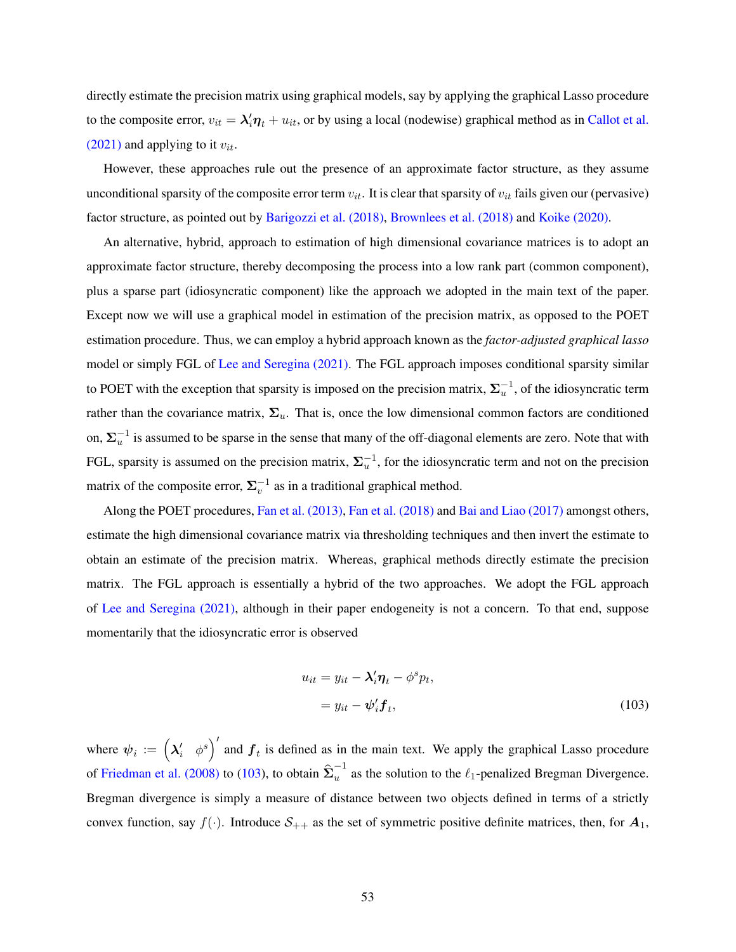directly estimate the precision matrix using graphical models, say by applying the graphical Lasso procedure to the composite error,  $v_{it} = \lambda'_i \eta_t + u_{it}$ , or by using a local (nodewise) graphical method as in [Callot et al.](#page-42-22) [\(2021\)](#page-42-22) and applying to it  $v_{it}$ .

However, these approaches rule out the presence of an approximate factor structure, as they assume unconditional sparsity of the composite error term  $v_{it}$ . It is clear that sparsity of  $v_{it}$  fails given our (pervasive) factor structure, as pointed out by [Barigozzi et al. \(2018\),](#page-55-5) [Brownlees et al. \(2018\)](#page-55-6) and [Koike \(2020\).](#page-56-5)

An alternative, hybrid, approach to estimation of high dimensional covariance matrices is to adopt an approximate factor structure, thereby decomposing the process into a low rank part (common component), plus a sparse part (idiosyncratic component) like the approach we adopted in the main text of the paper. Except now we will use a graphical model in estimation of the precision matrix, as opposed to the POET estimation procedure. Thus, we can employ a hybrid approach known as the *factor-adjusted graphical lasso* model or simply FGL of [Lee and Seregina \(2021\).](#page-56-6) The FGL approach imposes conditional sparsity similar to POET with the exception that sparsity is imposed on the precision matrix,  $\Sigma_u^{-1}$ , of the idiosyncratic term rather than the covariance matrix,  $\Sigma_u$ . That is, once the low dimensional common factors are conditioned on,  $\Sigma_u^{-1}$  is assumed to be sparse in the sense that many of the off-diagonal elements are zero. Note that with FGL, sparsity is assumed on the precision matrix,  $\Sigma_u^{-1}$ , for the idiosyncratic term and not on the precision matrix of the composite error,  $\Sigma_v^{-1}$  as in a traditional graphical method.

Along the POET procedures, [Fan et al. \(2013\),](#page-42-14) [Fan et al. \(2018\)](#page-56-7) and [Bai and Liao \(2017\)](#page-41-12) amongst others, estimate the high dimensional covariance matrix via thresholding techniques and then invert the estimate to obtain an estimate of the precision matrix. Whereas, graphical methods directly estimate the precision matrix. The FGL approach is essentially a hybrid of the two approaches. We adopt the FGL approach of [Lee and Seregina \(2021\),](#page-56-6) although in their paper endogeneity is not a concern. To that end, suppose momentarily that the idiosyncratic error is observed

<span id="page-53-0"></span>
$$
u_{it} = y_{it} - \lambda'_i \eta_t - \phi^s p_t,
$$
  
=  $y_{it} - \psi'_i \mathbf{f}_t,$  (103)

where  $\psi_i := \begin{pmatrix} \lambda'_i & \phi^s \end{pmatrix}'$ and  $f_t$  is defined as in the main text. We apply the graphical Lasso procedure of [Friedman et al. \(2008\)](#page-56-4) to [\(103\)](#page-53-0), to obtain  $\hat{\Sigma}_u^{-1}$  $u^{\dagger}$  as the solution to the  $\ell_1$ -penalized Bregman Divergence. Bregman divergence is simply a measure of distance between two objects defined in terms of a strictly convex function, say  $f(\cdot)$ . Introduce  $S_{++}$  as the set of symmetric positive definite matrices, then, for  $A_1$ ,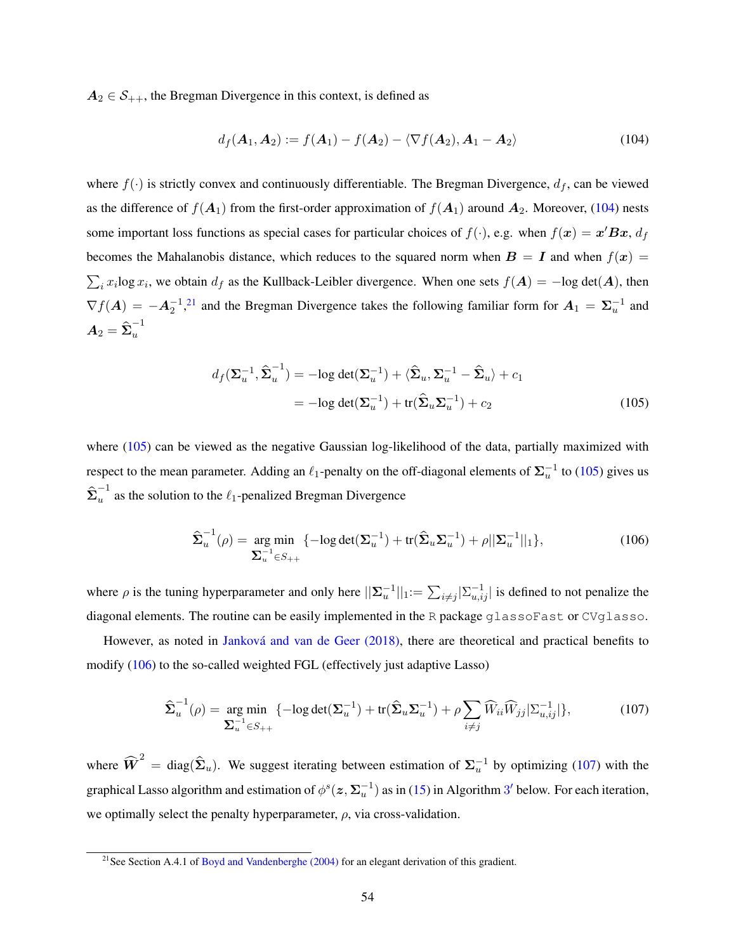$A_2 \in S_{++}$ , the Bregman Divergence in this context, is defined as

<span id="page-54-0"></span>
$$
d_f(\mathbf{A}_1, \mathbf{A}_2) := f(\mathbf{A}_1) - f(\mathbf{A}_2) - \langle \nabla f(\mathbf{A}_2), \mathbf{A}_1 - \mathbf{A}_2 \rangle \tag{104}
$$

where  $f(\cdot)$  is strictly convex and continuously differentiable. The Bregman Divergence,  $d_f$ , can be viewed as the difference of  $f(A_1)$  from the first-order approximation of  $f(A_1)$  around  $A_2$ . Moreover, [\(104\)](#page-54-0) nests some important loss functions as special cases for particular choices of  $f(\cdot)$ , e.g. when  $f(\mathbf{x}) = \mathbf{x}' \mathbf{B} \mathbf{x}$ ,  $d_f$ becomes the Mahalanobis distance, which reduces to the squared norm when  $B = I$  and when  $f(x) =$  $\sum_i x_i \log x_i$ , we obtain  $d_f$  as the Kullback-Leibler divergence. When one sets  $f(A) = -\log \det(A)$ , then  $\nabla f(A) = -A_2^{-1}$ ,<sup>[21](#page-0-0)</sup> and the Bregman Divergence takes the following familiar form for  $A_1 = \Sigma_u^{-1}$  and  $\boldsymbol{A}_2=\widehat{\boldsymbol{\Sigma}}_u^{-1}$ u

<span id="page-54-1"></span>
$$
d_f(\Sigma_u^{-1}, \hat{\Sigma}_u^{-1}) = -\log \det(\Sigma_u^{-1}) + \langle \hat{\Sigma}_u, \Sigma_u^{-1} - \hat{\Sigma}_u \rangle + c_1
$$
  
= 
$$
-\log \det(\Sigma_u^{-1}) + \text{tr}(\hat{\Sigma}_u \Sigma_u^{-1}) + c_2
$$
 (105)

where [\(105\)](#page-54-1) can be viewed as the negative Gaussian log-likelihood of the data, partially maximized with respect to the mean parameter. Adding an  $\ell_1$ -penalty on the off-diagonal elements of  $\Sigma_u^{-1}$  to [\(105\)](#page-54-1) gives us  $\mathbf{\hat{\Sigma}}_u^{-1}$  $u^{\dagger}$  as the solution to the  $\ell_1$ -penalized Bregman Divergence

<span id="page-54-2"></span>
$$
\hat{\Sigma}_u^{-1}(\rho) = \underset{\Sigma_u^{-1} \in S_{++}}{\arg \min} \{-\log \det(\Sigma_u^{-1}) + \text{tr}(\hat{\Sigma}_u \Sigma_u^{-1}) + \rho ||\Sigma_u^{-1}||_1\},\tag{106}
$$

where  $\rho$  is the tuning hyperparameter and only here  $||\sum_{u}^{-1}||_1 := \sum_{i \neq j} |\sum_{u,ij}^{-1}|$  is defined to not penalize the diagonal elements. The routine can be easily implemented in the R package glassoFast or CVglasso.

However, as noted in [Janková and van de Geer \(2018\),](#page-56-8) there are theoretical and practical benefits to modify [\(106\)](#page-54-2) to the so-called weighted FGL (effectively just adaptive Lasso)

<span id="page-54-3"></span>
$$
\hat{\boldsymbol{\Sigma}}_u^{-1}(\rho) = \underset{\boldsymbol{\Sigma}_u^{-1} \in S_{++}}{\arg \min} \left\{-\log \det(\boldsymbol{\Sigma}_u^{-1}) + \text{tr}(\hat{\boldsymbol{\Sigma}}_u \boldsymbol{\Sigma}_u^{-1}) + \rho \sum_{i \neq j} \widehat{W}_{ii} \widehat{W}_{jj} |\boldsymbol{\Sigma}_{u,ij}^{-1}| \right\},\tag{107}
$$

where  $\widehat{W}^2 = \text{diag}(\hat{\Sigma}_u)$ . We suggest iterating between estimation of  $\Sigma_u^{-1}$  by optimizing [\(107\)](#page-54-3) with the graphical Lasso algorithm and estimation of  $\phi^s(z, \Sigma_u^{-1})$  as in [\(15\)](#page-9-0) in Algorithm [3](#page-55-0)' below. For each iteration, we optimally select the penalty hyperparameter,  $\rho$ , via cross-validation.

<sup>&</sup>lt;sup>21</sup>See Section A.4.1 of [Boyd and Vandenberghe \(2004\)](#page-55-7) for an elegant derivation of this gradient.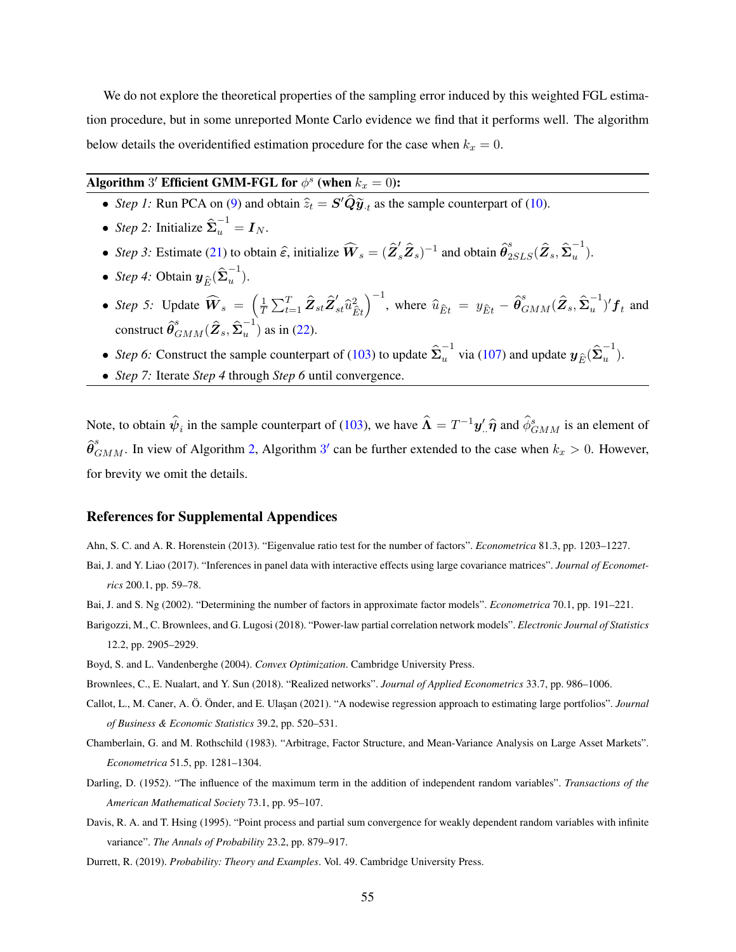We do not explore the theoretical properties of the sampling error induced by this weighted FGL estimation procedure, but in some unreported Monte Carlo evidence we find that it performs well. The algorithm below details the overidentified estimation procedure for the case when  $k_x = 0$ .

# <span id="page-55-0"></span>Algorithm  $3'$  Efficient GMM-FGL for  $\phi^s$  (when  $k_x = 0$ ):

- *Step 1*: Run PCA on [\(9\)](#page-8-0) and obtain  $\hat{z}_t = S' \hat{Q} \tilde{y}_t$  as the sample counterpart of [\(10\)](#page-8-1).
- *Step 2:* Initialize  $\hat{\Sigma}_u^{-1} = I_N$ .
- *Step 3*: Estimate [\(21\)](#page-13-0) to obtain  $\hat{\epsilon}$ , initialize  $\widehat{W}_s = (\hat{Z}'_s \hat{Z}_s)^{-1}$  and obtain  $\hat{\theta}^s_{2SLS}(\hat{Z}_s, \hat{\Sigma}_u^{-1})$  $\begin{matrix} \cdot \\ u \end{matrix}$ ).
- *Step 4:* Obtain  $y_{\hat{E}}(\hat{\Sigma}_u^{-1})$  $\begin{pmatrix} 1 \\ 1 \end{pmatrix}$ .
- *Step 5:* Update  $\widehat{W}_s =$ 1  $\frac{1}{T}\sum_{t=1}^T \hat{\pmb{Z}}_{st}\hat{\pmb{Z}}_{st}^\prime \hat{u}_{\hat{E}t}^2$  $\sqrt{-1}$ , where  $\widehat{u}_{\widehat{E}t} = y_{\widehat{E}t} - \widehat{\pmb{\theta}}_{GMM}^s (\widehat{\pmb{Z}}_s, \widehat{\pmb{\Sigma}}_u^{-1}$  $(u^{-1})'f_t$  and construct  $\widehat{\boldsymbol \theta}_{GMM}^s(\widehat{\boldsymbol Z}_s,\widehat{\boldsymbol \Sigma}_u^{-1}$  $\binom{1}{u}$  as in [\(22\)](#page-13-1).
- *Step 6:* Construct the sample counterpart of [\(103\)](#page-53-0) to update  $\hat{\Sigma}_u^{-1}$  via [\(107\)](#page-54-3) and update  $y_{\hat{E}}(\hat{\Sigma}_u^{-1})$  $\frac{1}{u}$ ).
- *Step 7:* Iterate *Step 4* through *Step 6* until convergence.

Note, to obtain  $\hat{\psi}_i$  in the sample counterpart of [\(103\)](#page-53-0), we have  $\hat{\bf \Lambda}=T^{-1}{\bf y}'\hat{.} \hat{\bf \eta}$  and  $\hat{\phi}^s_{GMM}$  is an element of  $\hat{\theta}_{GMM}^s$ . In view of Algorithm [2,](#page-11-1) Algorithm [3](#page-55-0)' can be further extended to the case when  $k_x > 0$ . However, for brevity we omit the details.

#### References for Supplemental Appendices

Ahn, S. C. and A. R. Horenstein (2013). "Eigenvalue ratio test for the number of factors". *Econometrica* 81.3, pp. 1203–1227.

- Bai, J. and Y. Liao (2017). "Inferences in panel data with interactive effects using large covariance matrices". *Journal of Econometrics* 200.1, pp. 59–78.
- <span id="page-55-5"></span>Bai, J. and S. Ng (2002). "Determining the number of factors in approximate factor models". *Econometrica* 70.1, pp. 191–221.
- Barigozzi, M., C. Brownlees, and G. Lugosi (2018). "Power-law partial correlation network models". *Electronic Journal of Statistics* 12.2, pp. 2905–2929.
- <span id="page-55-7"></span>Boyd, S. and L. Vandenberghe (2004). *Convex Optimization*. Cambridge University Press.
- <span id="page-55-6"></span>Brownlees, C., E. Nualart, and Y. Sun (2018). "Realized networks". *Journal of Applied Econometrics* 33.7, pp. 986–1006.
- Callot, L., M. Caner, A. Ö. Önder, and E. Ula¸san (2021). "A nodewise regression approach to estimating large portfolios". *Journal of Business & Economic Statistics* 39.2, pp. 520–531.
- <span id="page-55-4"></span>Chamberlain, G. and M. Rothschild (1983). "Arbitrage, Factor Structure, and Mean-Variance Analysis on Large Asset Markets". *Econometrica* 51.5, pp. 1281–1304.
- <span id="page-55-1"></span>Darling, D. (1952). "The influence of the maximum term in the addition of independent random variables". *Transactions of the American Mathematical Society* 73.1, pp. 95–107.
- <span id="page-55-2"></span>Davis, R. A. and T. Hsing (1995). "Point process and partial sum convergence for weakly dependent random variables with infinite variance". *The Annals of Probability* 23.2, pp. 879–917.
- <span id="page-55-3"></span>Durrett, R. (2019). *Probability: Theory and Examples*. Vol. 49. Cambridge University Press.